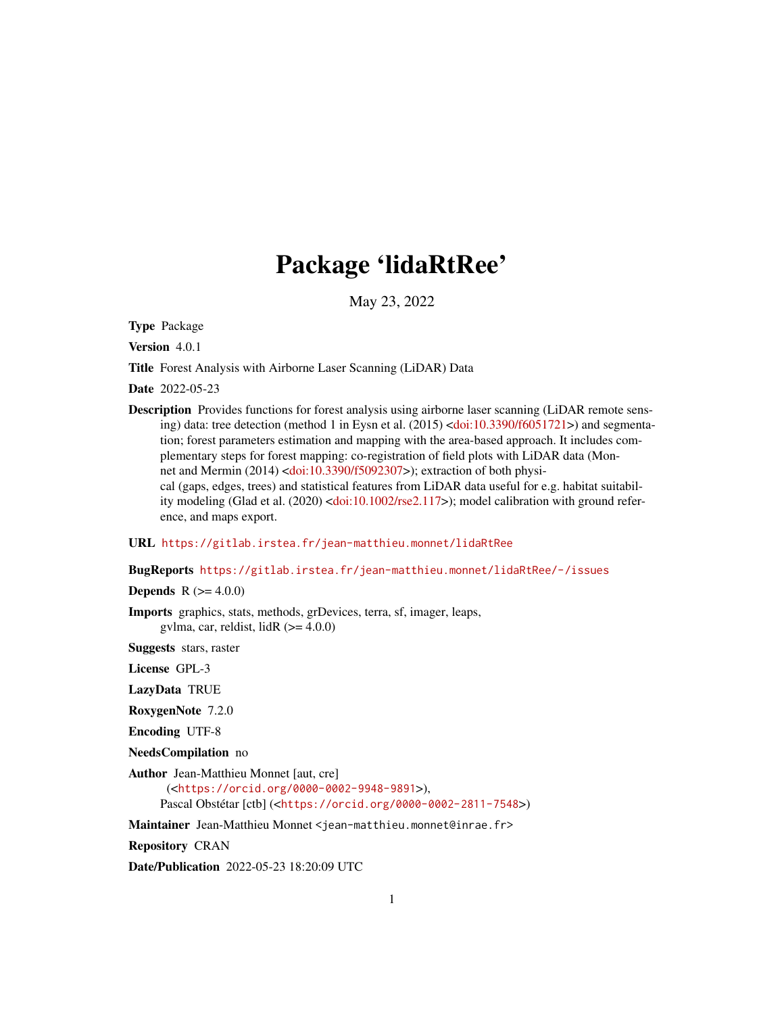# Package 'lidaRtRee'

May 23, 2022

<span id="page-0-0"></span>Type Package

Version 4.0.1

Title Forest Analysis with Airborne Laser Scanning (LiDAR) Data

Date 2022-05-23

Description Provides functions for forest analysis using airborne laser scanning (LiDAR remote sensing) data: tree detection (method 1 in Eysn et al. (2015) [<doi:10.3390/f6051721>](https://doi.org/10.3390/f6051721)) and segmentation; forest parameters estimation and mapping with the area-based approach. It includes complementary steps for forest mapping: co-registration of field plots with LiDAR data (Mon-net and Mermin (2014) [<doi:10.3390/f5092307>](https://doi.org/10.3390/f5092307)); extraction of both physical (gaps, edges, trees) and statistical features from LiDAR data useful for e.g. habitat suitabil-ity modeling (Glad et al. (2020) [<doi:10.1002/rse2.117>](https://doi.org/10.1002/rse2.117)); model calibration with ground reference, and maps export.

URL <https://gitlab.irstea.fr/jean-matthieu.monnet/lidaRtRee>

BugReports <https://gitlab.irstea.fr/jean-matthieu.monnet/lidaRtRee/-/issues>

**Depends** R  $(>= 4.0.0)$ 

Imports graphics, stats, methods, grDevices, terra, sf, imager, leaps, gvlma, car, reldist, lid $R$  ( $> = 4.0.0$ )

Suggests stars, raster

License GPL-3

LazyData TRUE

RoxygenNote 7.2.0

Encoding UTF-8

NeedsCompilation no

Author Jean-Matthieu Monnet [aut, cre]

(<<https://orcid.org/0000-0002-9948-9891>>), Pascal Obstétar [ctb] (<<https://orcid.org/0000-0002-2811-7548>>)

Maintainer Jean-Matthieu Monnet <jean-matthieu.monnet@inrae.fr>

Repository CRAN

Date/Publication 2022-05-23 18:20:09 UTC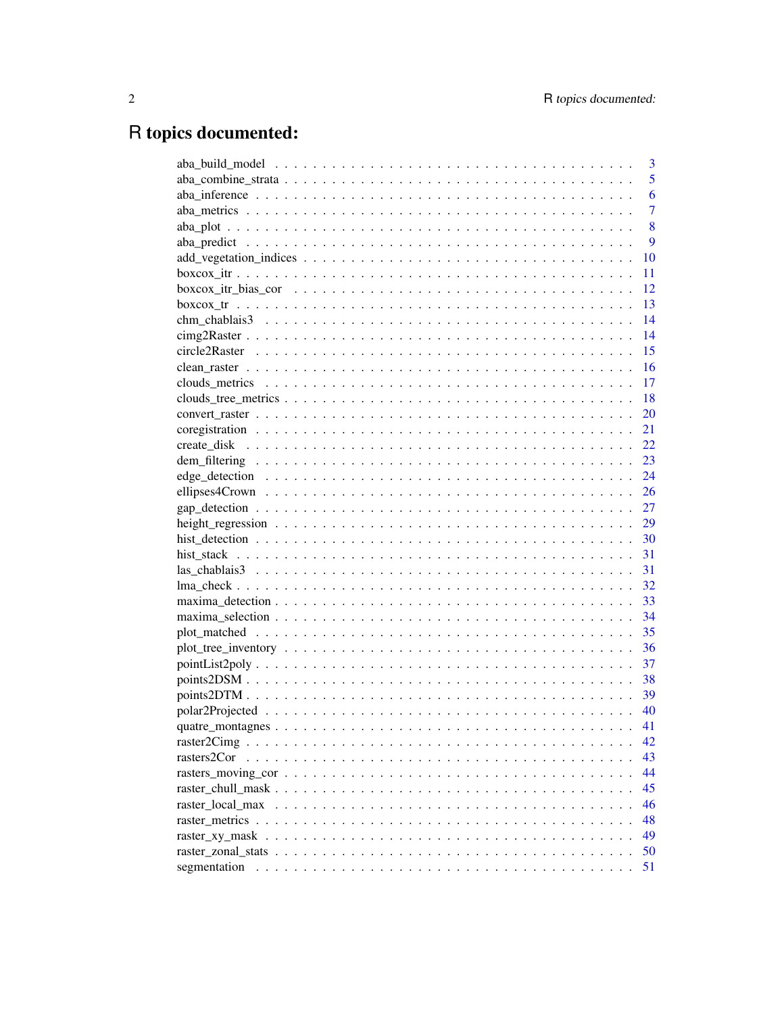# R topics documented:

|                                                                                                                                                                                                                               | 3              |
|-------------------------------------------------------------------------------------------------------------------------------------------------------------------------------------------------------------------------------|----------------|
|                                                                                                                                                                                                                               | 5              |
|                                                                                                                                                                                                                               | 6              |
|                                                                                                                                                                                                                               | $\overline{7}$ |
|                                                                                                                                                                                                                               | 8              |
|                                                                                                                                                                                                                               | 9              |
|                                                                                                                                                                                                                               | 10             |
|                                                                                                                                                                                                                               | 11             |
| $boxcox\_itr\_bias\_cor \dots \dots \dots \dots \dots \dots \dots \dots \dots \dots \dots \dots \dots \dots$                                                                                                                  | 12             |
|                                                                                                                                                                                                                               | 13             |
|                                                                                                                                                                                                                               | 14             |
|                                                                                                                                                                                                                               | 14             |
|                                                                                                                                                                                                                               | 15             |
|                                                                                                                                                                                                                               | $-16$          |
|                                                                                                                                                                                                                               |                |
|                                                                                                                                                                                                                               | -18            |
|                                                                                                                                                                                                                               | 20             |
|                                                                                                                                                                                                                               | 21             |
|                                                                                                                                                                                                                               | 22             |
|                                                                                                                                                                                                                               |                |
|                                                                                                                                                                                                                               |                |
|                                                                                                                                                                                                                               |                |
|                                                                                                                                                                                                                               |                |
|                                                                                                                                                                                                                               | 29             |
|                                                                                                                                                                                                                               |                |
|                                                                                                                                                                                                                               |                |
|                                                                                                                                                                                                                               |                |
|                                                                                                                                                                                                                               |                |
|                                                                                                                                                                                                                               |                |
|                                                                                                                                                                                                                               |                |
|                                                                                                                                                                                                                               | 35             |
|                                                                                                                                                                                                                               | 36             |
|                                                                                                                                                                                                                               | 37             |
|                                                                                                                                                                                                                               |                |
|                                                                                                                                                                                                                               |                |
|                                                                                                                                                                                                                               |                |
|                                                                                                                                                                                                                               | 41             |
|                                                                                                                                                                                                                               | 42             |
| rasters2Cor                                                                                                                                                                                                                   | 43             |
|                                                                                                                                                                                                                               | 44             |
|                                                                                                                                                                                                                               | 45             |
|                                                                                                                                                                                                                               | 46             |
|                                                                                                                                                                                                                               | 48             |
|                                                                                                                                                                                                                               | 49             |
|                                                                                                                                                                                                                               | 50             |
| segmentation                                                                                                                                                                                                                  | 51             |
| and a constitution of the constitution of the constitution of the constitution of the constitution of the constitution of the constitution of the constitution of the constitution of the constitution of the constitution of |                |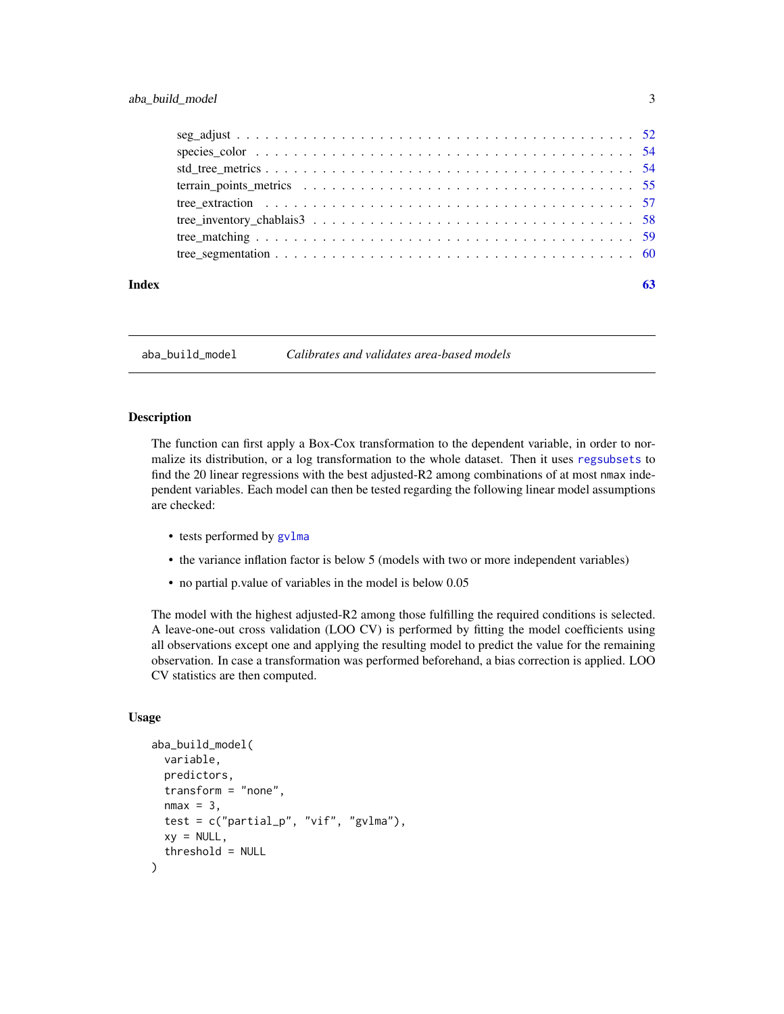<span id="page-2-0"></span>

| Index |  |
|-------|--|

<span id="page-2-1"></span>aba\_build\_model *Calibrates and validates area-based models*

# Description

The function can first apply a Box-Cox transformation to the dependent variable, in order to normalize its distribution, or a log transformation to the whole dataset. Then it uses [regsubsets](#page-0-0) to find the 20 linear regressions with the best adjusted-R2 among combinations of at most nmax independent variables. Each model can then be tested regarding the following linear model assumptions are checked:

- tests performed by gylma
- the variance inflation factor is below 5 (models with two or more independent variables)
- no partial p.value of variables in the model is below 0.05

The model with the highest adjusted-R2 among those fulfilling the required conditions is selected. A leave-one-out cross validation (LOO CV) is performed by fitting the model coefficients using all observations except one and applying the resulting model to predict the value for the remaining observation. In case a transformation was performed beforehand, a bias correction is applied. LOO CV statistics are then computed.

### Usage

```
aba_build_model(
  variable,
 predictors,
  transform = "none",
  nmax = 3,
  test = c("partial_p", "vif", "gvlma"),
  xy = NULL,threshold = NULL
)
```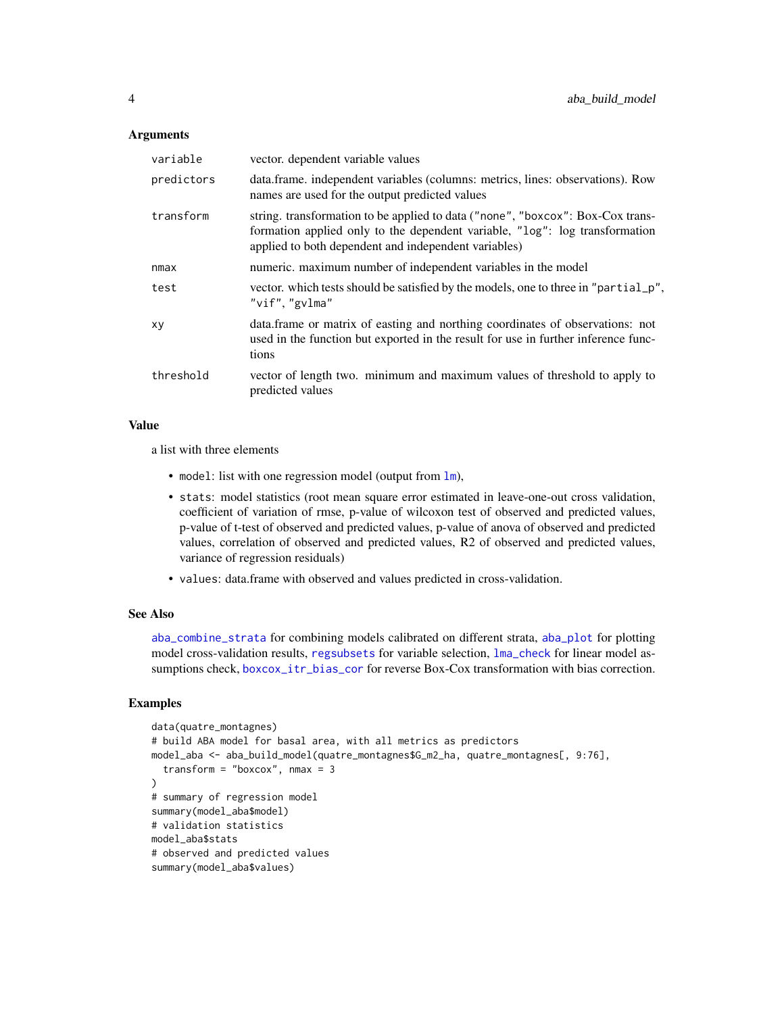### <span id="page-3-0"></span>**Arguments**

| variable   | vector. dependent variable values                                                                                                                                                                                     |
|------------|-----------------------------------------------------------------------------------------------------------------------------------------------------------------------------------------------------------------------|
| predictors | data.frame. independent variables (columns: metrics, lines: observations). Row<br>names are used for the output predicted values                                                                                      |
| transform  | string. transformation to be applied to data ("none", "boxcox": Box-Cox trans-<br>formation applied only to the dependent variable, "log": log transformation<br>applied to both dependent and independent variables) |
| nmax       | numeric. maximum number of independent variables in the model                                                                                                                                                         |
| test       | vector. which tests should be satisfied by the models, one to three in "partial_p",<br>"vif", "gvlma"                                                                                                                 |
| xy         | data. frame or matrix of easting and northing coordinates of observations: not<br>used in the function but exported in the result for use in further inference func-<br>tions                                         |
| threshold  | vector of length two. minimum and maximum values of threshold to apply to<br>predicted values                                                                                                                         |

### Value

a list with three elements

- model: list with one regression model (output from  $lm$ ),
- stats: model statistics (root mean square error estimated in leave-one-out cross validation, coefficient of variation of rmse, p-value of wilcoxon test of observed and predicted values, p-value of t-test of observed and predicted values, p-value of anova of observed and predicted values, correlation of observed and predicted values, R2 of observed and predicted values, variance of regression residuals)
- values: data.frame with observed and values predicted in cross-validation.

# See Also

[aba\\_combine\\_strata](#page-4-1) for combining models calibrated on different strata, [aba\\_plot](#page-7-1) for plotting model cross-validation results, [regsubsets](#page-0-0) for variable selection, [lma\\_check](#page-31-1) for linear model assumptions check, [boxcox\\_itr\\_bias\\_cor](#page-11-1) for reverse Box-Cox transformation with bias correction.

```
data(quatre_montagnes)
# build ABA model for basal area, with all metrics as predictors
model_aba <- aba_build_model(quatre_montagnes$G_m2_ha, quatre_montagnes[, 9:76],
 transform = "boxcox", nmax = 3
\mathcal{L}# summary of regression model
summary(model_aba$model)
# validation statistics
model_aba$stats
# observed and predicted values
summary(model_aba$values)
```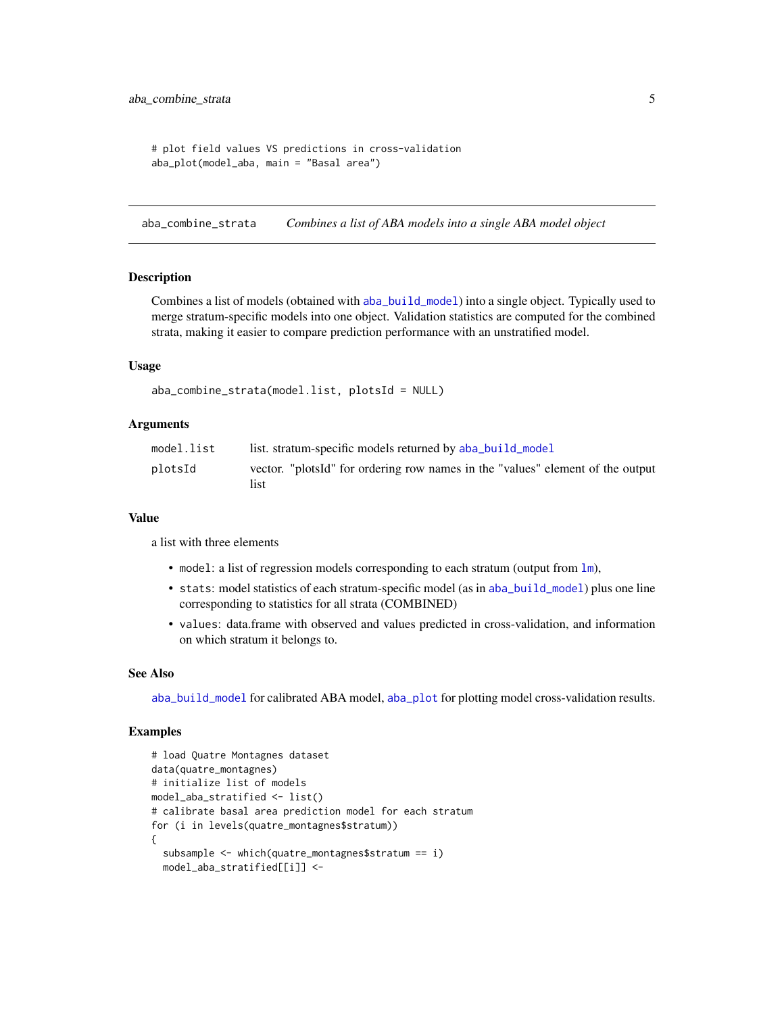```
# plot field values VS predictions in cross-validation
aba_plot(model_aba, main = "Basal area")
```
<span id="page-4-1"></span>aba\_combine\_strata *Combines a list of ABA models into a single ABA model object*

### Description

Combines a list of models (obtained with [aba\\_build\\_model](#page-2-1)) into a single object. Typically used to merge stratum-specific models into one object. Validation statistics are computed for the combined strata, making it easier to compare prediction performance with an unstratified model.

# Usage

```
aba_combine_strata(model.list, plotsId = NULL)
```
### Arguments

| model.list | list. stratum-specific models returned by aba_build_model                              |
|------------|----------------------------------------------------------------------------------------|
| plotsId    | vector. "plotsId" for ordering row names in the "values" element of the output<br>list |

### Value

a list with three elements

- model: a list of regression models corresponding to each stratum (output from  $\text{lm}$  $\text{lm}$  $\text{lm}$ ),
- stats: model statistics of each stratum-specific model (as in [aba\\_build\\_model](#page-2-1)) plus one line corresponding to statistics for all strata (COMBINED)
- values: data.frame with observed and values predicted in cross-validation, and information on which stratum it belongs to.

### See Also

[aba\\_build\\_model](#page-2-1) for calibrated ABA model, [aba\\_plot](#page-7-1) for plotting model cross-validation results.

```
# load Quatre Montagnes dataset
data(quatre_montagnes)
# initialize list of models
model_aba_stratified <- list()
# calibrate basal area prediction model for each stratum
for (i in levels(quatre_montagnes$stratum))
{
 subsample <- which(quatre_montagnes$stratum == i)
 model_aba_stratified[[i]] <-
```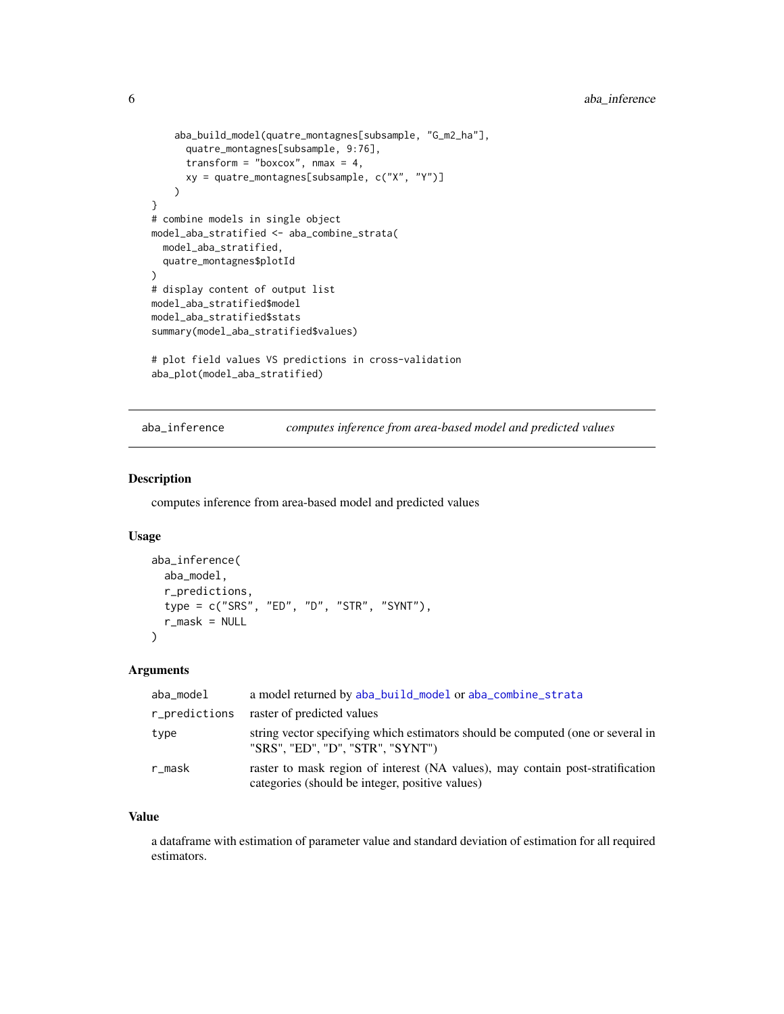```
aba_build_model(quatre_montagnes[subsample, "G_m2_ha"],
      quatre_montagnes[subsample, 9:76],
      transform = "boxcox", nmax = 4,
     xy = quatre_montagnes[subsample, c("X", "Y")]
    )
}
# combine models in single object
model_aba_stratified <- aba_combine_strata(
  model_aba_stratified,
  quatre_montagnes$plotId
)
# display content of output list
model_aba_stratified$model
model_aba_stratified$stats
summary(model_aba_stratified$values)
# plot field values VS predictions in cross-validation
```
aba\_plot(model\_aba\_stratified)

aba\_inference *computes inference from area-based model and predicted values*

# Description

computes inference from area-based model and predicted values

### Usage

```
aba_inference(
  aba_model,
  r_predictions,
  type = c("SRS", "ED", "D", "STR", "SYNT"),
  r_mask = NULL
\lambda
```
# Arguments

| aba_model | a model returned by aba_build_model or aba_combine_strata                                                                         |
|-----------|-----------------------------------------------------------------------------------------------------------------------------------|
|           | r_predictions raster of predicted values                                                                                          |
| type      | string vector specifying which estimators should be computed (one or several in<br>"SRS", "ED", "D", "STR", "SYNT")               |
| r_mask    | raster to mask region of interest (NA values), may contain post-stratification<br>categories (should be integer, positive values) |

# Value

a dataframe with estimation of parameter value and standard deviation of estimation for all required estimators.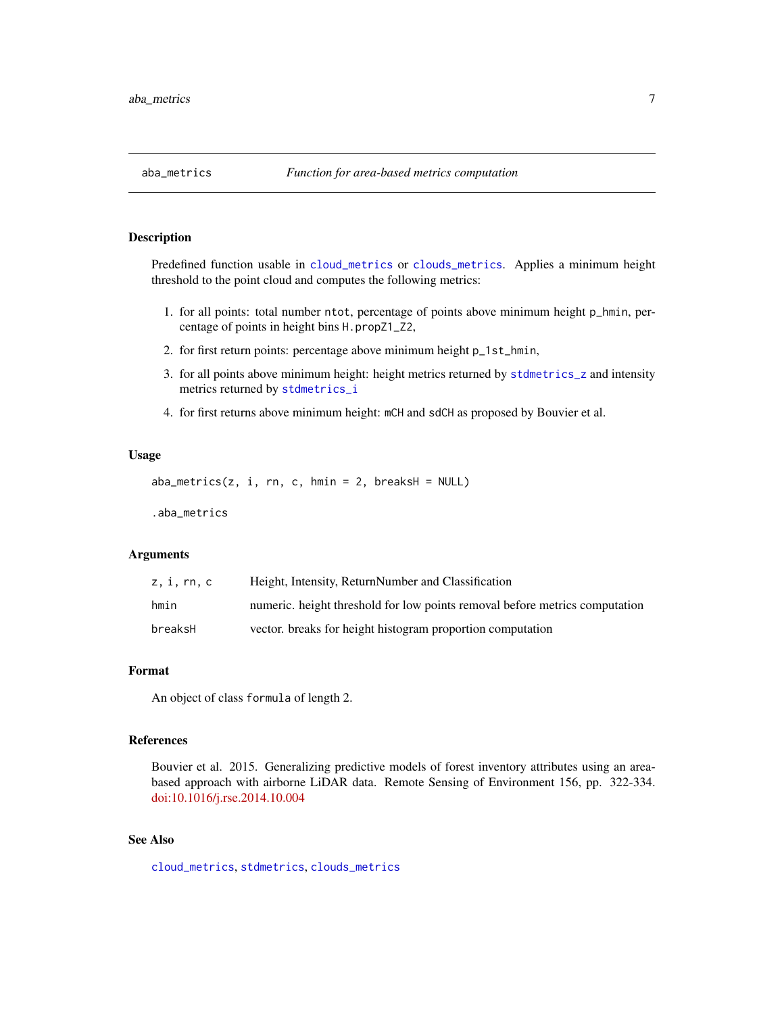<span id="page-6-1"></span><span id="page-6-0"></span>

### Description

Predefined function usable in [cloud\\_metrics](#page-0-0) or [clouds\\_metrics](#page-16-1). Applies a minimum height threshold to the point cloud and computes the following metrics:

- 1. for all points: total number ntot, percentage of points above minimum height p\_hmin, percentage of points in height bins H.propZ1\_Z2,
- 2. for first return points: percentage above minimum height p\_1st\_hmin,
- 3. for all points above minimum height: height metrics returned by [stdmetrics\\_z](#page-0-0) and intensity metrics returned by [stdmetrics\\_i](#page-0-0)
- 4. for first returns above minimum height: mCH and sdCH as proposed by Bouvier et al.

### Usage

```
aba\_metrics(z, i, rn, c, hmin = 2, breaksH = NULL)
```
.aba\_metrics

### Arguments

| z, i, rn, c | Height, Intensity, ReturnNumber and Classification                          |
|-------------|-----------------------------------------------------------------------------|
| hmin        | numeric, height threshold for low points removal before metrics computation |
| breaksH     | vector. breaks for height histogram proportion computation                  |

# Format

An object of class formula of length 2.

### References

Bouvier et al. 2015. Generalizing predictive models of forest inventory attributes using an areabased approach with airborne LiDAR data. Remote Sensing of Environment 156, pp. 322-334. [doi:10.1016/j.rse.2014.10.004](https://doi.org/10.1016/j.rse.2014.10.004)

# See Also

[cloud\\_metrics](#page-0-0), [stdmetrics](#page-0-0), [clouds\\_metrics](#page-16-1)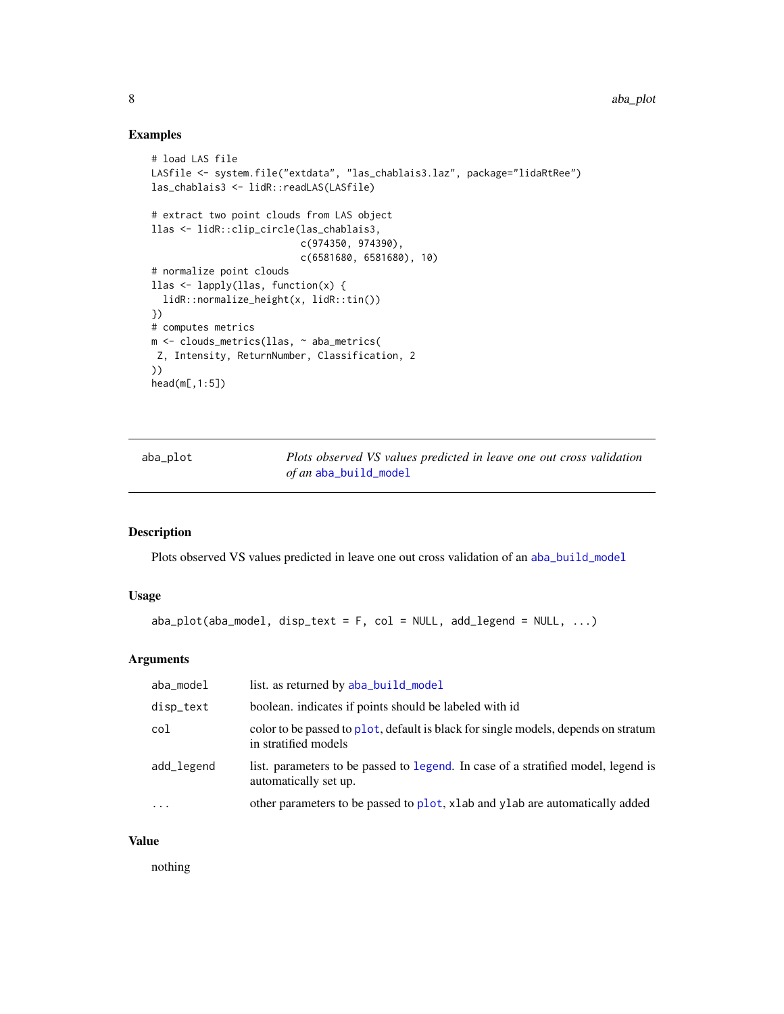# Examples

```
# load LAS file
LASfile <- system.file("extdata", "las_chablais3.laz", package="lidaRtRee")
las_chablais3 <- lidR::readLAS(LASfile)
# extract two point clouds from LAS object
llas <- lidR::clip_circle(las_chablais3,
                          c(974350, 974390),
                          c(6581680, 6581680), 10)
# normalize point clouds
llas <- lapply(llas, function(x) {
  lidR::normalize_height(x, lidR::tin())
})
# computes metrics
m <- clouds_metrics(llas, ~ aba_metrics(
Z, Intensity, ReturnNumber, Classification, 2
))
head(m[,1:5])
```
<span id="page-7-1"></span>aba\_plot *Plots observed VS values predicted in leave one out cross validation of an* [aba\\_build\\_model](#page-2-1)

# Description

Plots observed VS values predicted in leave one out cross validation of an [aba\\_build\\_model](#page-2-1)

# Usage

```
aba\_plot(aba\_model, disp\_text = F, col = NULL, add\_legend = NULL, ...)
```
# Arguments

| aba_model  | list. as returned by aba_build_model                                                                       |
|------------|------------------------------------------------------------------------------------------------------------|
| disp_text  | boolean, indicates if points should be labeled with id                                                     |
| col        | color to be passed to plot, default is black for single models, depends on stratum<br>in stratified models |
| add_legend | list. parameters to be passed to legend. In case of a stratified model, legend is<br>automatically set up. |
| $\cdots$   | other parameters to be passed to plot, x lab and y lab are automatically added                             |

### Value

nothing

<span id="page-7-0"></span>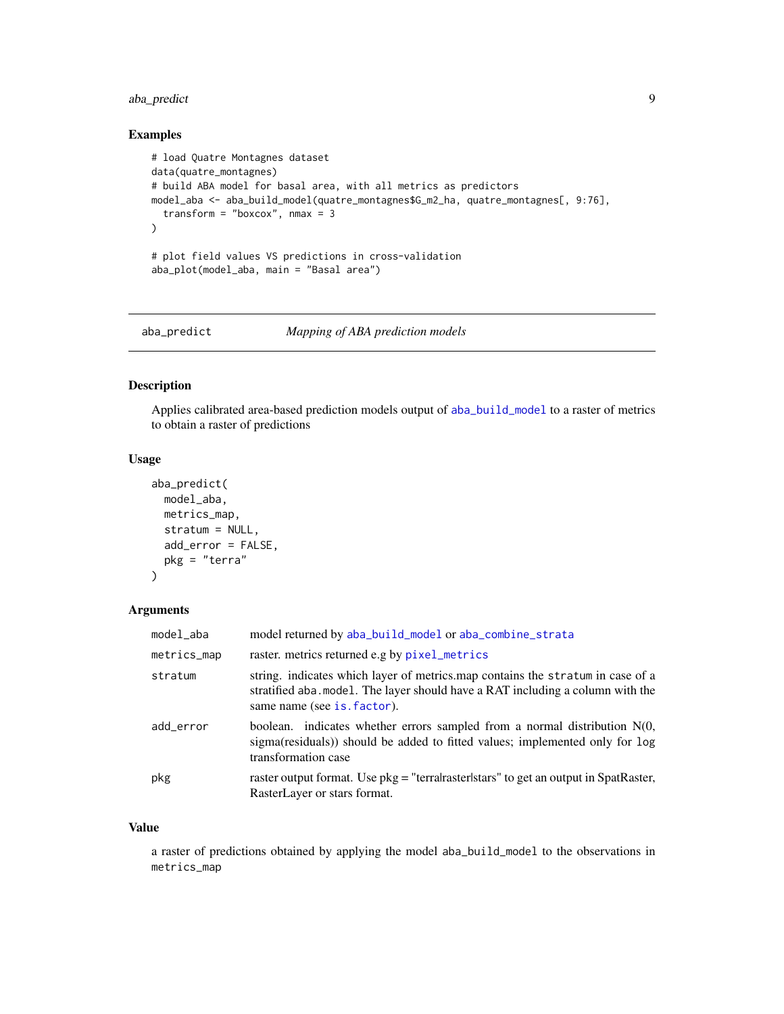# <span id="page-8-0"></span>aba\_predict 9

# Examples

```
# load Quatre Montagnes dataset
data(quatre_montagnes)
# build ABA model for basal area, with all metrics as predictors
model_aba <- aba_build_model(quatre_montagnes$G_m2_ha, quatre_montagnes[, 9:76],
  transform = "boxcox", nmax = 3
\lambda# plot field values VS predictions in cross-validation
aba_plot(model_aba, main = "Basal area")
```
aba\_predict *Mapping of ABA prediction models*

### Description

Applies calibrated area-based prediction models output of [aba\\_build\\_model](#page-2-1) to a raster of metrics to obtain a raster of predictions

### Usage

```
aba_predict(
 model_aba,
 metrics_map,
 stratum = NULL,
 add_error = FALSE,
 pkg = "terra"
)
```
# Arguments

| model_aba   | model returned by aba_build_model or aba_combine_strata                                                                                                                                         |
|-------------|-------------------------------------------------------------------------------------------------------------------------------------------------------------------------------------------------|
| metrics_map | raster, metrics returned e.g by pixel_metrics                                                                                                                                                   |
| stratum     | string. indicates which layer of metrics.map contains the stratum in case of a<br>stratified aba. model. The layer should have a RAT including a column with the<br>same name (see is. factor). |
| add_error   | boolean. indicates whether errors sampled from a normal distribution $N(0,$<br>sigma(residuals) should be added to fitted values; implemented only for log<br>transformation case               |
| pkg         | raster output format. Use pkg = "terralraster stars" to get an output in SpatRaster,<br>RasterLayer or stars format.                                                                            |

### Value

a raster of predictions obtained by applying the model aba\_build\_model to the observations in metrics\_map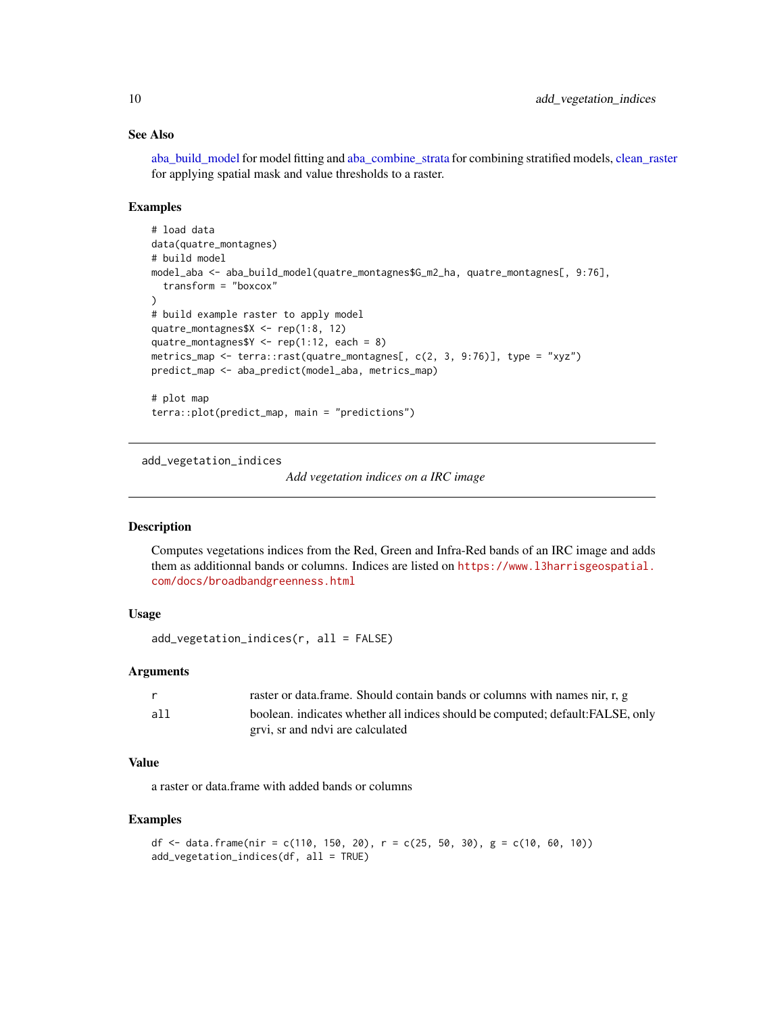# See Also

[aba\\_build\\_model](#page-2-1) for model fitting and [aba\\_combine\\_strata](#page-4-1) for combining stratified models, [clean\\_raster](#page-15-1) for applying spatial mask and value thresholds to a raster.

# Examples

```
# load data
data(quatre_montagnes)
# build model
model_aba <- aba_build_model(quatre_montagnes$G_m2_ha, quatre_montagnes[, 9:76],
  transform = "boxcox"
)
# build example raster to apply model
quatre_montagnes$X <- rep(1:8, 12)
quatre_montagnes$Y <- rep(1:12, each = 8)
metrics_map <- terra::rast(quatre_montagnes[, c(2, 3, 9:76)], type = "xyz")
predict_map <- aba_predict(model_aba, metrics_map)
# plot map
terra::plot(predict_map, main = "predictions")
```
add\_vegetation\_indices

*Add vegetation indices on a IRC image*

# Description

Computes vegetations indices from the Red, Green and Infra-Red bands of an IRC image and adds them as additionnal bands or columns. Indices are listed on [https://www.l3harrisgeospatial.](https://www.l3harrisgeospatial.com/docs/broadbandgreenness.html) [com/docs/broadbandgreenness.html](https://www.l3harrisgeospatial.com/docs/broadbandgreenness.html)

# Usage

```
add_vegetation_indices(r, all = FALSE)
```
## Arguments

|     | raster or data frame. Should contain bands or columns with names nir, r, g      |
|-----|---------------------------------------------------------------------------------|
| all | boolean, indicates whether all indices should be computed; default: FALSE, only |
|     | grvi, sr and ndvi are calculated                                                |

# Value

a raster or data.frame with added bands or columns

```
df <- data.frame(nir = c(110, 150, 20), r = c(25, 50, 30), g = c(10, 60, 10))
add_vegetation_indices(df, all = TRUE)
```
<span id="page-9-0"></span>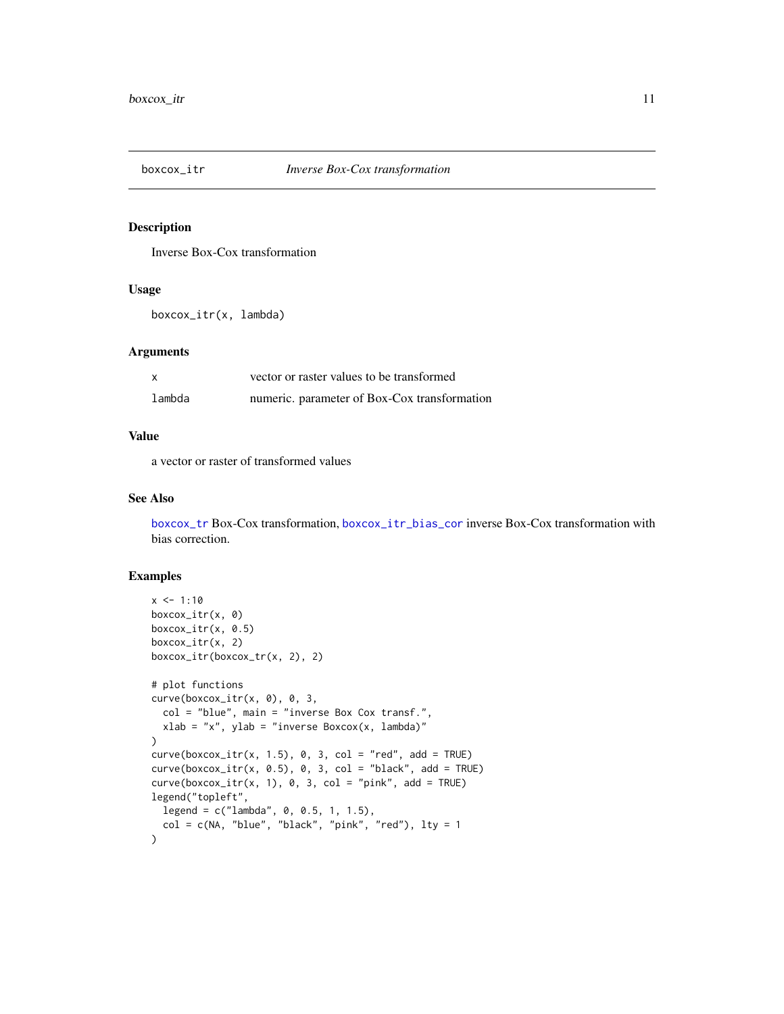<span id="page-10-1"></span><span id="page-10-0"></span>

# Description

Inverse Box-Cox transformation

### Usage

boxcox\_itr(x, lambda)

# Arguments

|        | vector or raster values to be transformed    |
|--------|----------------------------------------------|
| lambda | numeric. parameter of Box-Cox transformation |

### Value

a vector or raster of transformed values

# See Also

[boxcox\\_tr](#page-12-1) Box-Cox transformation, [boxcox\\_itr\\_bias\\_cor](#page-11-1) inverse Box-Cox transformation with bias correction.

```
x < -1:10boxcox_itr(x, 0)
boxcox_itr(x, 0.5)
boxcox_itr(x, 2)
boxcox_itr(boxcox_tr(x, 2), 2)
# plot functions
curve(boxcox_itr(x, 0), 0, 3,
  col = "blue", main = "inverse Box Cox transf.",
  xlab = "x", ylab = "inverse Boxcox(x, lambda)"
\lambdacurve(box\_itr(x, 1.5), 0, 3, col = "red", add = TRUE)curve(box\_itr(x, 0.5), 0, 3, col = "black", add = TRUE)curve(box\_itr(x, 1), 0, 3, col = "pink", add = TRUE)legend("topleft",
  legend = c("lambda", 0, 0.5, 1, 1.5),col = c(NA, "blue", "black", "pink", "red"), \t  lty = 1\mathcal{L}
```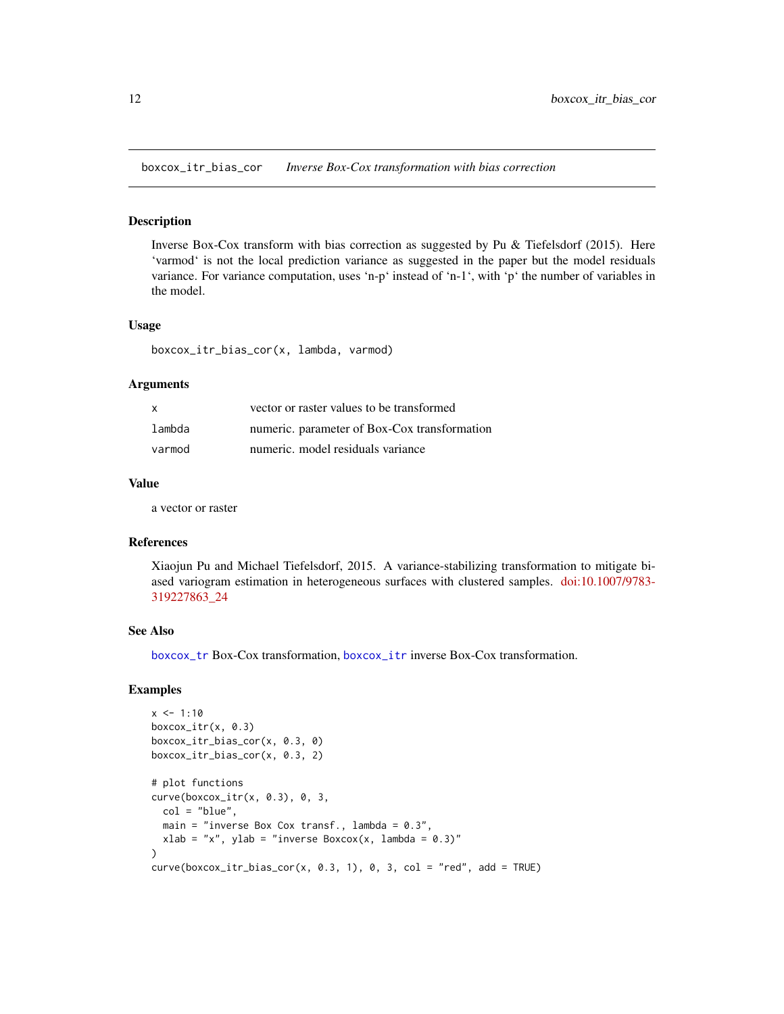<span id="page-11-1"></span><span id="page-11-0"></span>boxcox\_itr\_bias\_cor *Inverse Box-Cox transformation with bias correction*

### Description

Inverse Box-Cox transform with bias correction as suggested by Pu & Tiefelsdorf (2015). Here 'varmod' is not the local prediction variance as suggested in the paper but the model residuals variance. For variance computation, uses 'n-p' instead of 'n-1', with 'p' the number of variables in the model.

# Usage

boxcox\_itr\_bias\_cor(x, lambda, varmod)

### Arguments

| $\mathsf{x}$ | vector or raster values to be transformed    |
|--------------|----------------------------------------------|
| lambda       | numeric. parameter of Box-Cox transformation |
| varmod       | numeric. model residuals variance            |

### Value

a vector or raster

# References

Xiaojun Pu and Michael Tiefelsdorf, 2015. A variance-stabilizing transformation to mitigate biased variogram estimation in heterogeneous surfaces with clustered samples. [doi:10.1007/9783-](https://doi.org/10.1007/978-3-319-22786-3_24) [319227863\\_24](https://doi.org/10.1007/978-3-319-22786-3_24)

### See Also

[boxcox\\_tr](#page-12-1) Box-Cox transformation, [boxcox\\_itr](#page-10-1) inverse Box-Cox transformation.

```
x < -1:10boxcox_itr(x, 0.3)
boxcox_itr_bias_cor(x, 0.3, 0)
boxcox_itr_bias_cor(x, 0.3, 2)
# plot functions
curve(boxcox_itr(x, 0.3), 0, 3,
 col = "blue",
 main = "inverse Box Cox transf., lambda = 0.3",
 xlab = "x", ylab = "inverse Boxcox(x, lambda = 0.3)"
)
curve(box\_itr\_bias\_cor(x, 0.3, 1), 0, 3, col = "red", add = TRUE)
```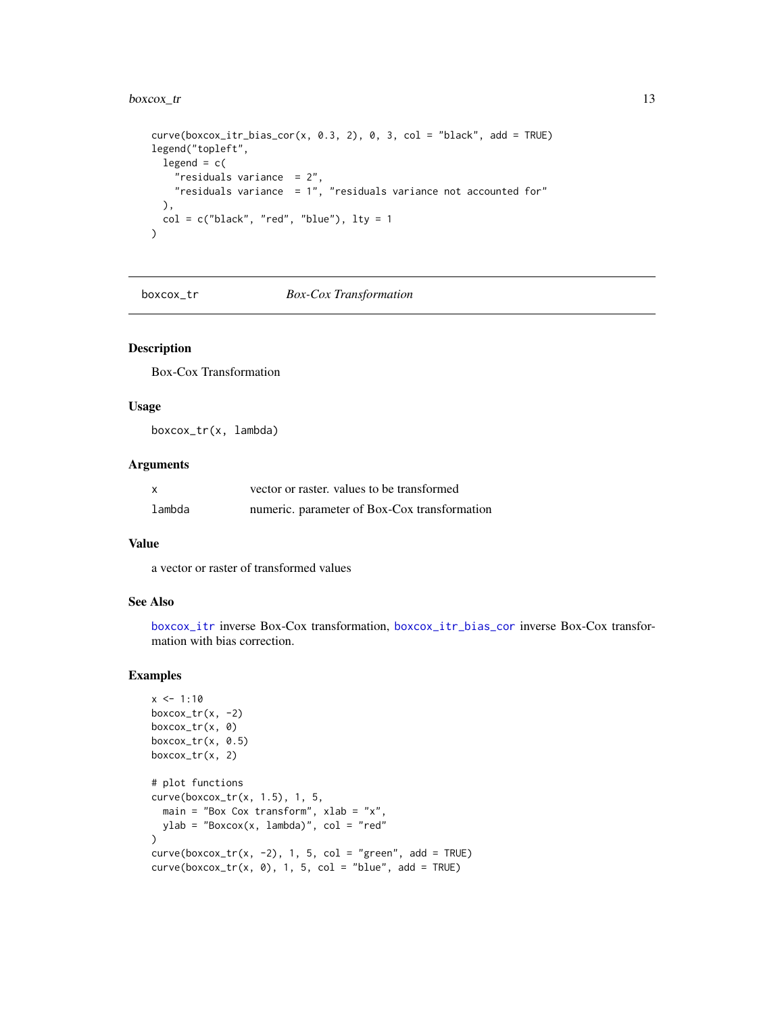### <span id="page-12-0"></span> $boxcox_tr$  13

```
curve(box\_itr\_bias\_cor(x, 0.3, 2), 0, 3, col = "black", add = TRUE)legend("topleft",
  legend = c("residuals variance = 2",
   "residuals variance = 1", "residuals variance not accounted for"
 ),
  col = c("black", "red", "blue"), lty = 1\mathcal{L}
```
boxcox\_tr *Box-Cox Transformation*

# Description

Box-Cox Transformation

### Usage

boxcox\_tr(x, lambda)

# Arguments

| X      | vector or raster, values to be transformed   |
|--------|----------------------------------------------|
| lambda | numeric. parameter of Box-Cox transformation |

### Value

a vector or raster of transformed values

### See Also

[boxcox\\_itr](#page-10-1) inverse Box-Cox transformation, [boxcox\\_itr\\_bias\\_cor](#page-11-1) inverse Box-Cox transformation with bias correction.

```
x \le -1:10boxcox_tr(x, -2)boxcox_tr(x, 0)
boxcox_tr(x, 0.5)
boxcox_tr(x, 2)
# plot functions
curve(boxcox_tr(x, 1.5), 1, 5,
  main = "Box Cox transform", xlab = "x",
  ylab = "Boxcox(x, lambda)", col = "red"
\mathcal{L}curve(boxcox_tr(x, -2), 1, 5, col = "green", add = TRUE)curve(box\_tr(x, 0), 1, 5, col = "blue", add = TRUE)
```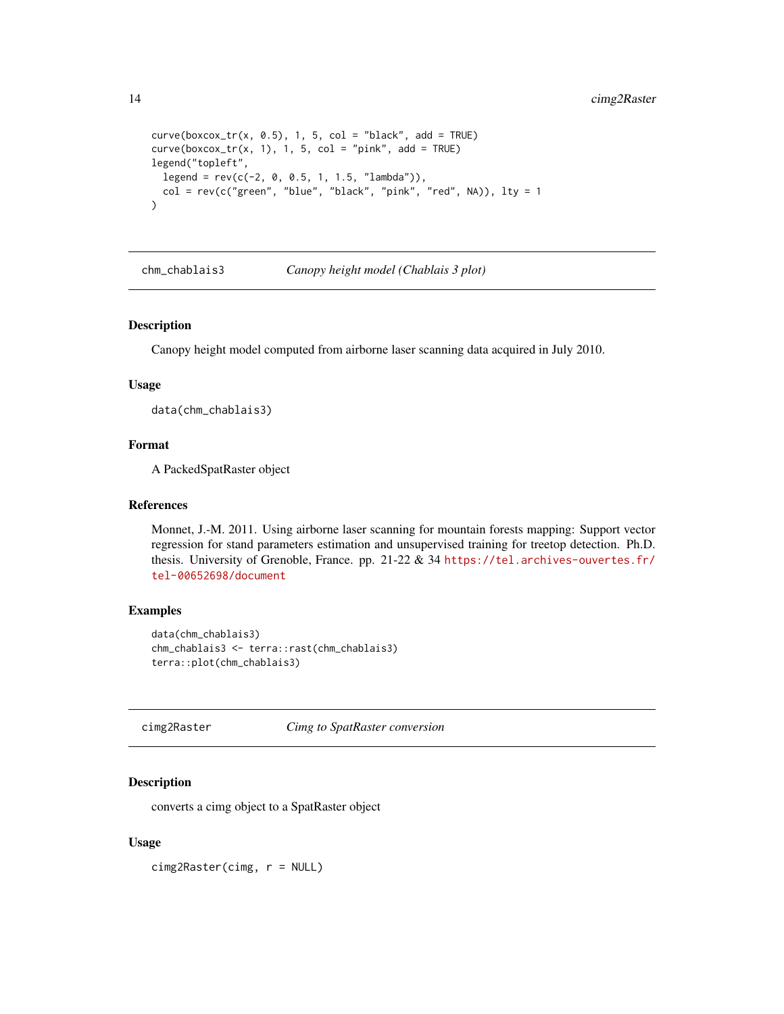```
curve(box\_tr(x, 0.5), 1, 5, col = "black", add = TRUE)curve(box\_tr(x, 1), 1, 5, col = "pink", add = TRUE)legend("topleft",
 legend = rev(c(-2, 0, 0.5, 1, 1.5, "lambda"),col = rev(c("green", "blue", "black", "pink", "red", NA)), 1ty = 1)
```
<span id="page-13-1"></span>chm\_chablais3 *Canopy height model (Chablais 3 plot)*

# Description

Canopy height model computed from airborne laser scanning data acquired in July 2010.

### Usage

data(chm\_chablais3)

# Format

A PackedSpatRaster object

### References

Monnet, J.-M. 2011. Using airborne laser scanning for mountain forests mapping: Support vector regression for stand parameters estimation and unsupervised training for treetop detection. Ph.D. thesis. University of Grenoble, France. pp. 21-22 & 34 [https://tel.archives-ouvertes.fr/](https://tel.archives-ouvertes.fr/tel-00652698/document) [tel-00652698/document](https://tel.archives-ouvertes.fr/tel-00652698/document)

### Examples

```
data(chm_chablais3)
chm_chablais3 <- terra::rast(chm_chablais3)
terra::plot(chm_chablais3)
```
<span id="page-13-2"></span>cimg2Raster *Cimg to SpatRaster conversion*

# Description

converts a cimg object to a SpatRaster object

### Usage

cimg2Raster(cimg, r = NULL)

<span id="page-13-0"></span>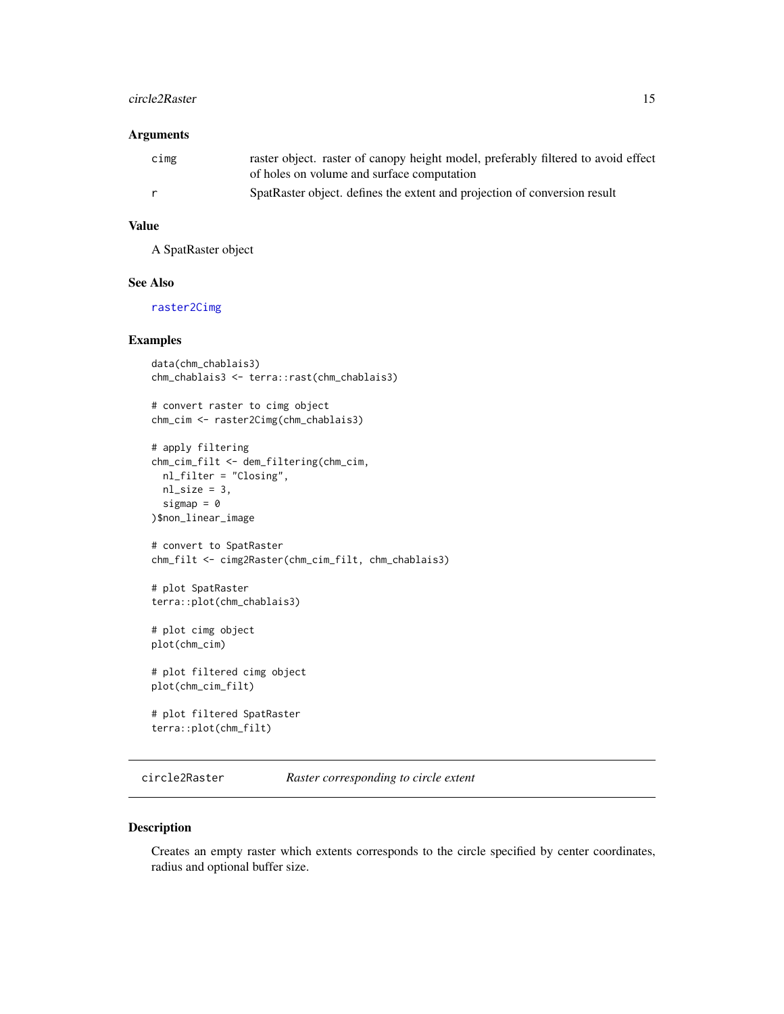### <span id="page-14-0"></span>circle2Raster 15

# Arguments

| cimg | raster object. raster of canopy height model, preferably filtered to avoid effect<br>of holes on volume and surface computation |
|------|---------------------------------------------------------------------------------------------------------------------------------|
| r    | SpatRaster object. defines the extent and projection of conversion result                                                       |

# Value

A SpatRaster object

# See Also

[raster2Cimg](#page-41-1)

### Examples

```
data(chm_chablais3)
chm_chablais3 <- terra::rast(chm_chablais3)
# convert raster to cimg object
chm_cim <- raster2Cimg(chm_chablais3)
# apply filtering
chm_cim_filt <- dem_filtering(chm_cim,
 nl_filter = "Closing",
 nl\_size = 3,
  sigmap = \theta)$non_linear_image
# convert to SpatRaster
chm_filt <- cimg2Raster(chm_cim_filt, chm_chablais3)
# plot SpatRaster
terra::plot(chm_chablais3)
# plot cimg object
plot(chm_cim)
# plot filtered cimg object
plot(chm_cim_filt)
# plot filtered SpatRaster
terra::plot(chm_filt)
```
circle2Raster *Raster corresponding to circle extent*

### Description

Creates an empty raster which extents corresponds to the circle specified by center coordinates, radius and optional buffer size.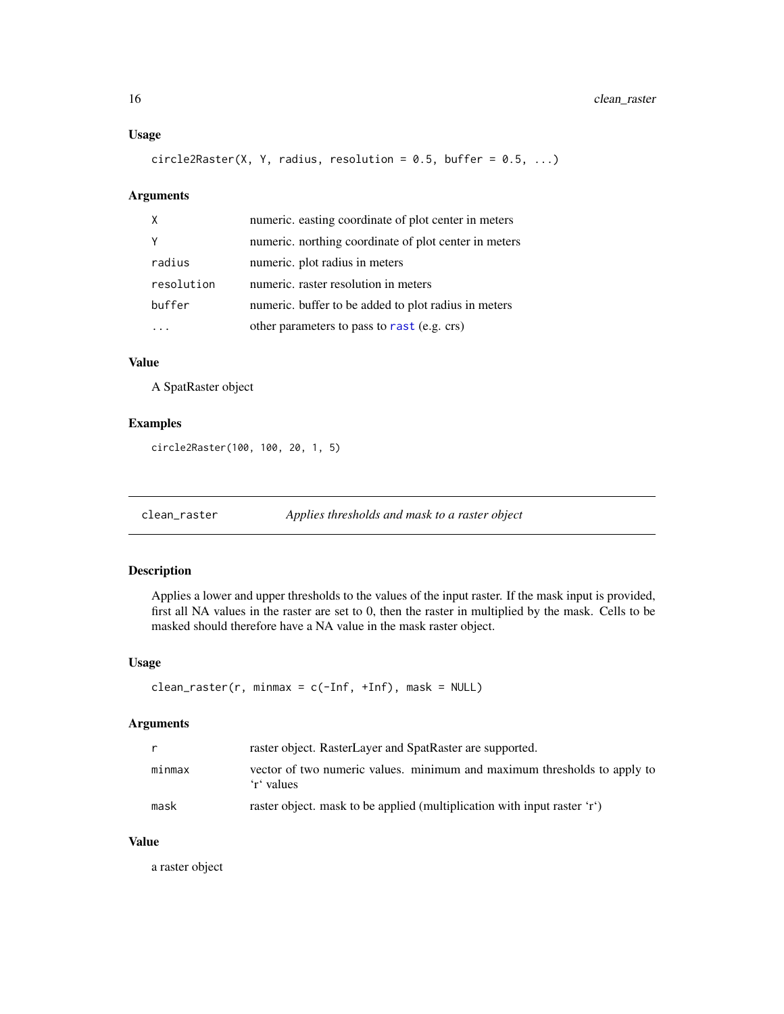# <span id="page-15-0"></span>Usage

circle2Raster(X, Y, radius, resolution =  $0.5$ , buffer =  $0.5$ , ...)

# Arguments

| $\mathsf{X}$ | numeric. easting coordinate of plot center in meters  |
|--------------|-------------------------------------------------------|
|              | numeric. northing coordinate of plot center in meters |
| radius       | numeric. plot radius in meters                        |
| resolution   | numeric, raster resolution in meters                  |
| buffer       | numeric. buffer to be added to plot radius in meters  |
|              | other parameters to pass to rast (e.g. crs)           |

# Value

A SpatRaster object

# Examples

circle2Raster(100, 100, 20, 1, 5)

<span id="page-15-1"></span>clean\_raster *Applies thresholds and mask to a raster object*

# Description

Applies a lower and upper thresholds to the values of the input raster. If the mask input is provided, first all NA values in the raster are set to 0, then the raster in multiplied by the mask. Cells to be masked should therefore have a NA value in the mask raster object.

# Usage

```
clean\_raster(r, minmax = c(-Inf, +Inf), mask = NULL)
```
# Arguments

|        | raster object. RasterLayer and SpatRaster are supported.                               |
|--------|----------------------------------------------------------------------------------------|
| minmax | vector of two numeric values. minimum and maximum thresholds to apply to<br>'r' values |
| mask   | raster object. mask to be applied (multiplication with input raster 'r')               |

### Value

a raster object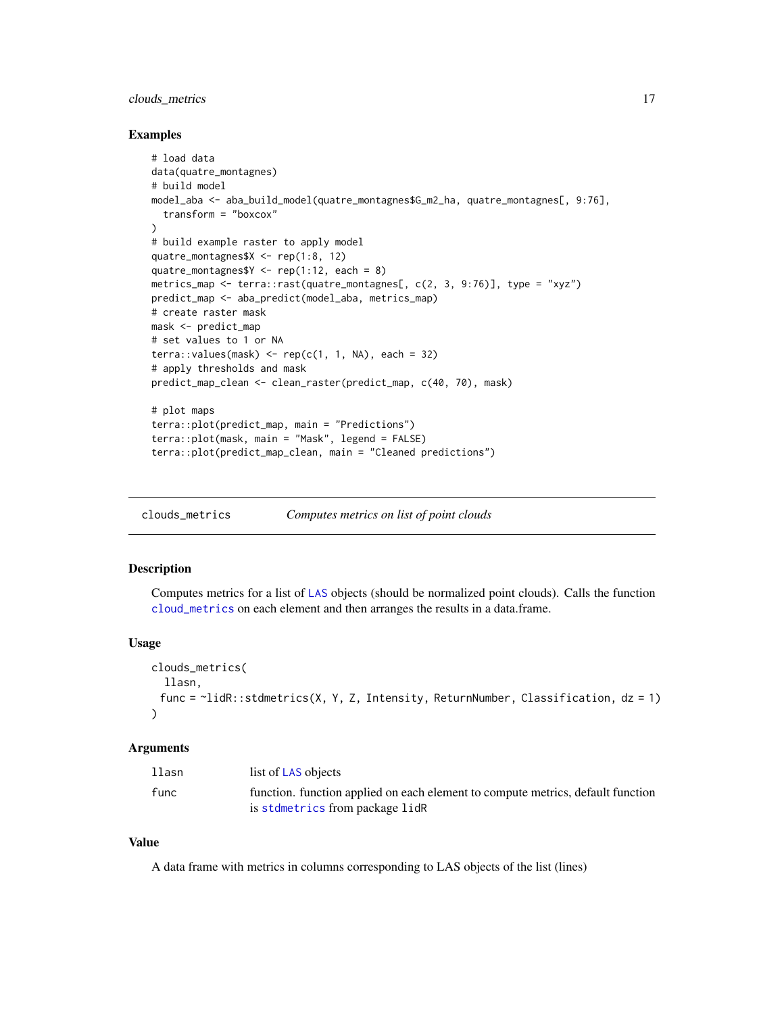# <span id="page-16-0"></span>clouds\_metrics 17

### Examples

```
# load data
data(quatre_montagnes)
# build model
model_aba <- aba_build_model(quatre_montagnes$G_m2_ha, quatre_montagnes[, 9:76],
  transform = "boxcox"
)
# build example raster to apply model
quatre_montagnes$X <- rep(1:8, 12)
quatre_montagnes$Y \leq rep(1:12, each = 8)
metrics_map <- terra::rast(quatre_montagnes[, c(2, 3, 9:76)], type = "xyz")
predict_map <- aba_predict(model_aba, metrics_map)
# create raster mask
mask <- predict_map
# set values to 1 or NA
terra::values(maxk) \leq rep(c(1, 1, NA), each = 32)# apply thresholds and mask
predict_map_clean <- clean_raster(predict_map, c(40, 70), mask)
# plot maps
terra::plot(predict_map, main = "Predictions")
terra::plot(mask, main = "Mask", legend = FALSE)
terra::plot(predict_map_clean, main = "Cleaned predictions")
```
<span id="page-16-1"></span>clouds\_metrics *Computes metrics on list of point clouds*

# Description

Computes metrics for a list of [LAS](#page-0-0) objects (should be normalized point clouds). Calls the function [cloud\\_metrics](#page-0-0) on each element and then arranges the results in a data.frame.

### Usage

```
clouds_metrics(
  llasn,
 func = ~lidR::stdmetrics(X, Y, Z, Intensity, ReturnNumber, Classification, dz = 1)
\lambda
```
### Arguments

| llasn | list of LAS objects                                                             |
|-------|---------------------------------------------------------------------------------|
| func  | function. function applied on each element to compute metrics, default function |
|       | is stdmetrics from package lidR                                                 |

### Value

A data frame with metrics in columns corresponding to LAS objects of the list (lines)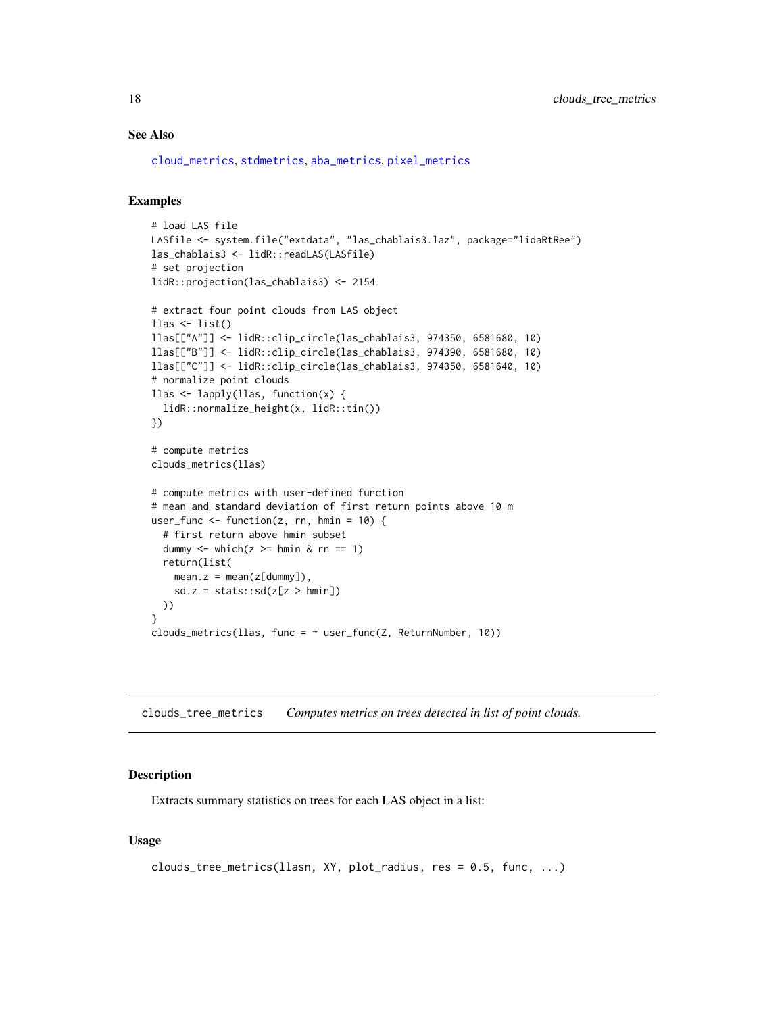# <span id="page-17-0"></span>See Also

[cloud\\_metrics](#page-0-0), [stdmetrics](#page-0-0), [aba\\_metrics](#page-6-1), [pixel\\_metrics](#page-0-0)

### Examples

```
# load LAS file
LASfile <- system.file("extdata", "las_chablais3.laz", package="lidaRtRee")
las_chablais3 <- lidR::readLAS(LASfile)
# set projection
lidR::projection(las_chablais3) <- 2154
# extract four point clouds from LAS object
\text{llas} \leftarrow \text{list}()llas[["A"]] <- lidR::clip_circle(las_chablais3, 974350, 6581680, 10)
llas[["B"]] <- lidR::clip_circle(las_chablais3, 974390, 6581680, 10)
llas[["C"]] <- lidR::clip_circle(las_chablais3, 974350, 6581640, 10)
# normalize point clouds
llas <- lapply(llas, function(x) {
  lidR::normalize_height(x, lidR::tin())
})
# compute metrics
clouds_metrics(llas)
# compute metrics with user-defined function
# mean and standard deviation of first return points above 10 m
user_func <- function(z, rn, hmin = 10) {
  # first return above hmin subset
  dummy \le which(z \ge hmin & rn == 1)
  return(list(
    mean.z = mean(z[dummy]),sd.z = stats::sd(z[z > hmin])))
}
clouds_metrics(llas, func = \sim user_func(Z, ReturnNumber, 10))
```
<span id="page-17-1"></span>clouds\_tree\_metrics *Computes metrics on trees detected in list of point clouds.*

### Description

Extracts summary statistics on trees for each LAS object in a list:

### Usage

```
clouds_tree_metrics(llasn, XY, plot_radius, res = 0.5, func, ...)
```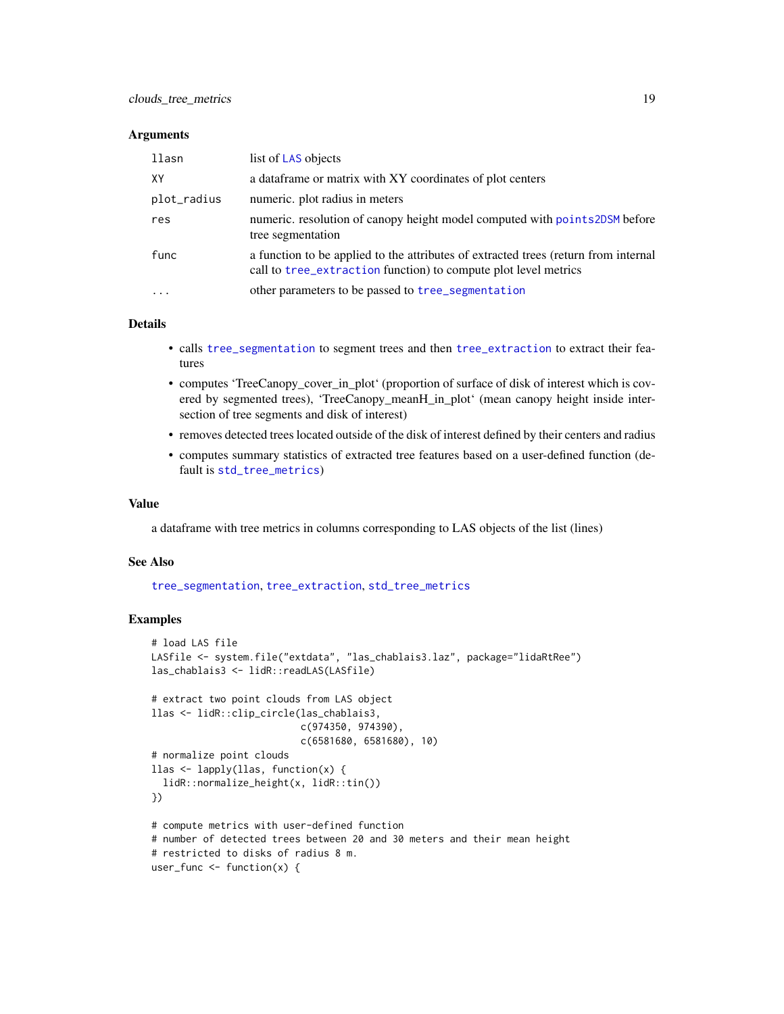### <span id="page-18-0"></span>**Arguments**

| llasn       | list of LAS objects                                                                                                                                    |
|-------------|--------------------------------------------------------------------------------------------------------------------------------------------------------|
| XY          | a data frame or matrix with XY coordinates of plot centers                                                                                             |
| plot_radius | numeric. plot radius in meters                                                                                                                         |
| res         | numeric. resolution of canopy height model computed with points2DSM before<br>tree segmentation                                                        |
| func        | a function to be applied to the attributes of extracted trees (return from internal<br>call to tree_extraction function) to compute plot level metrics |
| $\ddots$    | other parameters to be passed to tree_segmentation                                                                                                     |

# Details

- calls [tree\\_segmentation](#page-59-1) to segment trees and then [tree\\_extraction](#page-56-1) to extract their features
- computes 'TreeCanopy\_cover\_in\_plot' (proportion of surface of disk of interest which is covered by segmented trees), 'TreeCanopy\_meanH\_in\_plot' (mean canopy height inside intersection of tree segments and disk of interest)
- removes detected trees located outside of the disk of interest defined by their centers and radius
- computes summary statistics of extracted tree features based on a user-defined function (default is [std\\_tree\\_metrics](#page-53-1))

### Value

a dataframe with tree metrics in columns corresponding to LAS objects of the list (lines)

# See Also

[tree\\_segmentation](#page-59-1), [tree\\_extraction](#page-56-1), [std\\_tree\\_metrics](#page-53-1)

```
# load LAS file
LASfile <- system.file("extdata", "las_chablais3.laz", package="lidaRtRee")
las_chablais3 <- lidR::readLAS(LASfile)
# extract two point clouds from LAS object
llas <- lidR::clip_circle(las_chablais3,
                          c(974350, 974390),
                          c(6581680, 6581680), 10)
# normalize point clouds
llas <- lapply(llas, function(x) {
  lidR::normalize_height(x, lidR::tin())
})
# compute metrics with user-defined function
# number of detected trees between 20 and 30 meters and their mean height
# restricted to disks of radius 8 m.
user_func <- function(x) {
```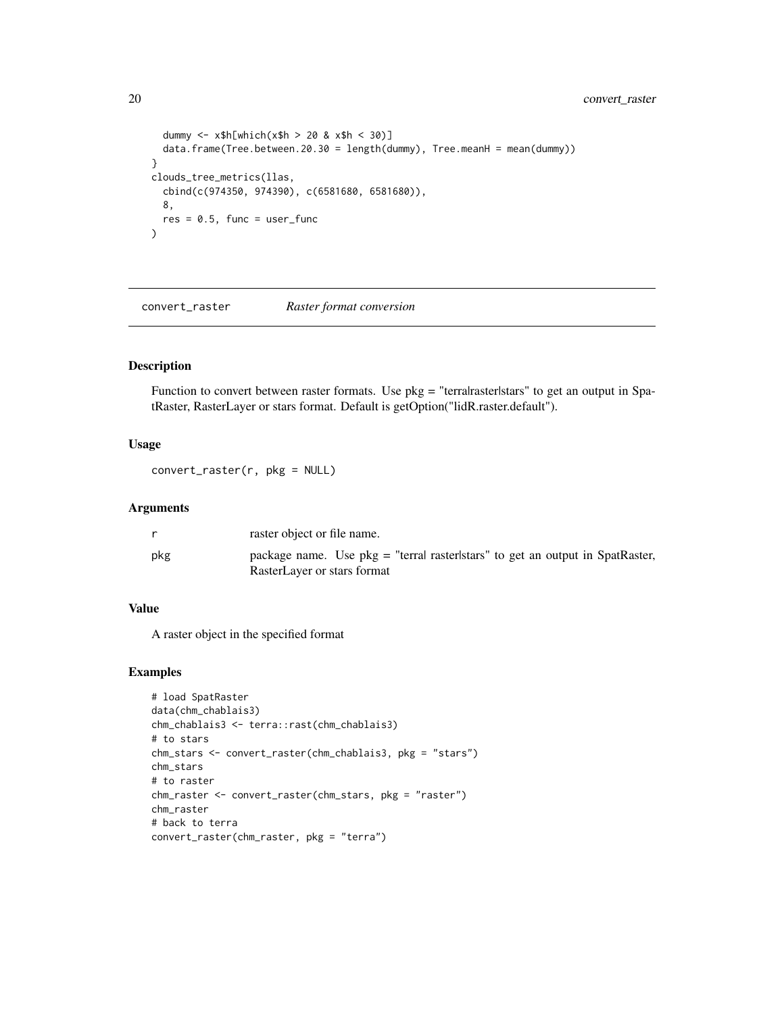```
dummy <- x$h[which(x$h > 20 & x$h < 30)]
  data.frame(Tree.between.20.30 = length(dummy), Tree.meanH = mean(dummy))
}
clouds_tree_metrics(llas,
  cbind(c(974350, 974390), c(6581680, 6581680)),
  8,
  res = 0.5, func = user_func
\mathcal{L}
```
convert\_raster *Raster format conversion*

# Description

Function to convert between raster formats. Use pkg = "terralrasterlstars" to get an output in SpatRaster, RasterLayer or stars format. Default is getOption("lidR.raster.default").

# Usage

convert\_raster(r, pkg = NULL)

# Arguments

|     | raster object or file name.                                                                                    |
|-----|----------------------------------------------------------------------------------------------------------------|
| pkg | package name. Use $pkg =$ "terral raster stars" to get an output in SpatRaster,<br>RasterLayer or stars format |

## Value

A raster object in the specified format

```
# load SpatRaster
data(chm_chablais3)
chm_chablais3 <- terra::rast(chm_chablais3)
# to stars
chm_stars <- convert_raster(chm_chablais3, pkg = "stars")
chm_stars
# to raster
chm_raster <- convert_raster(chm_stars, pkg = "raster")
chm_raster
# back to terra
convert_raster(chm_raster, pkg = "terra")
```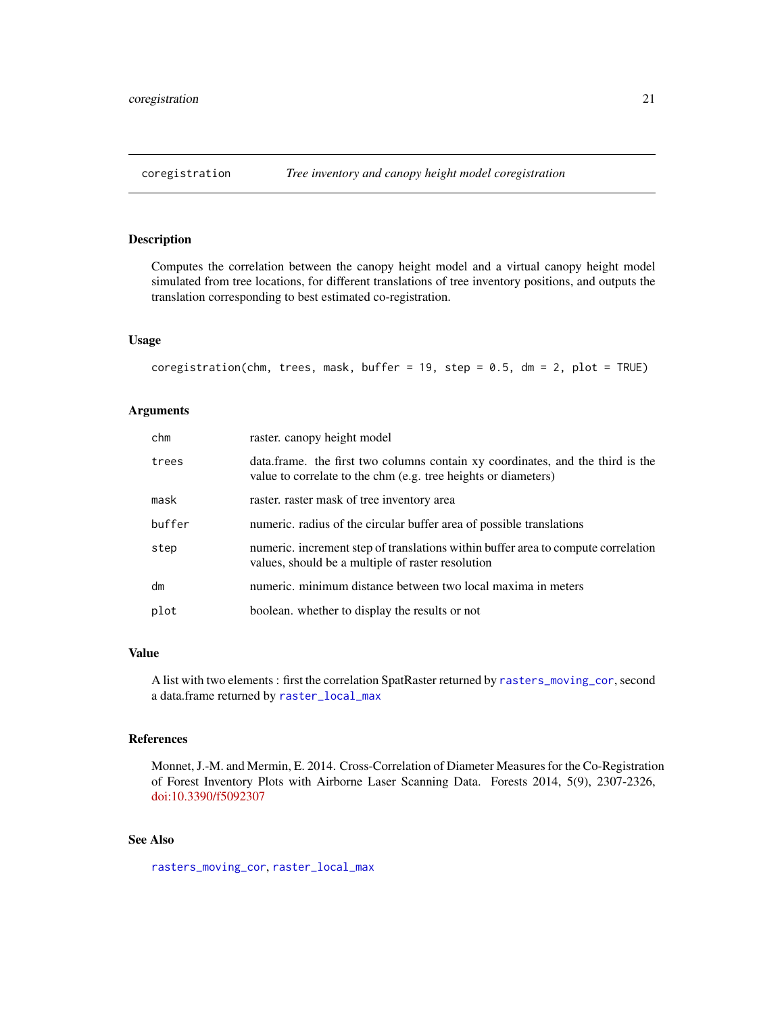# <span id="page-20-1"></span><span id="page-20-0"></span>Description

Computes the correlation between the canopy height model and a virtual canopy height model simulated from tree locations, for different translations of tree inventory positions, and outputs the translation corresponding to best estimated co-registration.

### Usage

```
coregistration(chm, trees, mask, buffer = 19, step = 0.5, dm = 2, plot = TRUE)
```
# Arguments

| chm    | raster, can opy height model                                                                                                                     |
|--------|--------------------------------------------------------------------------------------------------------------------------------------------------|
| trees  | data.frame. the first two columns contain xy coordinates, and the third is the<br>value to correlate to the chm (e.g. tree heights or diameters) |
| mask   | raster, raster mask of tree inventory area                                                                                                       |
| buffer | numeric, radius of the circular buffer area of possible translations                                                                             |
| step   | numeric, increment step of translations within buffer area to compute correlation<br>values, should be a multiple of raster resolution           |
| dm     | numeric. minimum distance between two local maxima in meters                                                                                     |
| plot   | boolean. whether to display the results or not                                                                                                   |

# Value

A list with two elements : first the correlation SpatRaster returned by [rasters\\_moving\\_cor](#page-43-1), second a data.frame returned by [raster\\_local\\_max](#page-45-1)

# References

Monnet, J.-M. and Mermin, E. 2014. Cross-Correlation of Diameter Measures for the Co-Registration of Forest Inventory Plots with Airborne Laser Scanning Data. Forests 2014, 5(9), 2307-2326, [doi:10.3390/f5092307](https://doi.org/10.3390/f5092307)

# See Also

[rasters\\_moving\\_cor](#page-43-1), [raster\\_local\\_max](#page-45-1)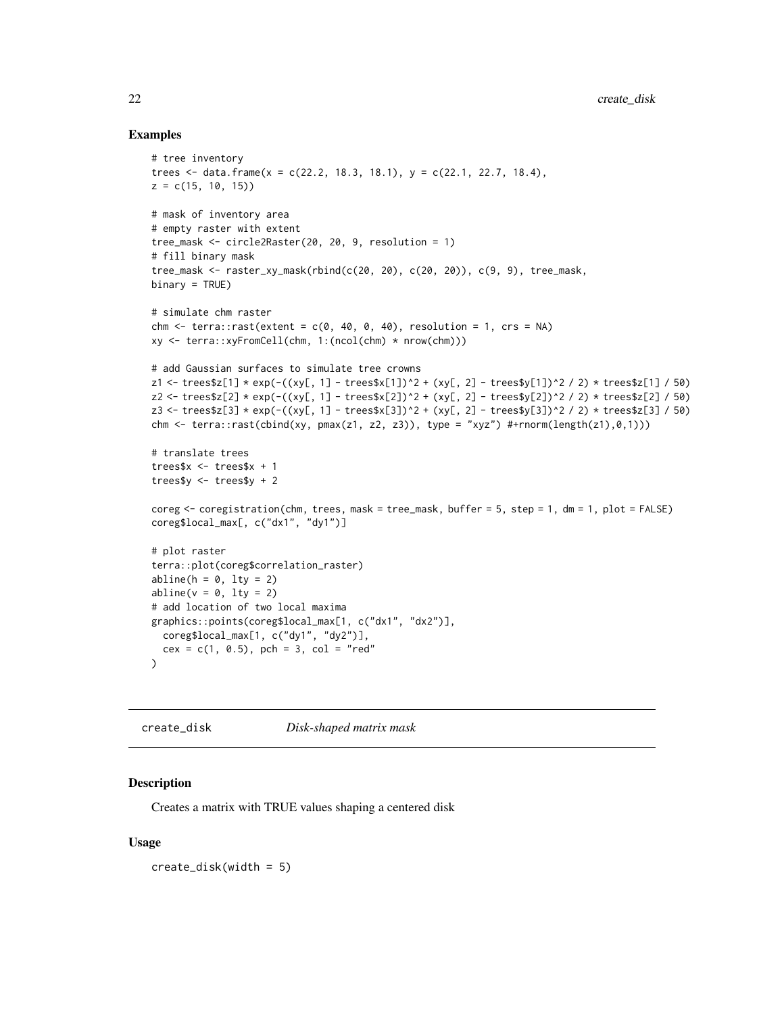# <span id="page-21-0"></span>Examples

```
# tree inventory
trees \le data.frame(x = c(22.2, 18.3, 18.1), y = c(22.1, 22.7, 18.4),
z = c(15, 10, 15)# mask of inventory area
# empty raster with extent
tree_mask <- circle2Raster(20, 20, 9, resolution = 1)
# fill binary mask
tree_mask <- raster_xy_mask(rbind(c(20, 20), c(20, 20)), c(9, 9), tree_mask,
binary = TRUE)
# simulate chm raster
chm \le terra::rast(extent = c(0, 40, 0, 40), resolution = 1, crs = NA)
xy <- terra::xyFromCell(chm, 1:(ncol(chm) * nrow(chm)))
# add Gaussian surfaces to simulate tree crowns
z1 <- trees$z[1] * exp(-((xy[, 1] - trees$x[1])^2 + (xy[, 2] - trees$y[1])^2 / 2) * trees$z[1] / 50)
z2 <- trees$z[2] * exp(-((xy[, 1] - trees$x[2])^2 + (xy[, 2] - trees$y[2])^2 / 2) * trees$z[2] / 50)
z3 <- trees$z[3] * exp(-((xy[, 1] - trees$x[3])^2 + (xy[, 2] - trees$y[3])^2 / 2) * trees$z[3] / 50)
chm <- terra::rast(cbind(xy, pmax(z1, z2, z3)), type = "xyz") #+rnorm(length(z1),0,1)))
# translate trees
trees$x <- trees$x + 1
trees$y <- trees$y + 2
coreg <- coregistration(chm, trees, mask = tree_mask, buffer = 5, step = 1, dm = 1, plot = FALSE)
coreg$local_max[, c("dx1", "dy1")]
# plot raster
terra::plot(coreg$correlation_raster)
abline(h = 0, 1ty = 2)abline(v = 0, lty = 2)# add location of two local maxima
graphics::points(coreg$local_max[1, c("dx1", "dx2")],
  coreg$local_max[1, c("dy1", "dy2")],
  cex = c(1, 0.5), pch = 3, col = "red"
\mathcal{L}
```
create\_disk *Disk-shaped matrix mask*

# Description

Creates a matrix with TRUE values shaping a centered disk

# Usage

create\_disk(width = 5)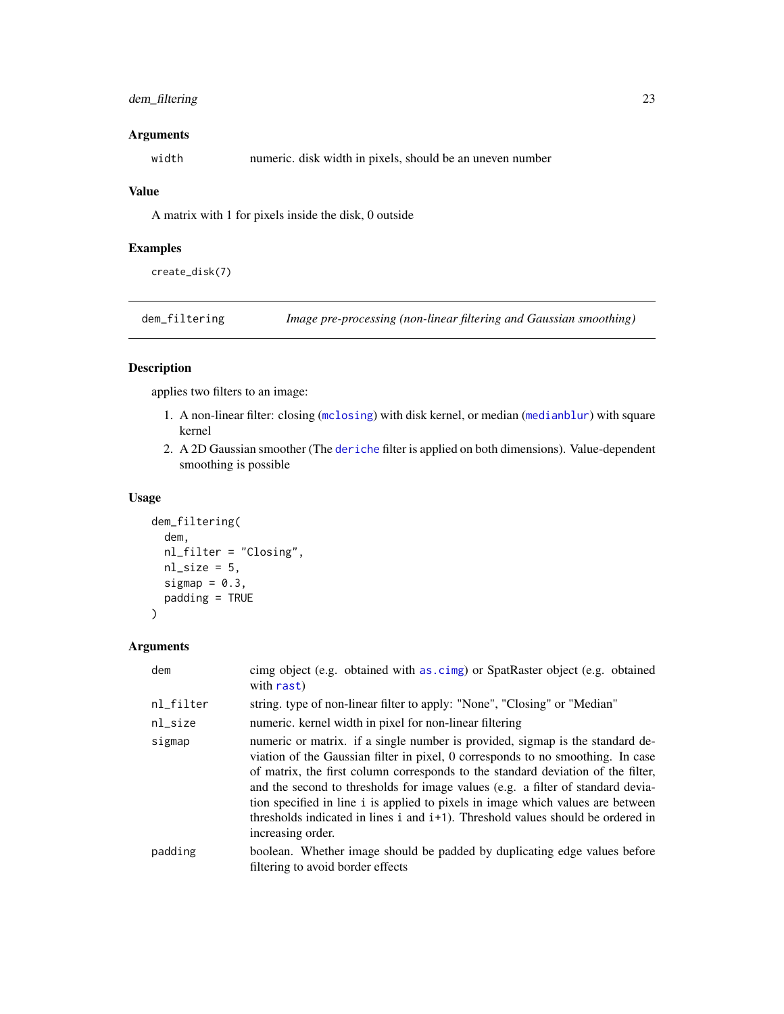# <span id="page-22-0"></span>dem\_filtering 23

# Arguments

width numeric. disk width in pixels, should be an uneven number

# Value

A matrix with 1 for pixels inside the disk, 0 outside

# Examples

create\_disk(7)

<span id="page-22-1"></span>dem\_filtering *Image pre-processing (non-linear filtering and Gaussian smoothing)*

# Description

applies two filters to an image:

- 1. A non-linear filter: closing ([mclosing](#page-0-0)) with disk kernel, or median ([medianblur](#page-0-0)) with square kernel
- 2. A 2D Gaussian smoother (The [deriche](#page-0-0) filter is applied on both dimensions). Value-dependent smoothing is possible

# Usage

```
dem_filtering(
  dem,
  nl_filter = "Closing",
  nl\_size = 5,
  sigmap = 0.3,
  padding = TRUE
\mathcal{L}
```
# Arguments

| dem       | cimg object (e.g. obtained with as.cimg) or SpatRaster object (e.g. obtained<br>with rast)                                                                                                                                                                                                                                                                                                                                                                                                                                                      |
|-----------|-------------------------------------------------------------------------------------------------------------------------------------------------------------------------------------------------------------------------------------------------------------------------------------------------------------------------------------------------------------------------------------------------------------------------------------------------------------------------------------------------------------------------------------------------|
| nl_filter | string. type of non-linear filter to apply: "None", "Closing" or "Median"                                                                                                                                                                                                                                                                                                                                                                                                                                                                       |
| nl_size   | numeric. kernel width in pixel for non-linear filtering                                                                                                                                                                                                                                                                                                                                                                                                                                                                                         |
| sigmap    | numeric or matrix. if a single number is provided, sigmap is the standard de-<br>viation of the Gaussian filter in pixel, 0 corresponds to no smoothing. In case<br>of matrix, the first column corresponds to the standard deviation of the filter,<br>and the second to thresholds for image values (e.g. a filter of standard devia-<br>tion specified in line i is applied to pixels in image which values are between<br>thresholds indicated in lines i and i <sup>+1</sup> ). Threshold values should be ordered in<br>increasing order. |
| padding   | boolean. Whether image should be padded by duplicating edge values before<br>filtering to avoid border effects                                                                                                                                                                                                                                                                                                                                                                                                                                  |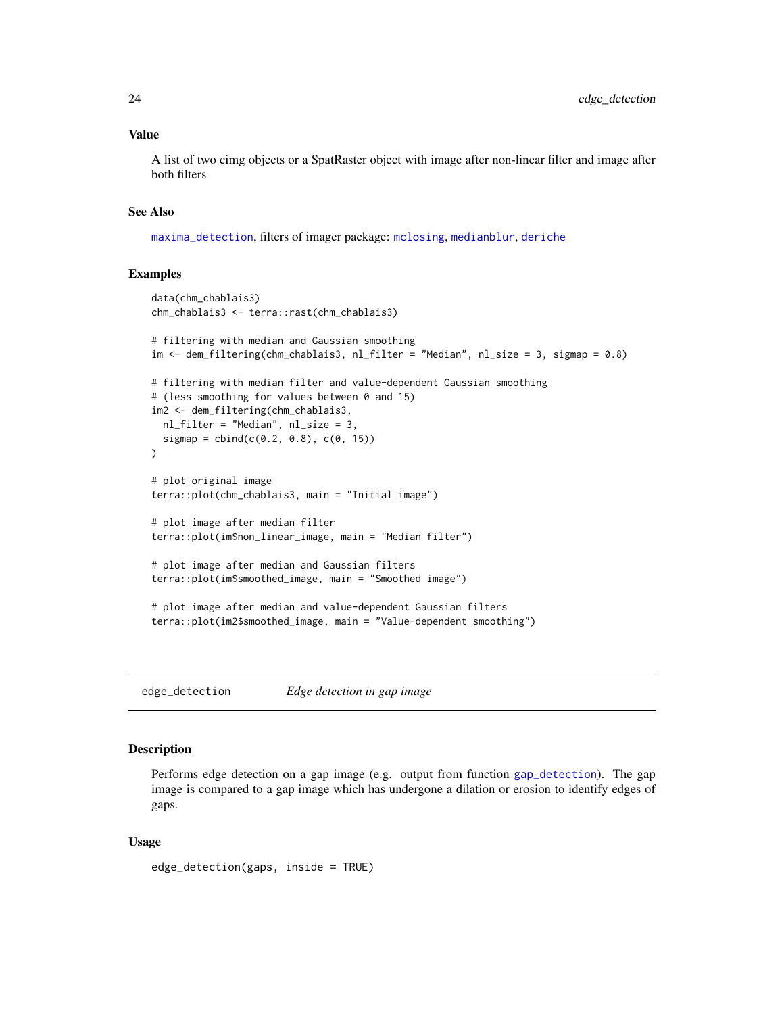### <span id="page-23-0"></span>Value

A list of two cimg objects or a SpatRaster object with image after non-linear filter and image after both filters

# See Also

[maxima\\_detection](#page-32-1), filters of imager package: [mclosing](#page-0-0), [medianblur](#page-0-0), [deriche](#page-0-0)

# Examples

```
data(chm_chablais3)
chm_chablais3 <- terra::rast(chm_chablais3)
# filtering with median and Gaussian smoothing
im <- dem_filtering(chm_chablais3, nl_filter = "Median", nl_size = 3, sigmap = 0.8)
# filtering with median filter and value-dependent Gaussian smoothing
# (less smoothing for values between 0 and 15)
im2 <- dem_filtering(chm_chablais3,
 nl_filter = "Median", nl_size = 3,
 sigmap = cbind(c(0.2, 0.8), c(0, 15)))
# plot original image
terra::plot(chm_chablais3, main = "Initial image")
# plot image after median filter
terra::plot(im$non_linear_image, main = "Median filter")
# plot image after median and Gaussian filters
terra::plot(im$smoothed_image, main = "Smoothed image")
# plot image after median and value-dependent Gaussian filters
terra::plot(im2$smoothed_image, main = "Value-dependent smoothing")
```
<span id="page-23-1"></span>edge\_detection *Edge detection in gap image*

### **Description**

Performs edge detection on a gap image (e.g. output from function [gap\\_detection](#page-26-1)). The gap image is compared to a gap image which has undergone a dilation or erosion to identify edges of gaps.

### Usage

```
edge_detection(gaps, inside = TRUE)
```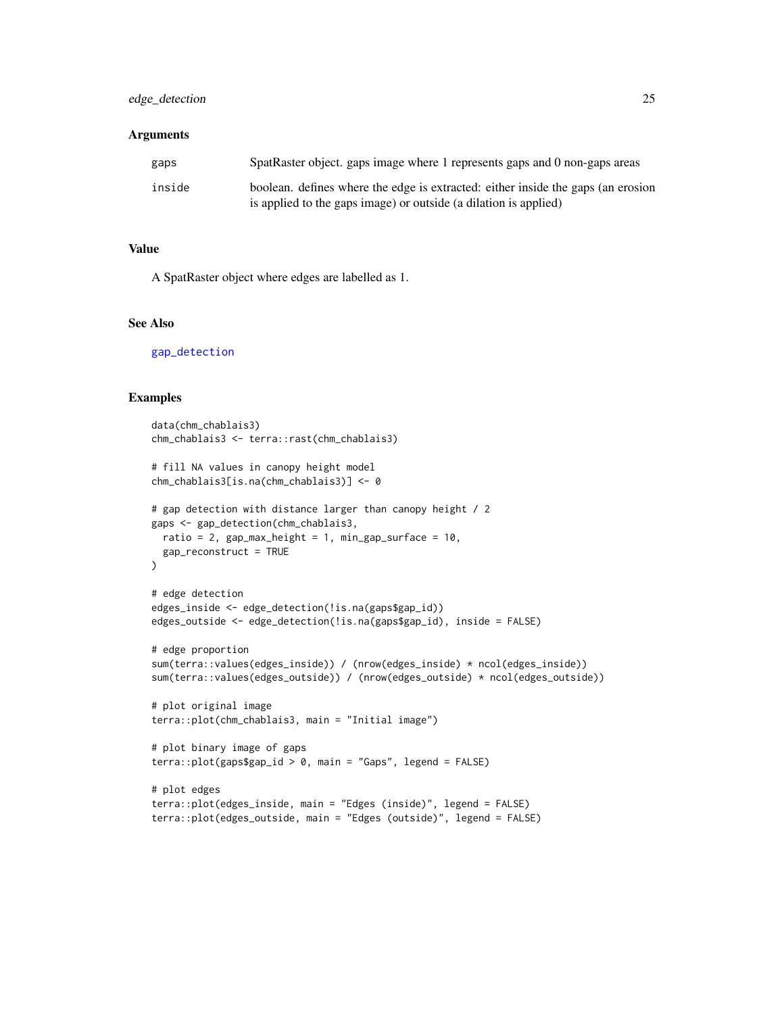# <span id="page-24-0"></span>edge\_detection 25

### **Arguments**

| gaps   | SpatRaster object. gaps image where 1 represents gaps and 0 non-gaps areas                                                                           |
|--------|------------------------------------------------------------------------------------------------------------------------------------------------------|
| inside | boolean, defines where the edge is extracted: either inside the gaps (an erosion<br>is applied to the gaps image) or outside (a dilation is applied) |

### Value

A SpatRaster object where edges are labelled as 1.

# See Also

[gap\\_detection](#page-26-1)

```
data(chm_chablais3)
chm_chablais3 <- terra::rast(chm_chablais3)
# fill NA values in canopy height model
chm_chablais3[is.na(chm_chablais3)] <- 0
# gap detection with distance larger than canopy height / 2
gaps <- gap_detection(chm_chablais3,
  ratio = 2, gap_max_height = 1, min_gap_surface = 10,
  gap_reconstruct = TRUE
\lambda# edge detection
edges_inside <- edge_detection(!is.na(gaps$gap_id))
edges_outside <- edge_detection(!is.na(gaps$gap_id), inside = FALSE)
# edge proportion
sum(terra::values(edges_inside)) / (nrow(edges_inside) * ncol(edges_inside))
sum(terra::values(edges_outside)) / (nrow(edges_outside) * ncol(edges_outside))
# plot original image
terra::plot(chm_chablais3, main = "Initial image")
# plot binary image of gaps
terra::plot(gaps$gap_id > 0, main = "Gaps", legend = FALSE)
# plot edges
terra::plot(edges_inside, main = "Edges (inside)", legend = FALSE)
terra::plot(edges_outside, main = "Edges (outside)", legend = FALSE)
```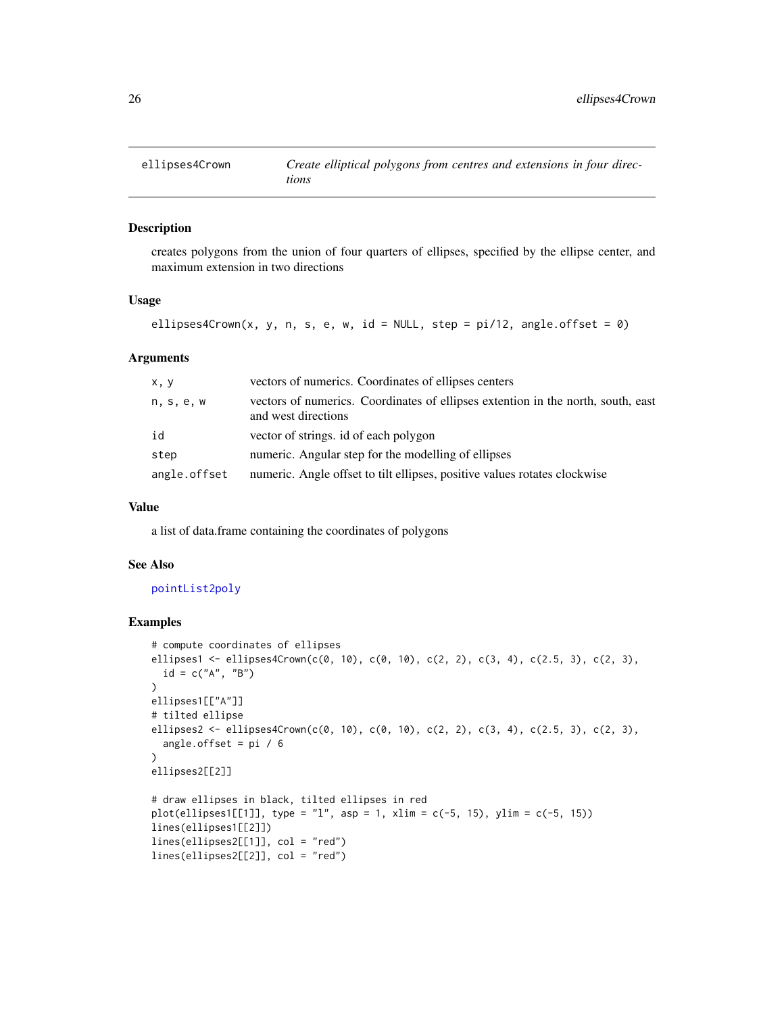<span id="page-25-1"></span><span id="page-25-0"></span>

### Description

creates polygons from the union of four quarters of ellipses, specified by the ellipse center, and maximum extension in two directions

### Usage

ellipses4Crown(x, y, n, s, e, w, id = NULL, step =  $pi/12$ , angle.offset = 0)

# Arguments

| x, y         | vectors of numerics. Coordinates of ellipses centers                                                    |
|--------------|---------------------------------------------------------------------------------------------------------|
| n, s, e, w   | vectors of numerics. Coordinates of ellipses extention in the north, south, east<br>and west directions |
| id           | vector of strings, id of each polygon                                                                   |
| step         | numeric. Angular step for the modelling of ellipses                                                     |
| angle.offset | numeric. Angle offset to tilt ellipses, positive values rotates clockwise                               |

# Value

a list of data.frame containing the coordinates of polygons

# See Also

### [pointList2poly](#page-36-1)

```
# compute coordinates of ellipses
ellipses1 <- ellipses4Crown(c(0, 10), c(0, 10), c(2, 2), c(3, 4), c(2.5, 3), c(2, 3),
  id = c("A", "B")\lambdaellipses1[["A"]]
# tilted ellipse
ellipses2 <- ellipses4Crown(c(0, 10), c(0, 10), c(2, 2), c(3, 4), c(2.5, 3), c(2, 3),
  angle.offset = pi / 6
)
ellipses2[[2]]
# draw ellipses in black, tilted ellipses in red
plot(ellipses1[[1]], type = "1", asp = 1, xlim = c(-5, 15), ylim = c(-5, 15))lines(ellipses1[[2]])
lines(ellipses2[[1]], col = "red")
lines(ellipses2[[2]], col = "red")
```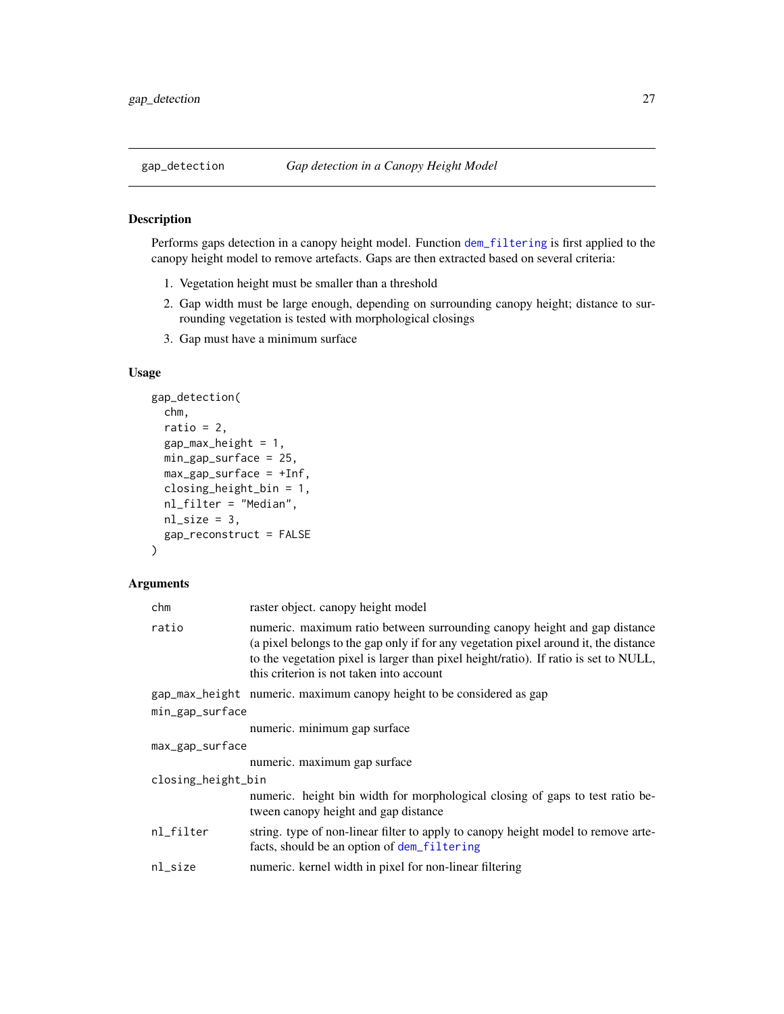# <span id="page-26-1"></span><span id="page-26-0"></span>Description

Performs gaps detection in a canopy height model. Function [dem\\_filtering](#page-22-1) is first applied to the canopy height model to remove artefacts. Gaps are then extracted based on several criteria:

- 1. Vegetation height must be smaller than a threshold
- 2. Gap width must be large enough, depending on surrounding canopy height; distance to surrounding vegetation is tested with morphological closings
- 3. Gap must have a minimum surface

# Usage

```
gap_detection(
 chm,
  ratio = 2,
  gap_max\_height = 1,
 min_gap_surface = 25,
 max_{gap\_surface} = +Inf,closing_height_bin = 1,
 nl_filter = "Median",
 nl\_size = 3,
  gap_reconstruct = FALSE
)
```
# Arguments

| chm                | raster object. canopy height model                                                                                                                                                                                                                                                                    |  |
|--------------------|-------------------------------------------------------------------------------------------------------------------------------------------------------------------------------------------------------------------------------------------------------------------------------------------------------|--|
| ratio              | numeric. maximum ratio between surrounding canopy height and gap distance<br>(a pixel belongs to the gap only if for any vegetation pixel around it, the distance<br>to the vegetation pixel is larger than pixel height/ratio). If ratio is set to NULL,<br>this criterion is not taken into account |  |
|                    | gap_max_height numeric. maximum canopy height to be considered as gap                                                                                                                                                                                                                                 |  |
| min_gap_surface    |                                                                                                                                                                                                                                                                                                       |  |
|                    | numeric. minimum gap surface                                                                                                                                                                                                                                                                          |  |
| max_gap_surface    |                                                                                                                                                                                                                                                                                                       |  |
|                    | numeric. maximum gap surface                                                                                                                                                                                                                                                                          |  |
| closing_height_bin |                                                                                                                                                                                                                                                                                                       |  |
|                    | numeric. height bin width for morphological closing of gaps to test ratio be-<br>tween canopy height and gap distance                                                                                                                                                                                 |  |
| nl_filter          | string. type of non-linear filter to apply to canopy height model to remove arte-<br>facts, should be an option of dem_filtering                                                                                                                                                                      |  |
| nl_size            | numeric. kernel width in pixel for non-linear filtering                                                                                                                                                                                                                                               |  |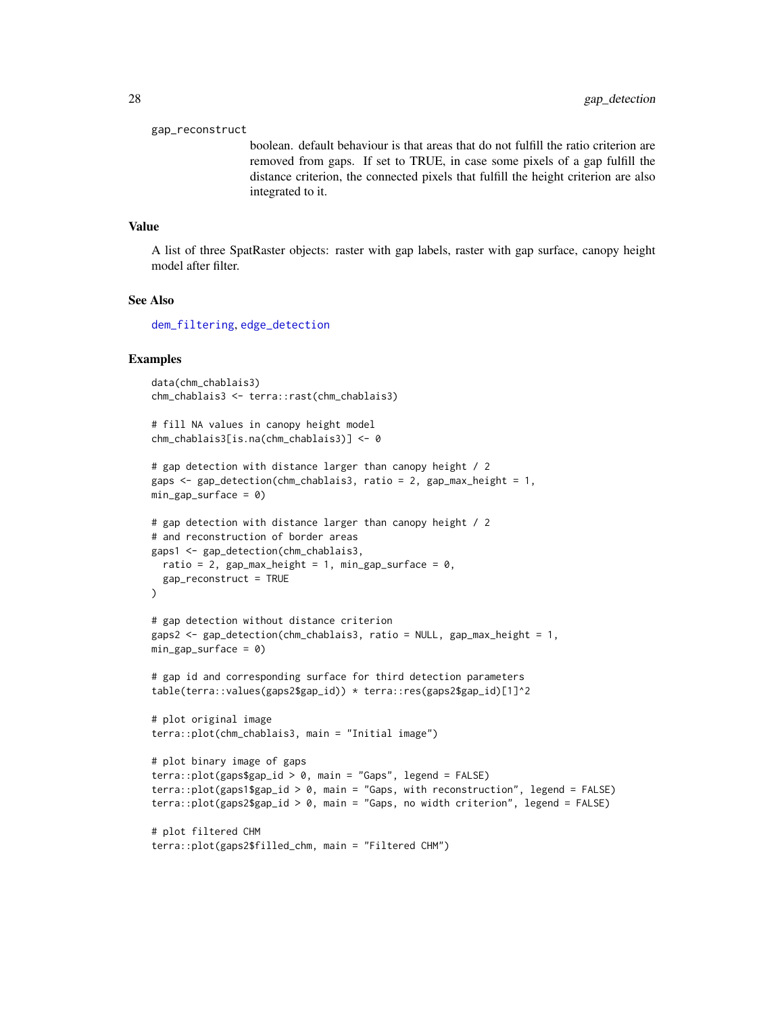### <span id="page-27-0"></span>gap\_reconstruct

boolean. default behaviour is that areas that do not fulfill the ratio criterion are removed from gaps. If set to TRUE, in case some pixels of a gap fulfill the distance criterion, the connected pixels that fulfill the height criterion are also integrated to it.

### Value

A list of three SpatRaster objects: raster with gap labels, raster with gap surface, canopy height model after filter.

### See Also

[dem\\_filtering](#page-22-1), [edge\\_detection](#page-23-1)

### Examples

 $\lambda$ 

```
data(chm_chablais3)
chm_chablais3 <- terra::rast(chm_chablais3)
```

```
# fill NA values in canopy height model
chm_chablais3[is.na(chm_chablais3)] <- 0
```

```
# gap detection with distance larger than canopy height / 2
gaps <- gap_detection(chm_chablais3, ratio = 2, gap_max_height = 1,
min\_gap\_surface = 0
```

```
# gap detection with distance larger than canopy height / 2
# and reconstruction of border areas
gaps1 <- gap_detection(chm_chablais3,
 ratio = 2, gap_max_height = 1, min_gap_surface = 0,
 gap_reconstruct = TRUE
```

```
# gap detection without distance criterion
gaps2 <- gap_detection(chm_chablais3, ratio = NULL, gap_max_height = 1,
min\_gap\_surface = 0
```

```
# gap id and corresponding surface for third detection parameters
table(terra::values(gaps2$gap_id)) * terra::res(gaps2$gap_id)[1]^2
```

```
# plot original image
terra::plot(chm_chablais3, main = "Initial image")
```

```
# plot binary image of gaps
terra::plot(gaps$gap_id > 0, main = "Gaps", legend = FALSE)
terra::plot(gaps1$gap_id > 0, main = "Gaps, with reconstruction", legend = FALSE)
terra::plot(gaps2$gap_id > 0, main = "Gaps, no width criterion", legend = FALSE)
```

```
# plot filtered CHM
terra::plot(gaps2$filled_chm, main = "Filtered CHM")
```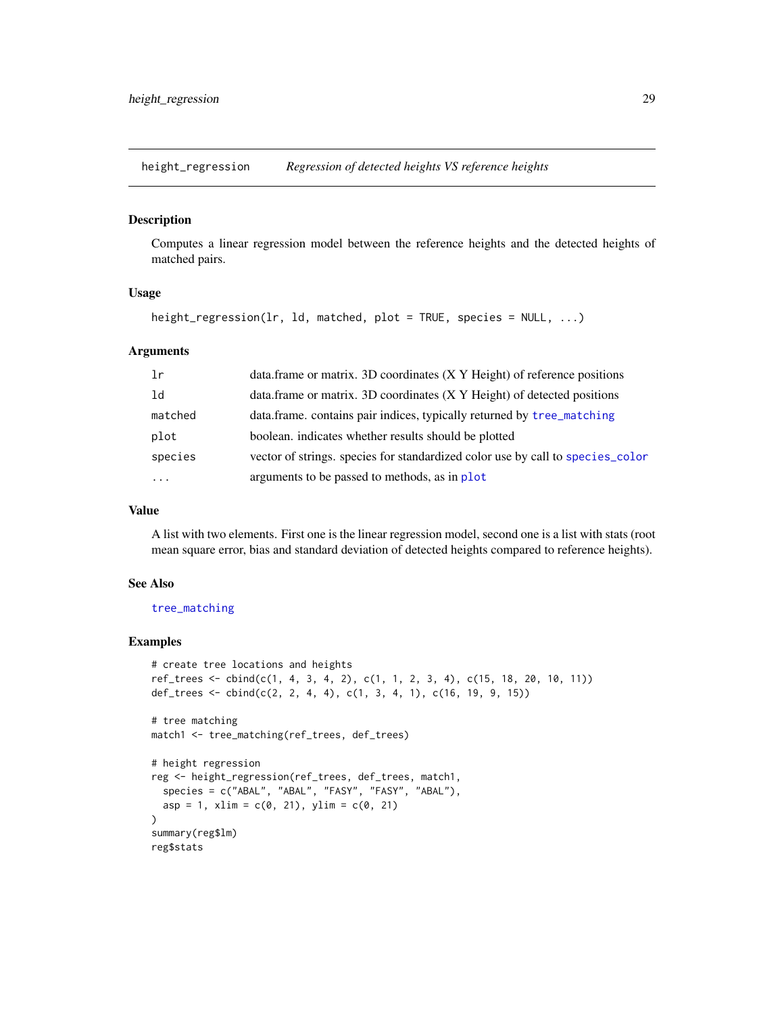<span id="page-28-0"></span>height\_regression *Regression of detected heights VS reference heights*

### Description

Computes a linear regression model between the reference heights and the detected heights of matched pairs.

# Usage

height\_regression(lr, ld, matched, plot = TRUE, species = NULL, ...)

### Arguments

| 1r      | data.frame or matrix. 3D coordinates (X Y Height) of reference positions       |
|---------|--------------------------------------------------------------------------------|
| ld      | data.frame or matrix. 3D coordinates (X Y Height) of detected positions        |
| matched | data.frame. contains pair indices, typically returned by tree_matching         |
| plot    | boolean, indicates whether results should be plotted                           |
| species | vector of strings, species for standardized color use by call to species_color |
| .       | arguments to be passed to methods, as in plot                                  |

### Value

A list with two elements. First one is the linear regression model, second one is a list with stats (root mean square error, bias and standard deviation of detected heights compared to reference heights).

### See Also

### [tree\\_matching](#page-58-1)

```
# create tree locations and heights
ref_trees <- cbind(c(1, 4, 3, 4, 2), c(1, 1, 2, 3, 4), c(15, 18, 20, 10, 11))
def_trees <- \text{cbind}(c(2, 2, 4, 4), c(1, 3, 4, 1), c(16, 19, 9, 15))# tree matching
match1 <- tree_matching(ref_trees, def_trees)
# height regression
reg <- height_regression(ref_trees, def_trees, match1,
  species = c("ABAL", "ABAL", "FASY", "FASY", "ABAL"),
  asp = 1, xlim = c(0, 21), ylim = c(0, 21))
summary(reg$lm)
reg$stats
```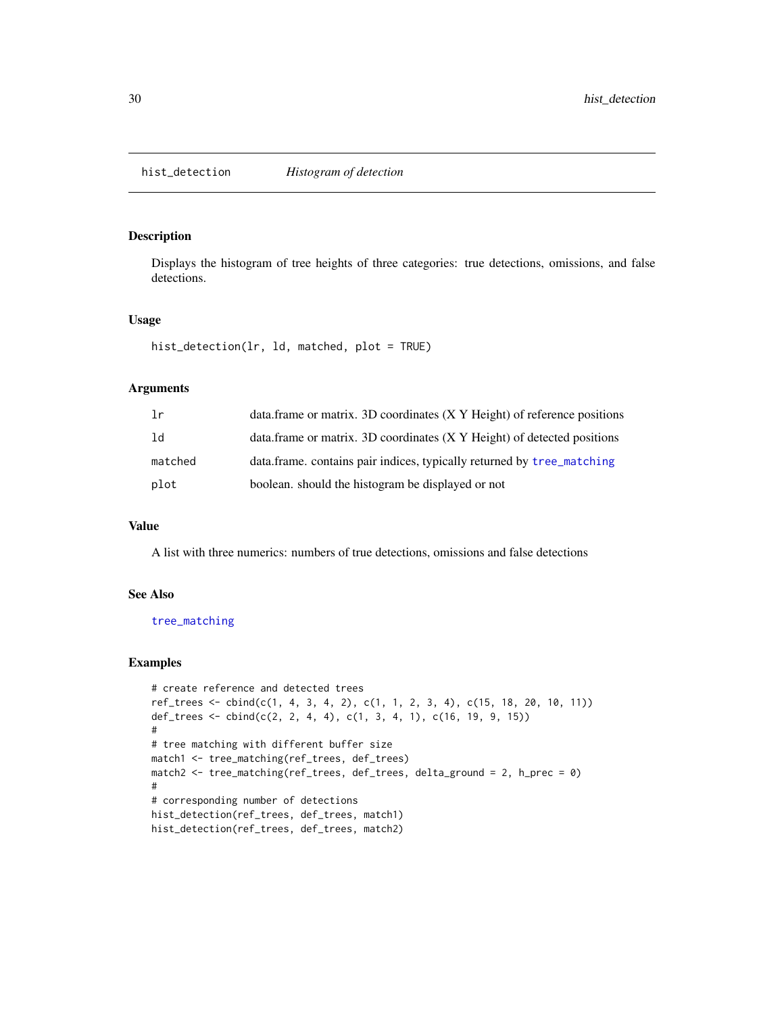<span id="page-29-1"></span><span id="page-29-0"></span>hist\_detection *Histogram of detection*

# Description

Displays the histogram of tree heights of three categories: true detections, omissions, and false detections.

# Usage

```
hist_detection(lr, ld, matched, plot = TRUE)
```
# Arguments

| 1r      | data.frame or matrix. 3D coordinates (X Y Height) of reference positions |
|---------|--------------------------------------------------------------------------|
| 1d      | data.frame or matrix. 3D coordinates (X Y Height) of detected positions  |
| matched | data.frame. contains pair indices, typically returned by tree_matching   |
| plot    | boolean, should the histogram be displayed or not                        |

# Value

A list with three numerics: numbers of true detections, omissions and false detections

### See Also

[tree\\_matching](#page-58-1)

```
# create reference and detected trees
ref_trees <- cbind(c(1, 4, 3, 4, 2), c(1, 1, 2, 3, 4), c(15, 18, 20, 10, 11))
def_trees <- cbind(c(2, 2, 4, 4), c(1, 3, 4, 1), c(16, 19, 9, 15))
#
# tree matching with different buffer size
match1 <- tree_matching(ref_trees, def_trees)
match2 <- tree_matching(ref_trees, def_trees, delta_ground = 2, h_prec = 0)
#
# corresponding number of detections
hist_detection(ref_trees, def_trees, match1)
hist_detection(ref_trees, def_trees, match2)
```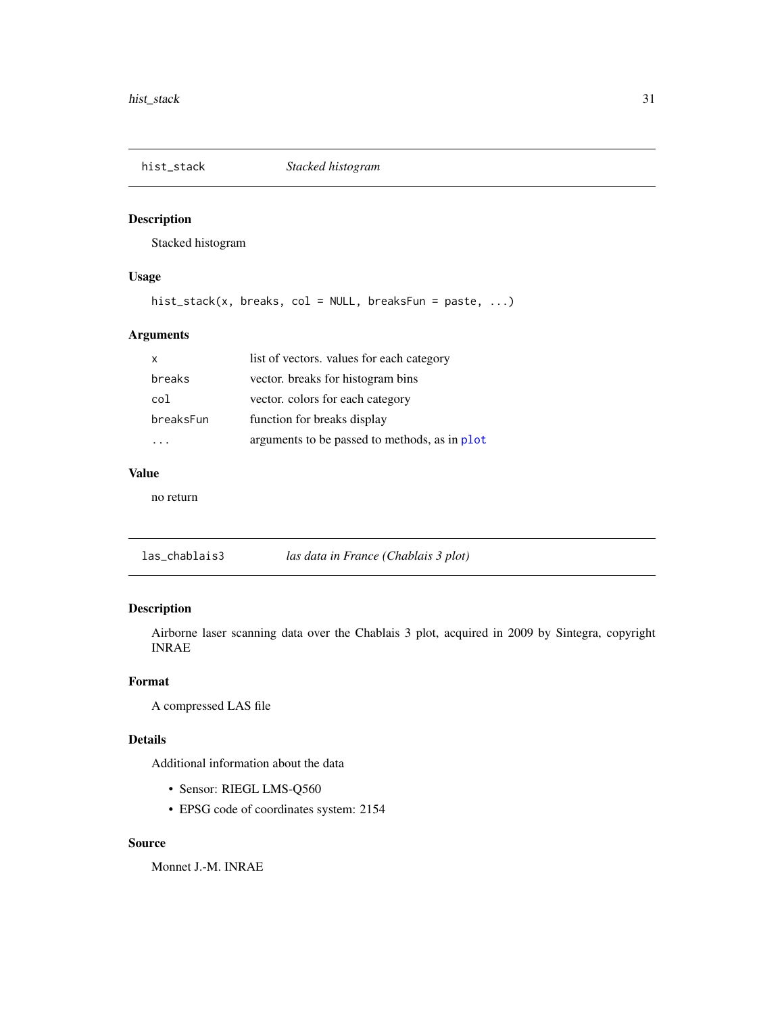<span id="page-30-0"></span>

# Description

Stacked histogram

# Usage

hist\_stack(x, breaks, col = NULL, breaksFun = paste, ...)

# Arguments

| x         | list of vectors. values for each category     |
|-----------|-----------------------------------------------|
| breaks    | vector. breaks for histogram bins             |
| col       | vector. colors for each category              |
| breaksFun | function for breaks display                   |
|           | arguments to be passed to methods, as in plot |

# Value

no return

las\_chablais3 *las data in France (Chablais 3 plot)*

# Description

Airborne laser scanning data over the Chablais 3 plot, acquired in 2009 by Sintegra, copyright INRAE

# Format

A compressed LAS file

# Details

Additional information about the data

- Sensor: RIEGL LMS-Q560
- EPSG code of coordinates system: 2154

# Source

Monnet J.-M. INRAE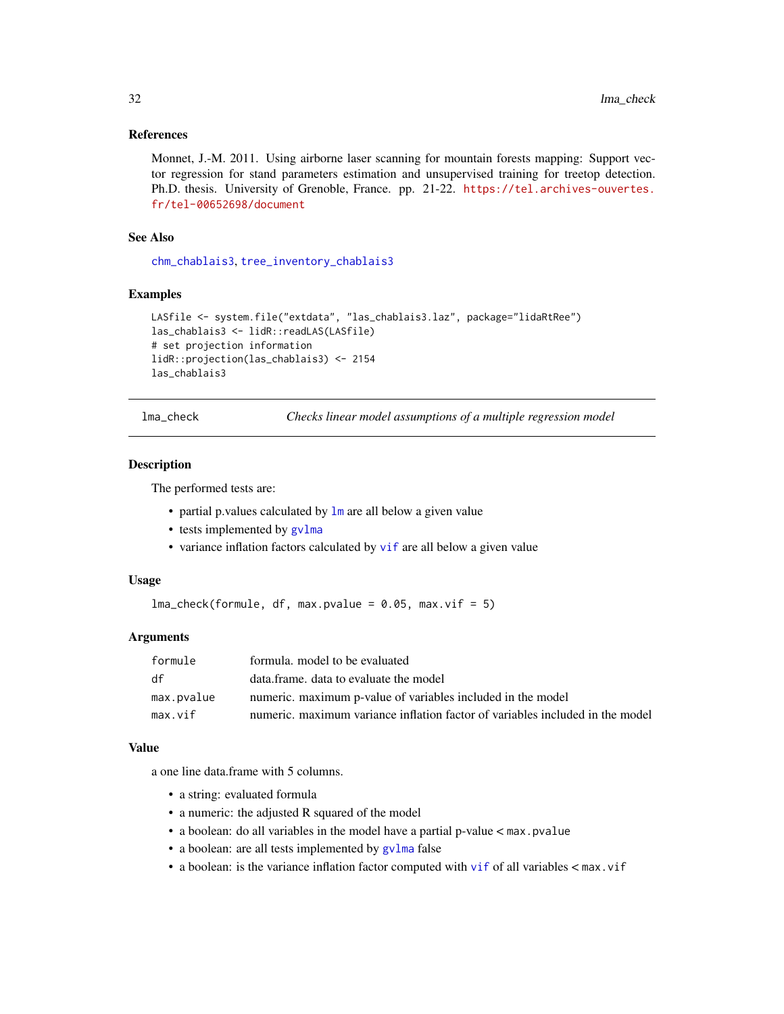### <span id="page-31-0"></span>References

Monnet, J.-M. 2011. Using airborne laser scanning for mountain forests mapping: Support vector regression for stand parameters estimation and unsupervised training for treetop detection. Ph.D. thesis. University of Grenoble, France. pp. 21-22. [https://tel.archives-ouvertes.](https://tel.archives-ouvertes.fr/tel-00652698/document) [fr/tel-00652698/document](https://tel.archives-ouvertes.fr/tel-00652698/document)

# See Also

[chm\\_chablais3](#page-13-1), [tree\\_inventory\\_chablais3](#page-57-1)

# Examples

```
LASfile <- system.file("extdata", "las_chablais3.laz", package="lidaRtRee")
las_chablais3 <- lidR::readLAS(LASfile)
# set projection information
lidR::projection(las_chablais3) <- 2154
las_chablais3
```
<span id="page-31-1"></span>lma\_check *Checks linear model assumptions of a multiple regression model*

# Description

The performed tests are:

- partial p.values calculated by  $\text{lm}$  $\text{lm}$  $\text{lm}$  are all below a given value
- tests implemented by  $gvlma$
- variance inflation factors calculated by [vif](#page-0-0) are all below a given value

### Usage

 $lma_check(formula, df, max.pvalue = 0.05, max.vif = 5)$ 

### Arguments

| formule    | formula. model to be evaluated                                                |
|------------|-------------------------------------------------------------------------------|
| df         | data.frame. data to evaluate the model                                        |
| max.pvalue | numeric, maximum p-value of variables included in the model                   |
| max.vif    | numeric, maximum variance inflation factor of variables included in the model |

# Value

a one line data.frame with 5 columns.

- a string: evaluated formula
- a numeric: the adjusted R squared of the model
- a boolean: do all variables in the model have a partial p-value < max.pvalue
- a boolean: are all tests implemented by [gvlma](#page-0-0) false
- a boolean: is the variance inflation factor computed with [vif](#page-0-0) of all variables < max.vif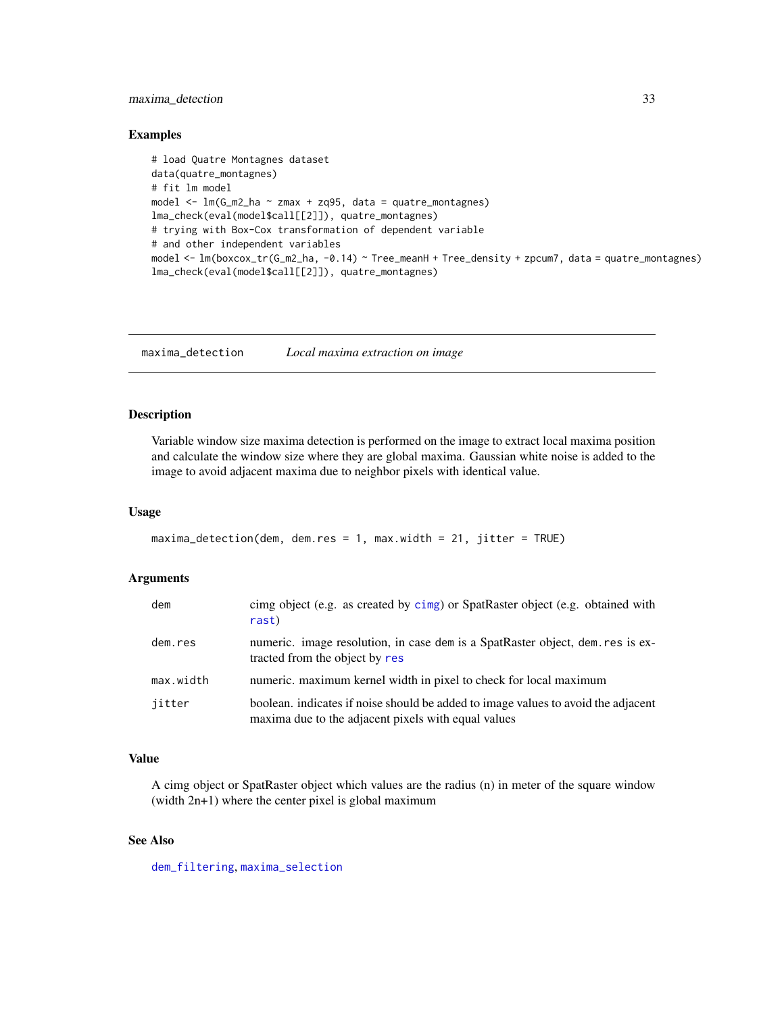# <span id="page-32-0"></span>maxima\_detection 33

# Examples

```
# load Quatre Montagnes dataset
data(quatre_montagnes)
# fit lm model
model \leq lm(G_m2_ha \sim zmax + zq95, data = quatre_montagnes)
lma_check(eval(model$call[[2]]), quatre_montagnes)
# trying with Box-Cox transformation of dependent variable
# and other independent variables
model <- lm(boxcox_tr(G_m2_ha, -0.14) ~ Tree_meanH + Tree_density + zpcum7, data = quatre_montagnes)
lma_check(eval(model$call[[2]]), quatre_montagnes)
```
<span id="page-32-1"></span>maxima\_detection *Local maxima extraction on image*

# Description

Variable window size maxima detection is performed on the image to extract local maxima position and calculate the window size where they are global maxima. Gaussian white noise is added to the image to avoid adjacent maxima due to neighbor pixels with identical value.

### Usage

```
maxima\_detection(dem, dem,res = 1, max<u>.width = 21, jitter = TRUE)</u>
```
# Arguments

| dem       | cimg object (e.g. as created by cimg) or SpatRaster object (e.g. obtained with<br>rast)                                                  |
|-----------|------------------------------------------------------------------------------------------------------------------------------------------|
| dem.res   | numeric. image resolution, in case dem is a SpatRaster object, dem. res is ex-<br>tracted from the object by res                         |
| max.width | numeric. maximum kernel width in pixel to check for local maximum                                                                        |
| iitter    | boolean. indicates if noise should be added to image values to avoid the adjacent<br>maxima due to the adjacent pixels with equal values |

# Value

A cimg object or SpatRaster object which values are the radius (n) in meter of the square window (width 2n+1) where the center pixel is global maximum

# See Also

[dem\\_filtering](#page-22-1), [maxima\\_selection](#page-33-1)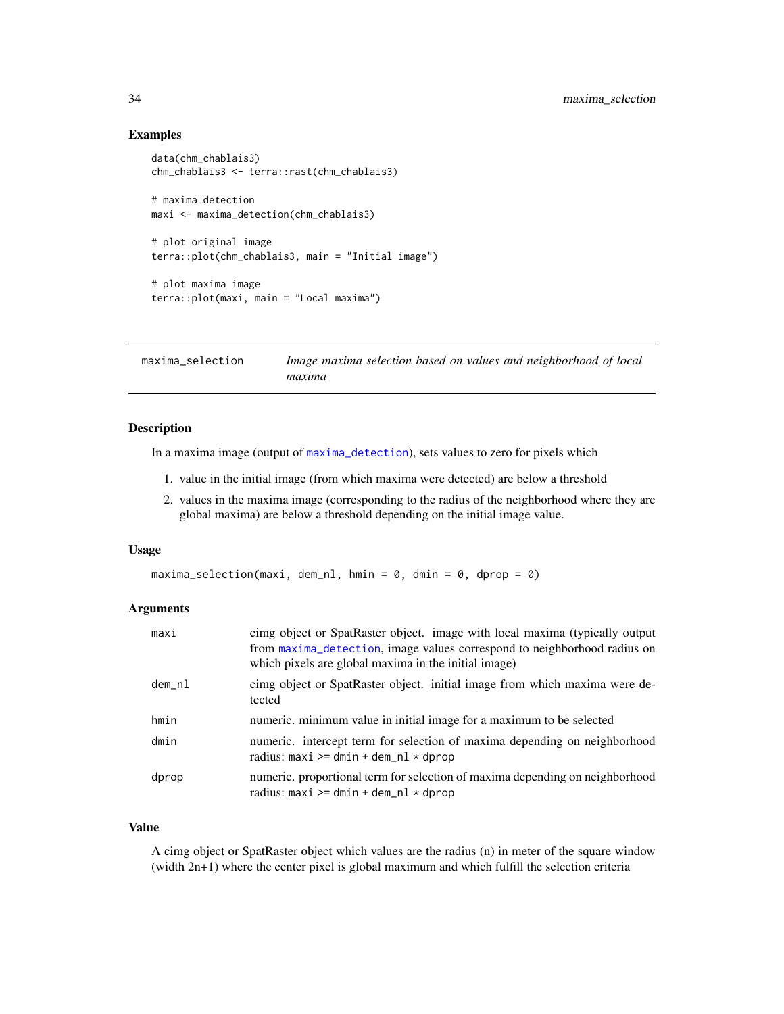# <span id="page-33-0"></span>Examples

```
data(chm_chablais3)
chm_chablais3 <- terra::rast(chm_chablais3)
# maxima detection
maxi <- maxima_detection(chm_chablais3)
# plot original image
terra::plot(chm_chablais3, main = "Initial image")
# plot maxima image
terra::plot(maxi, main = "Local maxima")
```
<span id="page-33-1"></span>maxima\_selection *Image maxima selection based on values and neighborhood of local maxima*

# Description

In a maxima image (output of [maxima\\_detection](#page-32-1)), sets values to zero for pixels which

- 1. value in the initial image (from which maxima were detected) are below a threshold
- 2. values in the maxima image (corresponding to the radius of the neighborhood where they are global maxima) are below a threshold depending on the initial image value.

### Usage

```
maxima\_selection(maxi, dem_n], hmin = 0, dmin = 0, dprop = 0)
```
## **Arguments**

| maxi   | cimg object or SpatRaster object. image with local maxima (typically output<br>from maxima_detection, image values correspond to neighborhood radius on<br>which pixels are global maxima in the initial image) |
|--------|-----------------------------------------------------------------------------------------------------------------------------------------------------------------------------------------------------------------|
| dem_nl | cimg object or SpatRaster object. initial image from which maxima were de-<br>tected                                                                                                                            |
| hmin   | numeric, minimum value in initial image for a maximum to be selected                                                                                                                                            |
| dmin   | numeric. intercept term for selection of maxima depending on neighborhood<br>radius: $maxi >= dmin + dem_n1 * dprop$                                                                                            |
| dprop  | numeric, proportional term for selection of maxima depending on neighborhood<br>radius: $maxi >= dmin + dem_n1 * dprop$                                                                                         |

### Value

A cimg object or SpatRaster object which values are the radius (n) in meter of the square window (width 2n+1) where the center pixel is global maximum and which fulfill the selection criteria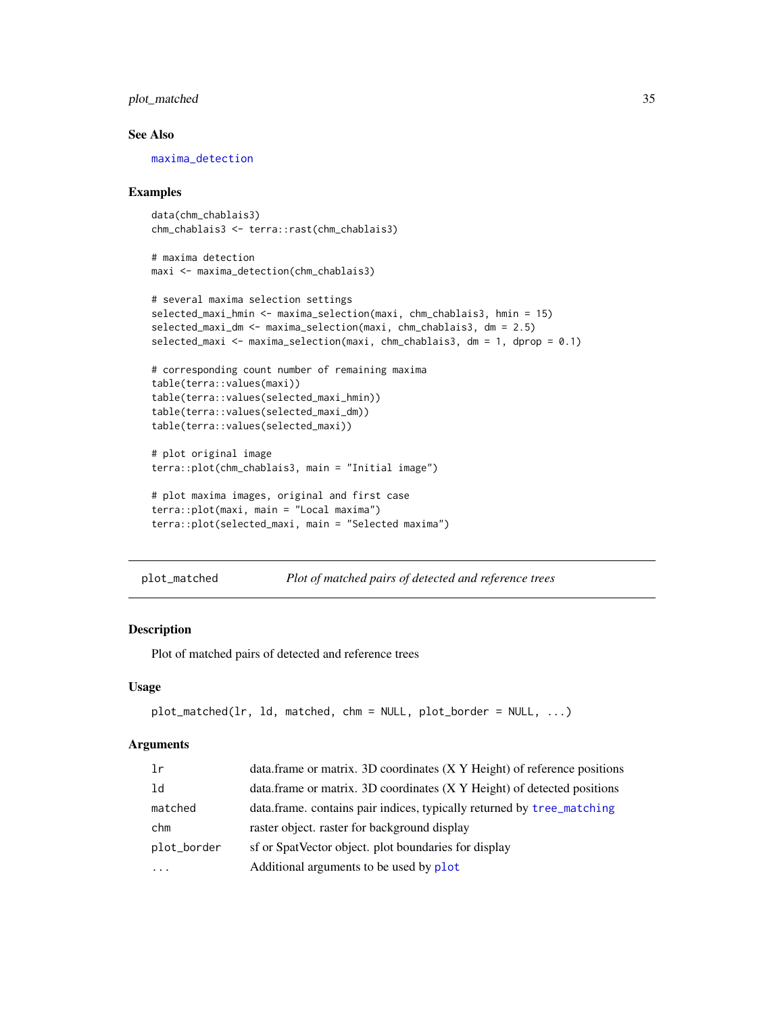# <span id="page-34-0"></span>plot\_matched 35

### See Also

[maxima\\_detection](#page-32-1)

### Examples

```
data(chm_chablais3)
chm_chablais3 <- terra::rast(chm_chablais3)
```

```
# maxima detection
maxi <- maxima_detection(chm_chablais3)
```

```
# several maxima selection settings
selected_maxi_hmin <- maxima_selection(maxi, chm_chablais3, hmin = 15)
selected_maxi_dm <- maxima_selection(maxi, chm_chablais3, dm = 2.5)
selected_maxi <- maxima_selection(maxi, chm_chablais3, dm = 1, dprop = 0.1)
```

```
# corresponding count number of remaining maxima
table(terra::values(maxi))
table(terra::values(selected_maxi_hmin))
table(terra::values(selected_maxi_dm))
table(terra::values(selected_maxi))
```

```
# plot original image
terra::plot(chm_chablais3, main = "Initial image")
```

```
# plot maxima images, original and first case
terra::plot(maxi, main = "Local maxima")
terra::plot(selected_maxi, main = "Selected maxima")
```

```
plot_matched Plot of matched pairs of detected and reference trees
```
# Description

Plot of matched pairs of detected and reference trees

### Usage

```
plot_matched(lr, ld, matched, chm = NULL, plot_border = NULL, ...)
```
### Arguments

| 1r          | data.frame or matrix. 3D coordinates (X Y Height) of reference positions  |
|-------------|---------------------------------------------------------------------------|
| 1d          | data.frame or matrix. 3D coordinates $(X Y Height)$ of detected positions |
| matched     | data.frame. contains pair indices, typically returned by tree_matching    |
| chm         | raster object, raster for background display                              |
| plot_border | sf or SpatVector object. plot boundaries for display                      |
| .           | Additional arguments to be used by plot                                   |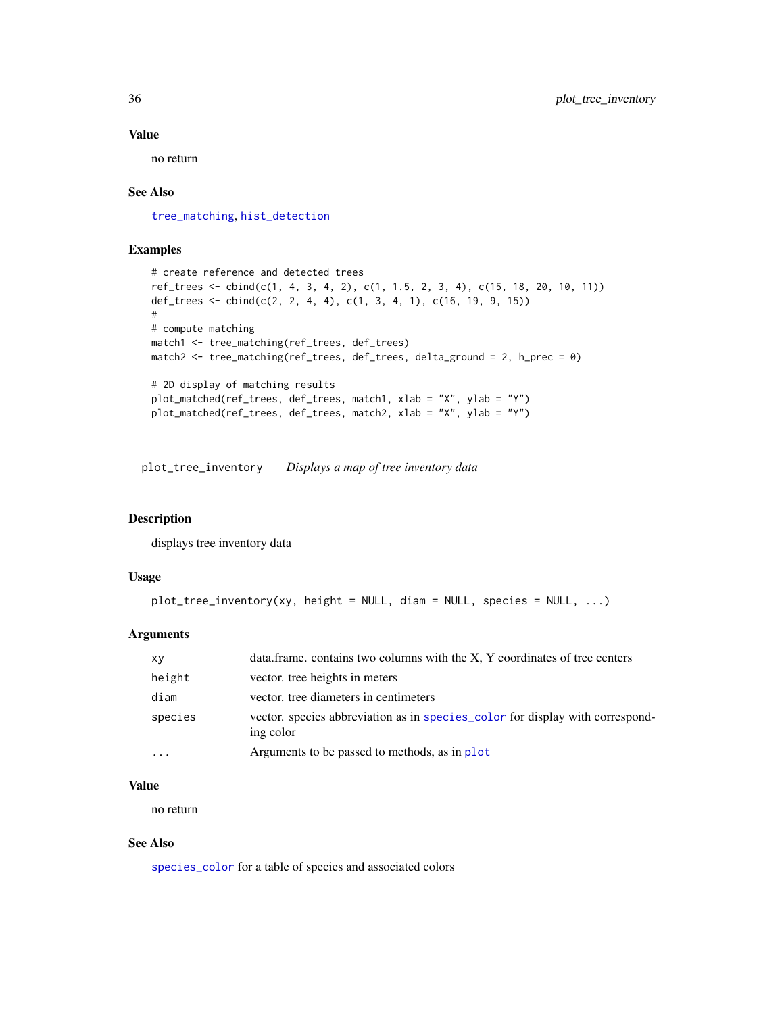# Value

no return

### See Also

[tree\\_matching](#page-58-1), [hist\\_detection](#page-29-1)

# Examples

```
# create reference and detected trees
ref_trees <- cbind(c(1, 4, 3, 4, 2), c(1, 1.5, 2, 3, 4), c(15, 18, 20, 10, 11))
def_trees <- cbind(c(2, 2, 4, 4), c(1, 3, 4, 1), c(16, 19, 9, 15))
#
# compute matching
match1 <- tree_matching(ref_trees, def_trees)
match2 <- tree_matching(ref_trees, def_trees, delta_ground = 2, h_prec = 0)
# 2D display of matching results
plot_matched(ref_trees, def_trees, match1, xlab = "X", ylab = "Y")
plot_matched(ref_trees, def_trees, match2, xlab = "X", ylab = "Y")
```
<span id="page-35-1"></span>plot\_tree\_inventory *Displays a map of tree inventory data*

### Description

displays tree inventory data

# Usage

```
plot_tree_inventory(xy, height = NULL, diam = NULL, species = NULL, ...)
```
# Arguments

| XV      | data.frame. contains two columns with the X, Y coordinates of tree centers                 |
|---------|--------------------------------------------------------------------------------------------|
| height  | vector, tree heights in meters                                                             |
| diam    | vector, tree diameters in centimeters                                                      |
| species | vector. species abbreviation as in species_color for display with correspond-<br>ing color |
| .       | Arguments to be passed to methods, as in plot                                              |

# Value

no return

# See Also

[species\\_color](#page-53-2) for a table of species and associated colors

<span id="page-35-0"></span>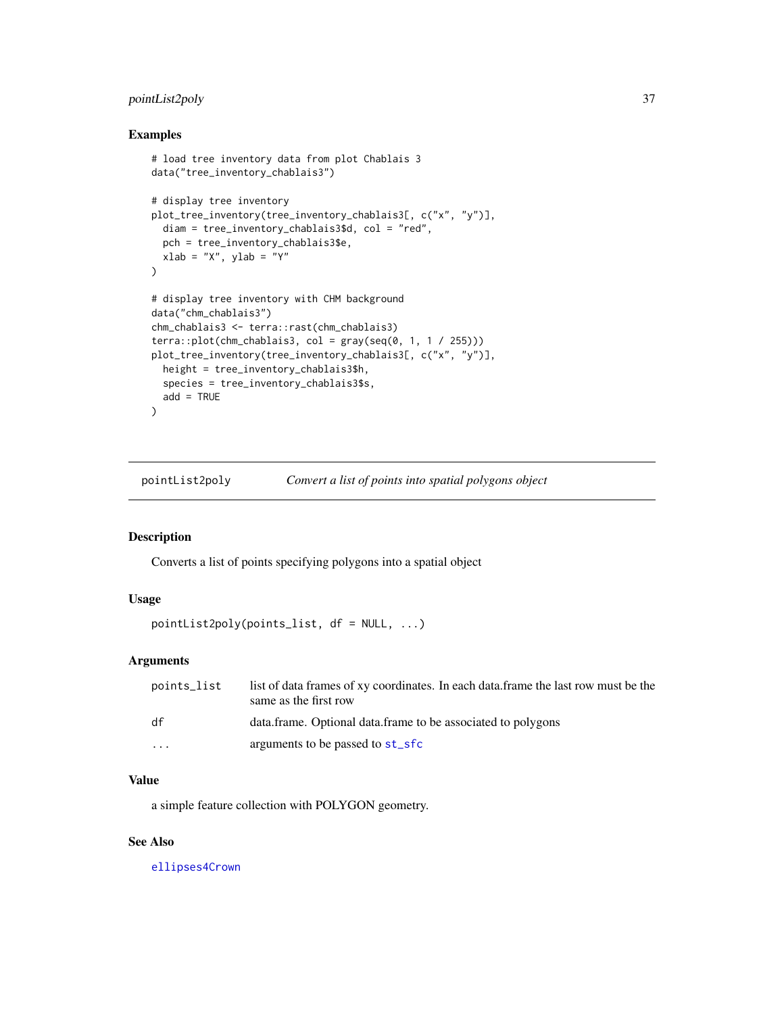# <span id="page-36-0"></span>pointList2poly 37

# Examples

```
# load tree inventory data from plot Chablais 3
data("tree_inventory_chablais3")
# display tree inventory
plot_tree_inventory(tree_inventory_chablais3[, c("x", "y")],
  diam = tree_inventory_chablais3$d, col = "red",
  pch = tree_inventory_chablais3$e,
  xlab = "X", ylab = "Y"
)
# display tree inventory with CHM background
data("chm_chablais3")
chm_chablais3 <- terra::rast(chm_chablais3)
terra::plot(chm_chablais3, col = gray(seq(0, 1, 1 / 255)))plot_tree_inventory(tree_inventory_chablais3[, c("x", "y")],
  height = tree_inventory_chablais3$h,
  species = tree_inventory_chablais3$s,
  add = TRUE)
```
<span id="page-36-1"></span>pointList2poly *Convert a list of points into spatial polygons object*

# Description

Converts a list of points specifying polygons into a spatial object

# Usage

```
pointList2poly(points_list, df = NULL, ...)
```
# Arguments

| points_list | list of data frames of xy coordinates. In each data frame the last row must be the<br>same as the first row |
|-------------|-------------------------------------------------------------------------------------------------------------|
| df          | data.frame. Optional data.frame to be associated to polygons                                                |
| $\cdots$    | arguments to be passed to st_sfc                                                                            |

# Value

a simple feature collection with POLYGON geometry.

# See Also

[ellipses4Crown](#page-25-1)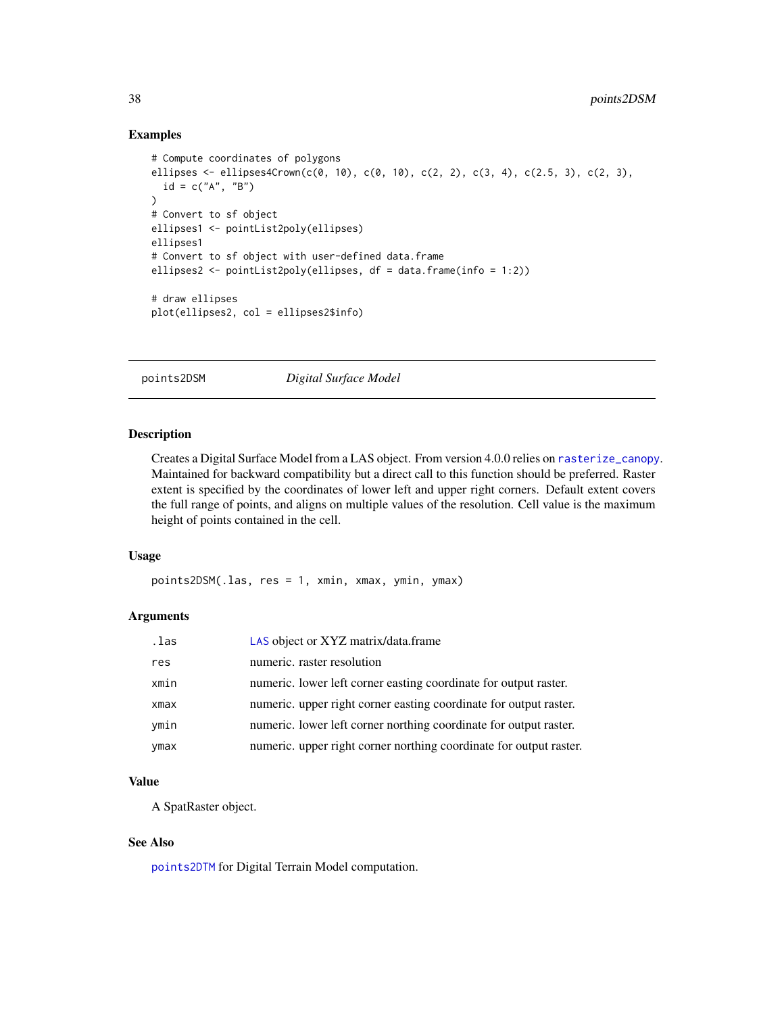# Examples

```
# Compute coordinates of polygons
ellipses <- ellipses4Crown(c(0, 10), c(0, 10), c(2, 2), c(3, 4), c(2.5, 3), c(2, 3),
  id = c("A", "B"))
# Convert to sf object
ellipses1 <- pointList2poly(ellipses)
ellipses1
# Convert to sf object with user-defined data.frame
ellipses2 <- pointList2poly(ellipses, df = data.frame(info = 1:2))
# draw ellipses
plot(ellipses2, col = ellipses2$info)
```
<span id="page-37-1"></span>points2DSM *Digital Surface Model*

### Description

Creates a Digital Surface Model from a LAS object. From version 4.0.0 relies on [rasterize\\_canopy](#page-0-0). Maintained for backward compatibility but a direct call to this function should be preferred. Raster extent is specified by the coordinates of lower left and upper right corners. Default extent covers the full range of points, and aligns on multiple values of the resolution. Cell value is the maximum height of points contained in the cell.

# Usage

points2DSM(.las, res = 1, xmin, xmax, ymin, ymax)

# Arguments

| .las | LAS object or XYZ matrix/data.frame                                |
|------|--------------------------------------------------------------------|
| res  | numeric. raster resolution                                         |
| xmin | numeric. lower left corner easting coordinate for output raster.   |
| xmax | numeric. upper right corner easting coordinate for output raster.  |
| ymin | numeric. lower left corner northing coordinate for output raster.  |
| ymax | numeric. upper right corner northing coordinate for output raster. |

# Value

A SpatRaster object.

### See Also

[points2DTM](#page-38-1) for Digital Terrain Model computation.

<span id="page-37-0"></span>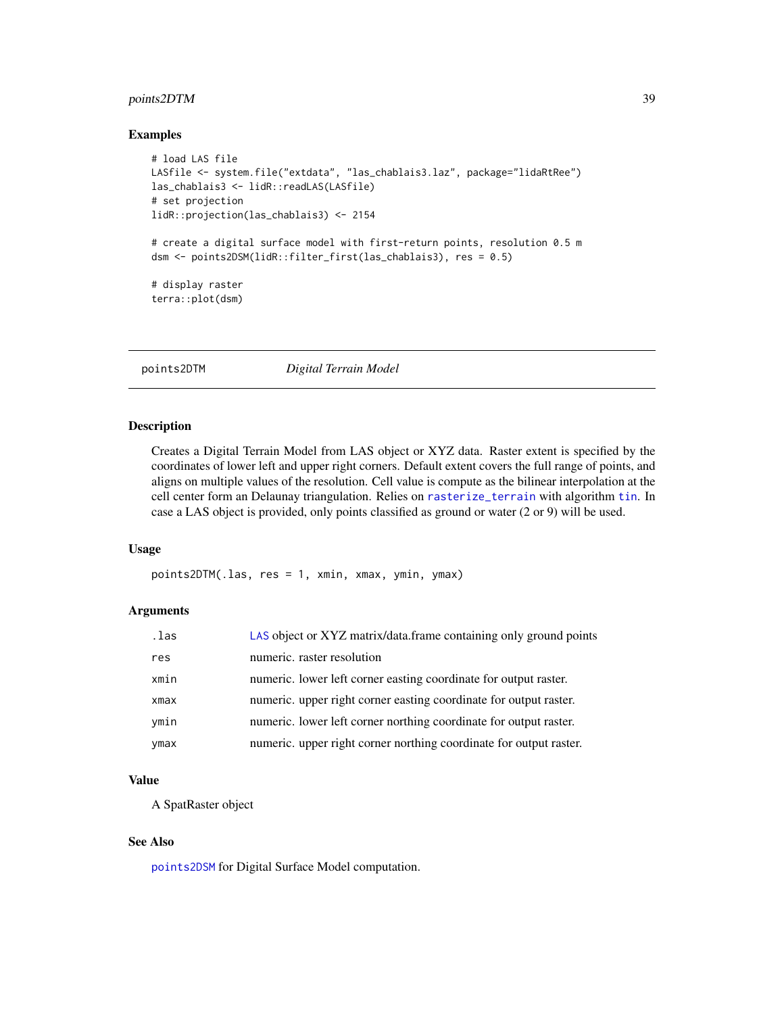# <span id="page-38-0"></span>points2DTM 39

### Examples

```
# load LAS file
LASfile <- system.file("extdata", "las_chablais3.laz", package="lidaRtRee")
las_chablais3 <- lidR::readLAS(LASfile)
# set projection
lidR::projection(las_chablais3) <- 2154
# create a digital surface model with first-return points, resolution 0.5 m
dsm <- points2DSM(lidR::filter_first(las_chablais3), res = 0.5)
# display raster
terra::plot(dsm)
```
<span id="page-38-1"></span>points2DTM *Digital Terrain Model*

### Description

Creates a Digital Terrain Model from LAS object or XYZ data. Raster extent is specified by the coordinates of lower left and upper right corners. Default extent covers the full range of points, and aligns on multiple values of the resolution. Cell value is compute as the bilinear interpolation at the cell center form an Delaunay triangulation. Relies on [rasterize\\_terrain](#page-0-0) with algorithm [tin](#page-0-0). In case a LAS object is provided, only points classified as ground or water (2 or 9) will be used.

# Usage

points2DTM(.las, res = 1, xmin, xmax, ymin, ymax)

# Arguments

| .las | LAS object or XYZ matrix/data.frame containing only ground points  |
|------|--------------------------------------------------------------------|
| res  | numeric. raster resolution                                         |
| xmin | numeric. lower left corner easting coordinate for output raster.   |
| xmax | numeric. upper right corner easting coordinate for output raster.  |
| ymin | numeric. lower left corner northing coordinate for output raster.  |
| ymax | numeric. upper right corner northing coordinate for output raster. |

### Value

A SpatRaster object

### See Also

[points2DSM](#page-37-1) for Digital Surface Model computation.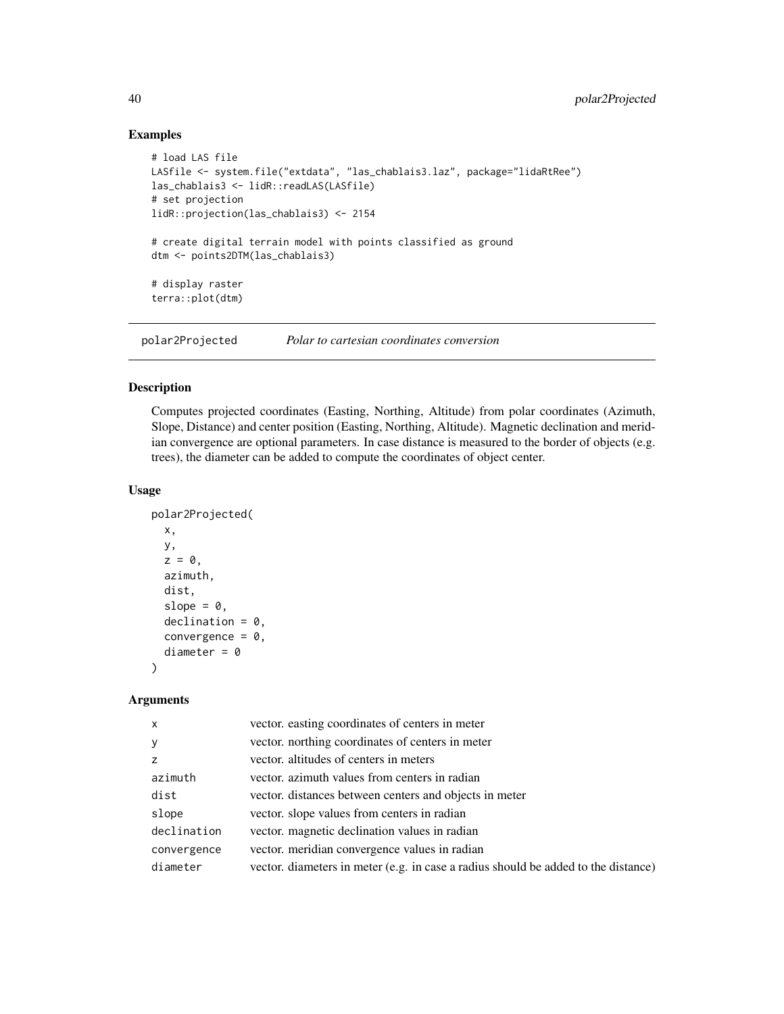# Examples

```
# load LAS file
LASfile <- system.file("extdata", "las_chablais3.laz", package="lidaRtRee")
las_chablais3 <- lidR::readLAS(LASfile)
# set projection
lidR::projection(las_chablais3) <- 2154
# create digital terrain model with points classified as ground
dtm <- points2DTM(las_chablais3)
# display raster
terra::plot(dtm)
```
polar2Projected *Polar to cartesian coordinates conversion*

# Description

Computes projected coordinates (Easting, Northing, Altitude) from polar coordinates (Azimuth, Slope, Distance) and center position (Easting, Northing, Altitude). Magnetic declination and meridian convergence are optional parameters. In case distance is measured to the border of objects (e.g. trees), the diameter can be added to compute the coordinates of object center.

# Usage

```
polar2Projected(
  x,
 y,
 z = 0,
  azimuth,
 dist,
  slope = 0,
  decimal = 0,
 convergence = 0,
  diameter = 0)
```
### Arguments

| $\mathsf{x}$ | vector. easting coordinates of centers in meter                                    |
|--------------|------------------------------------------------------------------------------------|
| $\mathbf{y}$ | vector. northing coordinates of centers in meter                                   |
| z            | vector. altitudes of centers in meters                                             |
| azimuth      | vector, azimuth values from centers in radian                                      |
| dist         | vector. distances between centers and objects in meter                             |
| slope        | vector, slope values from centers in radian                                        |
| declination  | vector, magnetic declination values in radian                                      |
| convergence  | vector. meridian convergence values in radian                                      |
| diameter     | vector. diameters in meter (e.g. in case a radius should be added to the distance) |

<span id="page-39-0"></span>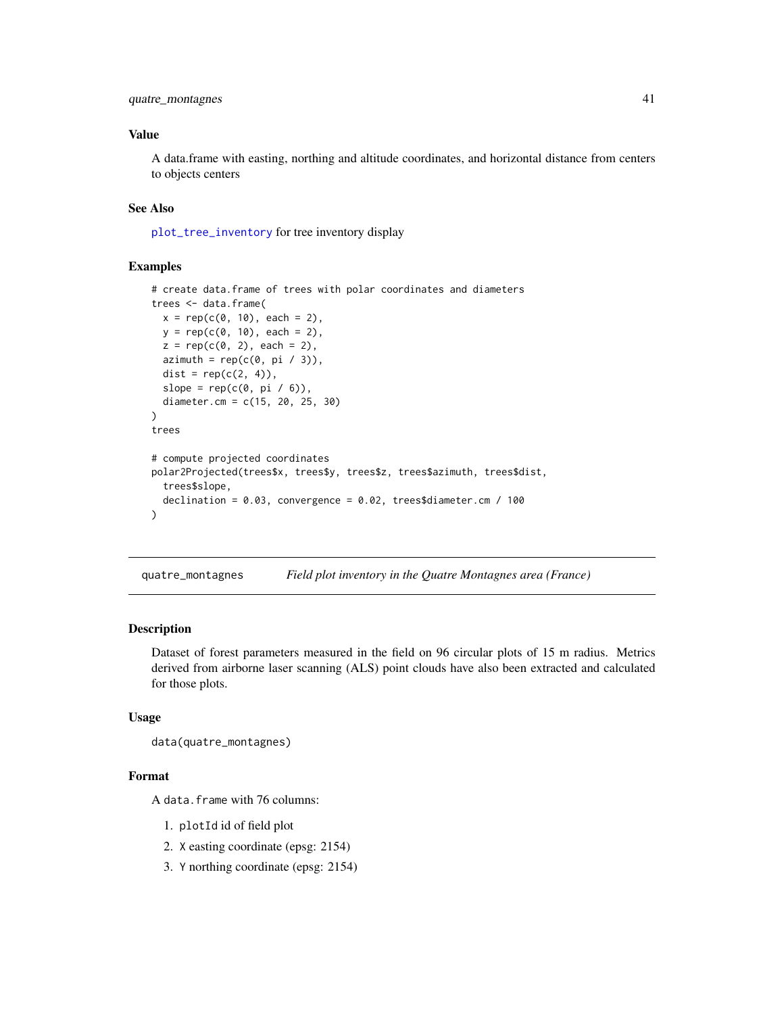# <span id="page-40-0"></span>quatre\_montagnes 41

# Value

A data.frame with easting, northing and altitude coordinates, and horizontal distance from centers to objects centers

# See Also

[plot\\_tree\\_inventory](#page-35-1) for tree inventory display

# Examples

```
# create data.frame of trees with polar coordinates and diameters
trees <- data.frame(
  x = rep(c(\emptyset, 1\emptyset), each = 2),y = rep(c(0, 10), each = 2),z = rep(c(0, 2), each = 2),azimuth = rep(c(0, pi / 3)),dist = rep(c(2, 4)),slope = rep(c(\emptyset, pi / 6)),diameter.cm = c(15, 20, 25, 30)
\mathcal{L}trees
# compute projected coordinates
polar2Projected(trees$x, trees$y, trees$z, trees$azimuth, trees$dist,
  trees$slope,
  declination = 0.03, convergence = 0.02, trees$diameter.cm / 100
)
```
quatre\_montagnes *Field plot inventory in the Quatre Montagnes area (France)*

### Description

Dataset of forest parameters measured in the field on 96 circular plots of 15 m radius. Metrics derived from airborne laser scanning (ALS) point clouds have also been extracted and calculated for those plots.

### Usage

```
data(quatre_montagnes)
```
### Format

A data.frame with 76 columns:

- 1. plotId id of field plot
- 2. X easting coordinate (epsg: 2154)
- 3. Y northing coordinate (epsg: 2154)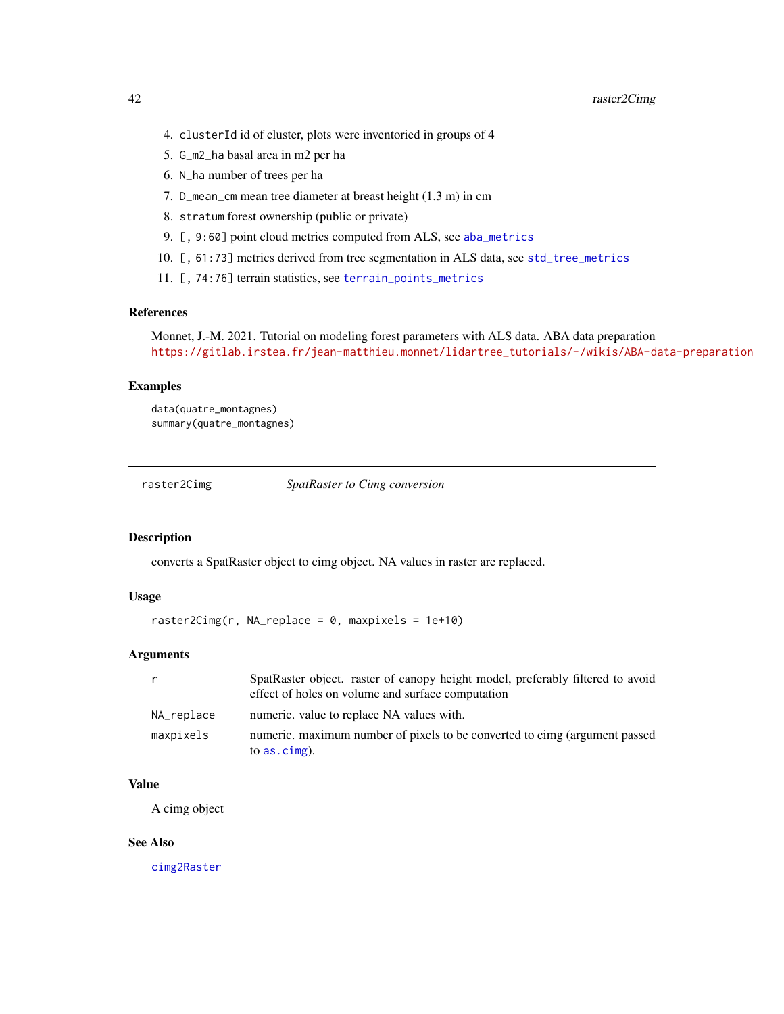- <span id="page-41-0"></span>4. clusterId id of cluster, plots were inventoried in groups of 4
- 5. G\_m2\_ha basal area in m2 per ha
- 6. N\_ha number of trees per ha
- 7. D\_mean\_cm mean tree diameter at breast height (1.3 m) in cm
- 8. stratum forest ownership (public or private)
- 9. [, 9:60] point cloud metrics computed from ALS, see [aba\\_metrics](#page-6-1)
- 10. [, 61:73] metrics derived from tree segmentation in ALS data, see [std\\_tree\\_metrics](#page-53-1)
- 11. [, 74:76] terrain statistics, see [terrain\\_points\\_metrics](#page-54-1)

# References

```
Monnet, J.-M. 2021. Tutorial on modeling forest parameters with ALS data. ABA data preparation
https://gitlab.irstea.fr/jean-matthieu.monnet/lidartree_tutorials/-/wikis/ABA-data-preparation
```
### Examples

data(quatre\_montagnes) summary(quatre\_montagnes)

<span id="page-41-1"></span>raster2Cimg *SpatRaster to Cimg conversion*

### Description

converts a SpatRaster object to cimg object. NA values in raster are replaced.

# Usage

raster2Cimg(r, NA\_replace =  $0$ , maxpixels = 1e+10)

# Arguments

| r          | SpatRaster object. raster of canopy height model, preferably filtered to avoid<br>effect of holes on volume and surface computation |
|------------|-------------------------------------------------------------------------------------------------------------------------------------|
| NA_replace | numeric, value to replace NA values with.                                                                                           |
| maxpixels  | numeric. maximum number of pixels to be converted to cimg (argument passed<br>to $as. \text{cimg}$ ).                               |

# Value

A cimg object

# See Also

[cimg2Raster](#page-13-2)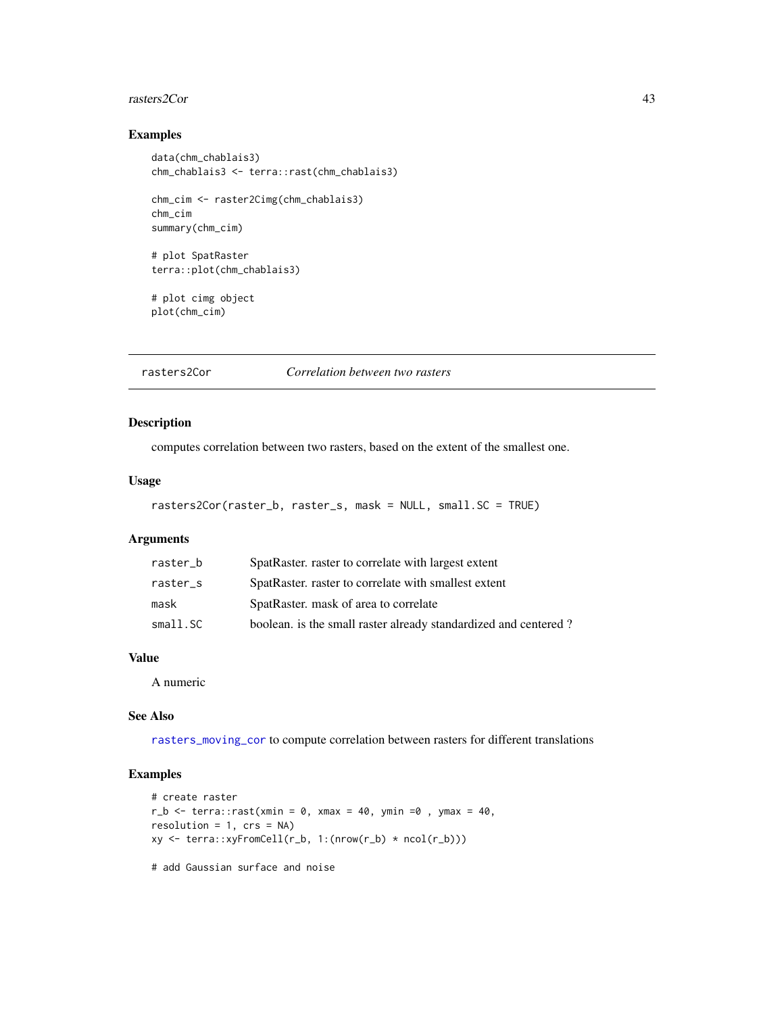### <span id="page-42-0"></span>rasters2Cor 43

# Examples

```
data(chm_chablais3)
chm_chablais3 <- terra::rast(chm_chablais3)
chm_cim <- raster2Cimg(chm_chablais3)
chm_cim
summary(chm_cim)
# plot SpatRaster
terra::plot(chm_chablais3)
# plot cimg object
plot(chm_cim)
```
<span id="page-42-1"></span>rasters2Cor *Correlation between two rasters*

# Description

computes correlation between two rasters, based on the extent of the smallest one.

### Usage

```
rasters2Cor(raster_b, raster_s, mask = NULL, small.SC = TRUE)
```
# Arguments

| raster_b | SpatRaster. raster to correlate with largest extent             |
|----------|-----------------------------------------------------------------|
| raster_s | SpatRaster, raster to correlate with smallest extent            |
| mask     | SpatRaster, mask of area to correlate                           |
| small.SC | boolean. is the small raster already standardized and centered? |

# Value

A numeric

### See Also

[rasters\\_moving\\_cor](#page-43-1) to compute correlation between rasters for different translations

```
# create raster
r_b \leq r terra:: rast(xmin = 0, xmax = 40, ymin =0, ymax = 40,
resolution = 1, crs = NA)
xy <- terra::xyFromCell(r_b, 1:(nrow(r_b) * ncol(r_b)))
# add Gaussian surface and noise
```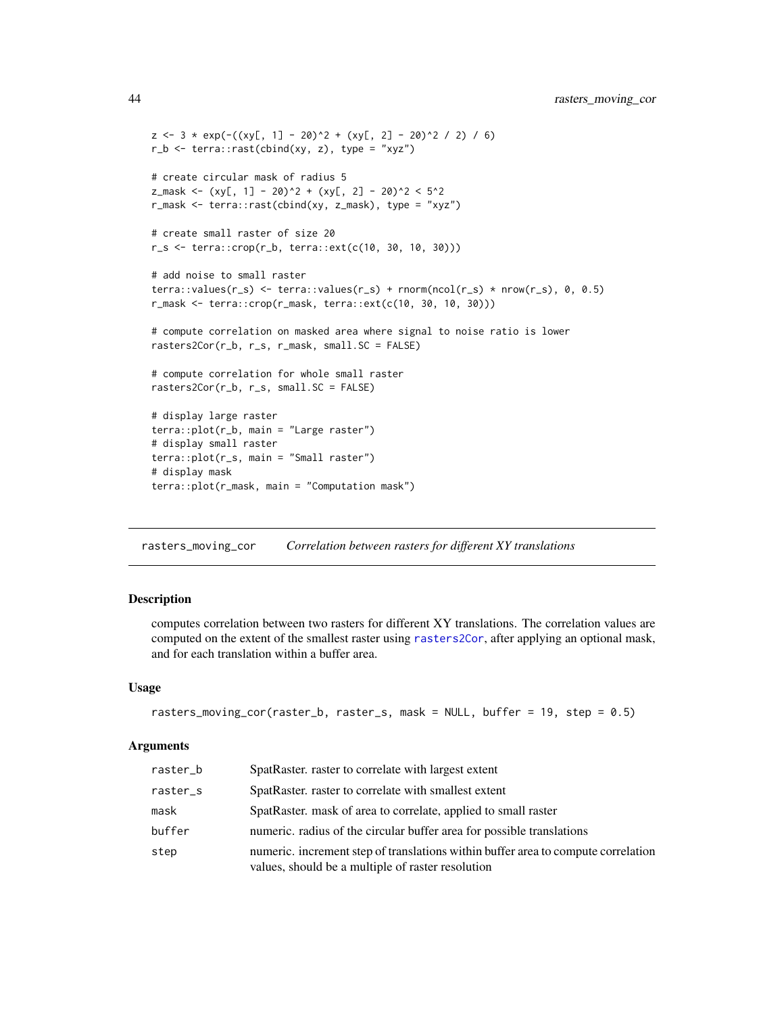```
z \le -3 \times \exp(-(x \times 1) - 20)^2 + (x \times 1) - 20r_b \leftarrow \text{terra::rast(cbind(xy, z), type = "xyz")}# create circular mask of radius 5
z_mask <- (xy[, 1] - 20)^2 + (xy[, 2] - 20)^2 < 5^2r_mask <- terra::rast(cbind(xy, z_mask), type = "xyz")
# create small raster of size 20
r_s \leq r terra::\text{crop}(r_b, \text{terra}::ext(c(10, 30, 10, 30)))# add noise to small raster
terra::values(r_s) <- terra::values(r_s) + rnorm(ncol(r_s) * nrow(r_s), 0, 0.5)
r_mask <- terra::crop(r_mask, terra::ext(c(10, 30, 10, 30)))
# compute correlation on masked area where signal to noise ratio is lower
rasters2Cor(r_b, r_s, r_mask, small.SC = FALSE)
# compute correlation for whole small raster
rasters2Cor(r_b, r_s, small.SC = FALSE)
# display large raster
terra::plot(r_b, main = "Large raster")
# display small raster
terra::plot(r_s, main = "Small raster")
# display mask
terra::plot(r_mask, main = "Computation mask")
```
<span id="page-43-1"></span>rasters\_moving\_cor *Correlation between rasters for different XY translations*

# Description

computes correlation between two rasters for different XY translations. The correlation values are computed on the extent of the smallest raster using [rasters2Cor](#page-42-1), after applying an optional mask, and for each translation within a buffer area.

### Usage

```
rasters_moving_cor(raster_b, raster_s, mask = NULL, buffer = 19, step = 0.5)
```
### Arguments

| raster_b | SpatRaster. raster to correlate with largest extent                                                                                    |
|----------|----------------------------------------------------------------------------------------------------------------------------------------|
| raster_s | SpatRaster, raster to correlate with smallest extent                                                                                   |
| mask     | SpatRaster. mask of area to correlate, applied to small raster                                                                         |
| buffer   | numeric, radius of the circular buffer area for possible translations                                                                  |
| step     | numeric, increment step of translations within buffer area to compute correlation<br>values, should be a multiple of raster resolution |

<span id="page-43-0"></span>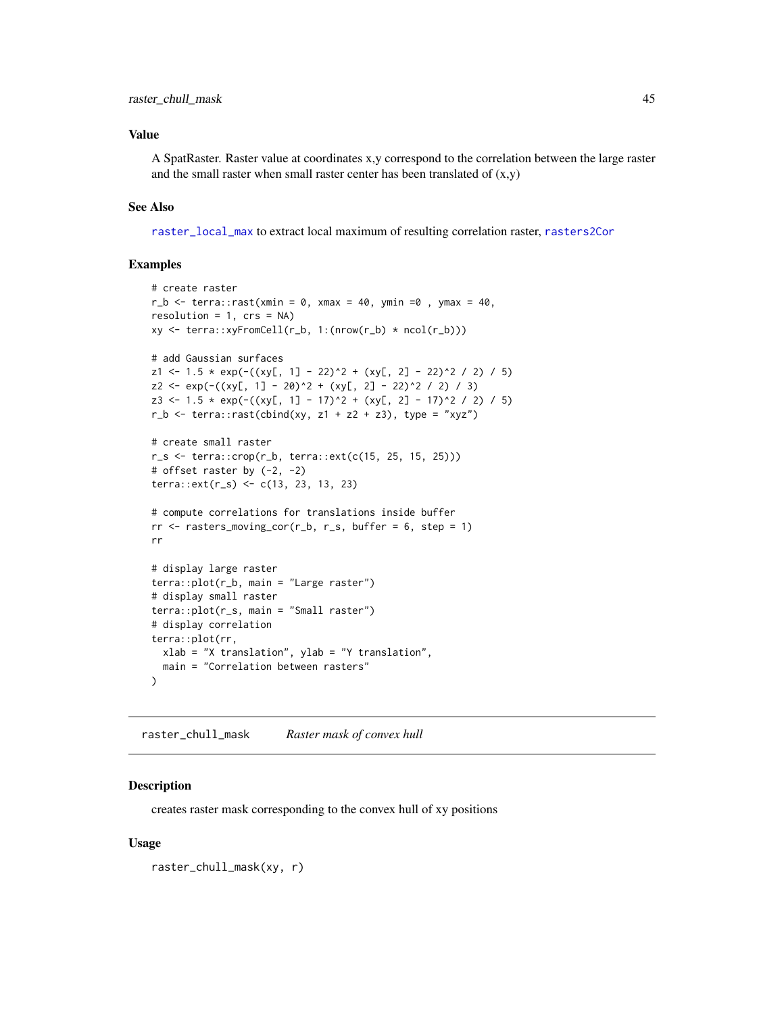# <span id="page-44-0"></span>Value

A SpatRaster. Raster value at coordinates x,y correspond to the correlation between the large raster and the small raster when small raster center has been translated of  $(x,y)$ 

### See Also

[raster\\_local\\_max](#page-45-1) to extract local maximum of resulting correlation raster, [rasters2Cor](#page-42-1)

# Examples

```
# create raster
r_b \leq -\text{terra:}:\text{rast}(xmin = 0, xmax = 40, ymin = 0, ymax = 40,resolution = 1, crs = NAxy <- terra::xyFromCell(r_b, 1:(nrow(r_b) * ncol(r_b)))
# add Gaussian surfaces
z1 \leftarrow 1.5 \times \exp(-(x \times 1) - 22)^2 + (x \times 1, 2) - 22)^2 / 2) / 5)
z2 \le - \exp(-( (xy[, 1] - 20)^2 + (xy[, 2] - 22)^2 / 2 / 3)z3 \le -1.5 \times \exp(-(x)(1 - 17)^2 + (xy), 2] - 17)^2 / 2) / 5)
r_b \leftarrow \text{terra::rast(cbind(xy, z1 + z2 + z3), type = "xyz")}# create small raster
r_s < - terra::\text{crop}(r_b, \text{terra:}:\text{ext}(c(15, 25, 15, 25)))# offset raster by (-2, -2)
terra::ext(r_s) <- c(13, 23, 13, 23)
# compute correlations for translations inside buffer
rr <- rasters_moving_cor(r_b, r_s, buffer = 6, step = 1)
rr
# display large raster
terra::plot(r_b, main = "Large raster")
# display small raster
terra::plot(r_s, main = "Small raster")
# display correlation
terra::plot(rr,
  xlab = "X translation", ylab = "Y translation",
  main = "Correlation between rasters"
)
```
<span id="page-44-1"></span>raster\_chull\_mask *Raster mask of convex hull*

# Description

creates raster mask corresponding to the convex hull of xy positions

### Usage

```
raster_chull_mask(xy, r)
```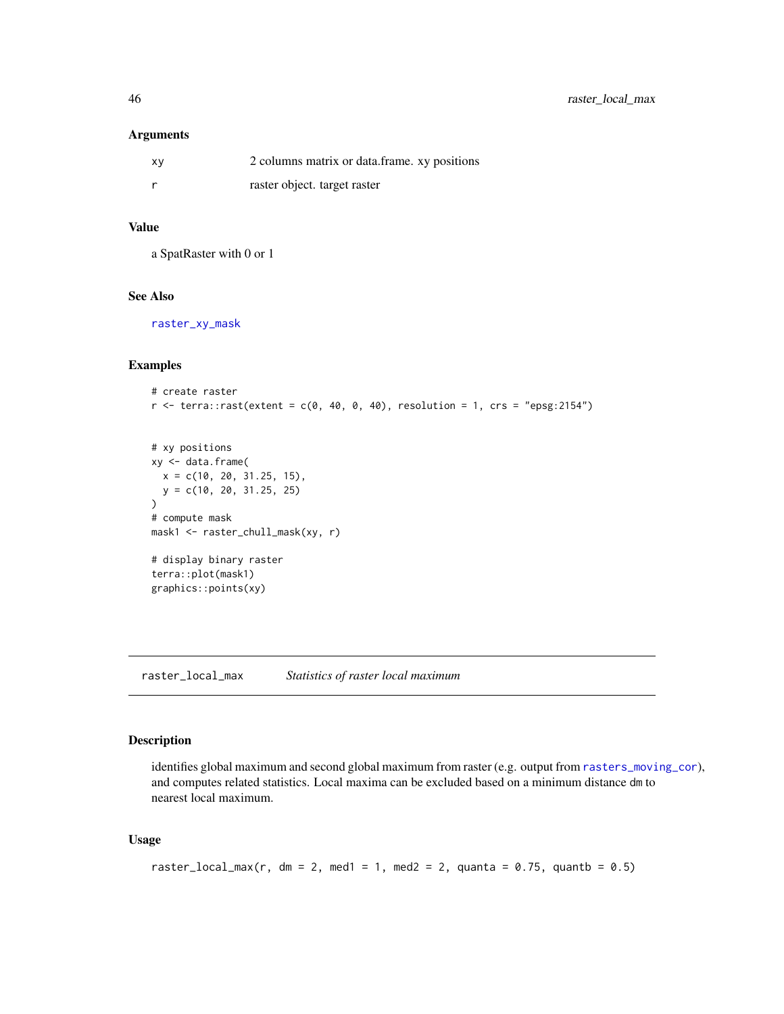### <span id="page-45-0"></span>Arguments

| XV | 2 columns matrix or data frame. xy positions |
|----|----------------------------------------------|
|    | raster object. target raster                 |

# Value

a SpatRaster with 0 or 1

# See Also

[raster\\_xy\\_mask](#page-48-1)

# Examples

```
# create raster
r <- terra::rast(extent = c(0, 40, 0, 40), resolution = 1, crs = "epsg:2154")
```

```
# xy positions
xy <- data.frame(
 x = c(10, 20, 31.25, 15),
  y = c(10, 20, 31.25, 25)
)
# compute mask
mask1 <- raster_chull_mask(xy, r)
# display binary raster
terra::plot(mask1)
graphics::points(xy)
```
<span id="page-45-1"></span>raster\_local\_max *Statistics of raster local maximum*

# Description

identifies global maximum and second global maximum from raster (e.g. output from [rasters\\_moving\\_cor](#page-43-1)), and computes related statistics. Local maxima can be excluded based on a minimum distance dm to nearest local maximum.

# Usage

```
raster_local_max(r, dm = 2, med1 = 1, med2 = 2, quanta = 0.75, quantb = 0.5)
```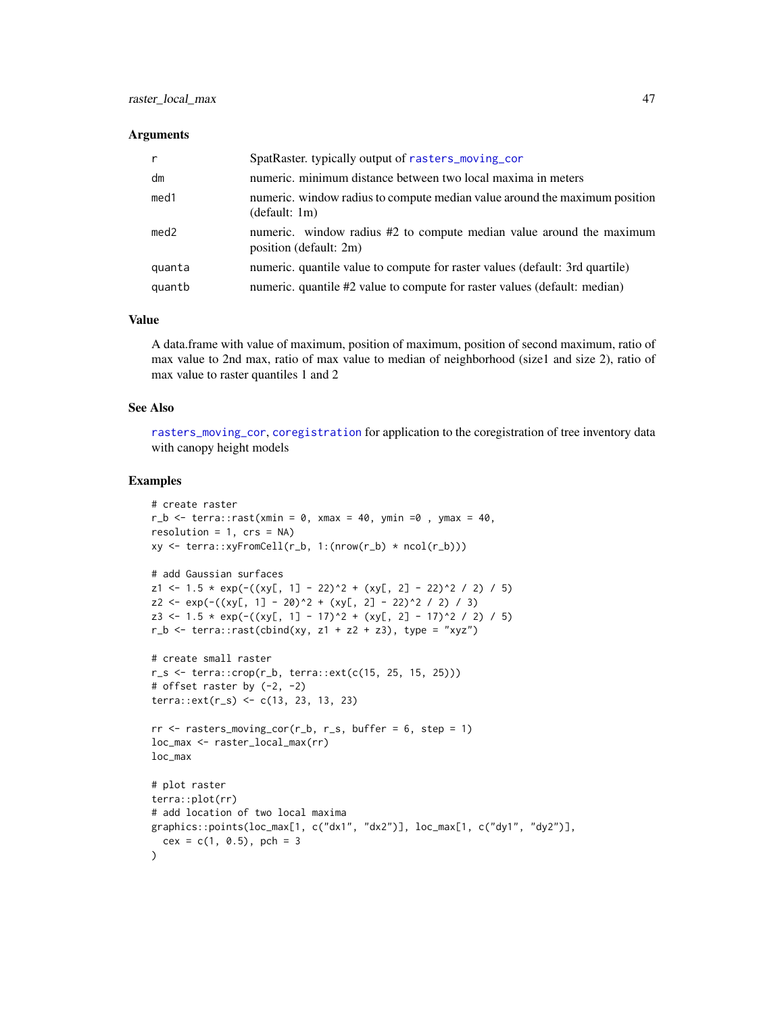### <span id="page-46-0"></span>**Arguments**

|                  | SpatRaster. typically output of rasters_moving_cor                                             |
|------------------|------------------------------------------------------------------------------------------------|
| dm               | numeric. minimum distance between two local maxima in meters                                   |
| med <sub>1</sub> | numeric. window radius to compute median value around the maximum position<br>(default: 1m)    |
| med2             | numeric. window radius #2 to compute median value around the maximum<br>position (default: 2m) |
| quanta           | numeric. quantile value to compute for raster values (default: 3rd quartile)                   |
| quantb           | numeric. quantile #2 value to compute for raster values (default: median)                      |

### Value

A data.frame with value of maximum, position of maximum, position of second maximum, ratio of max value to 2nd max, ratio of max value to median of neighborhood (size1 and size 2), ratio of max value to raster quantiles 1 and 2

### See Also

[rasters\\_moving\\_cor](#page-43-1), [coregistration](#page-20-1) for application to the coregistration of tree inventory data with canopy height models

```
# create raster
r_b \leq r terra:: rast(xmin = 0, xmax = 40, ymin =0, ymax = 40,
resolution = 1, crs = NAxy \leftarrow \text{terra::xyFromCell}(r_b, 1:(nrow(r_b) * ncol(r_b)))# add Gaussian surfaces
z1 <- 1.5 * exp(-((xy[, 1] - 22)^2 + (xy[, 2] - 22)^2 / 2) / 5)
z2 \leftarrow \exp(-( (xy[, 1] - 20)^2 + (xy[, 2] - 22)^2 / 2 / 3)z3 <- 1.5 * exp(-((xy[, 1] - 17)^2 + (xy[, 2] - 17)^2 / 2) / 5)
r_b \leftarrow \text{terra::rast(cbind(xy, z1 + z2 + z3), type = "xyz")}# create small raster
r_s < - terra::\text{crop}(r_b, \text{terra}::ext(c(15, 25, 15, 25)))# offset raster by (-2, -2)
terra::ext(r_s) <- c(13, 23, 13, 23)
rr <- rasters_moving_cor(r_b, r_s, buffer = 6, step = 1)
loc_max <- raster_local_max(rr)
loc_max
# plot raster
terra::plot(rr)
# add location of two local maxima
graphics::points(loc_max[1, c("dx1", "dx2")], loc_max[1, c("dy1", "dy2")],
  cex = c(1, 0.5), pch = 3
\lambda
```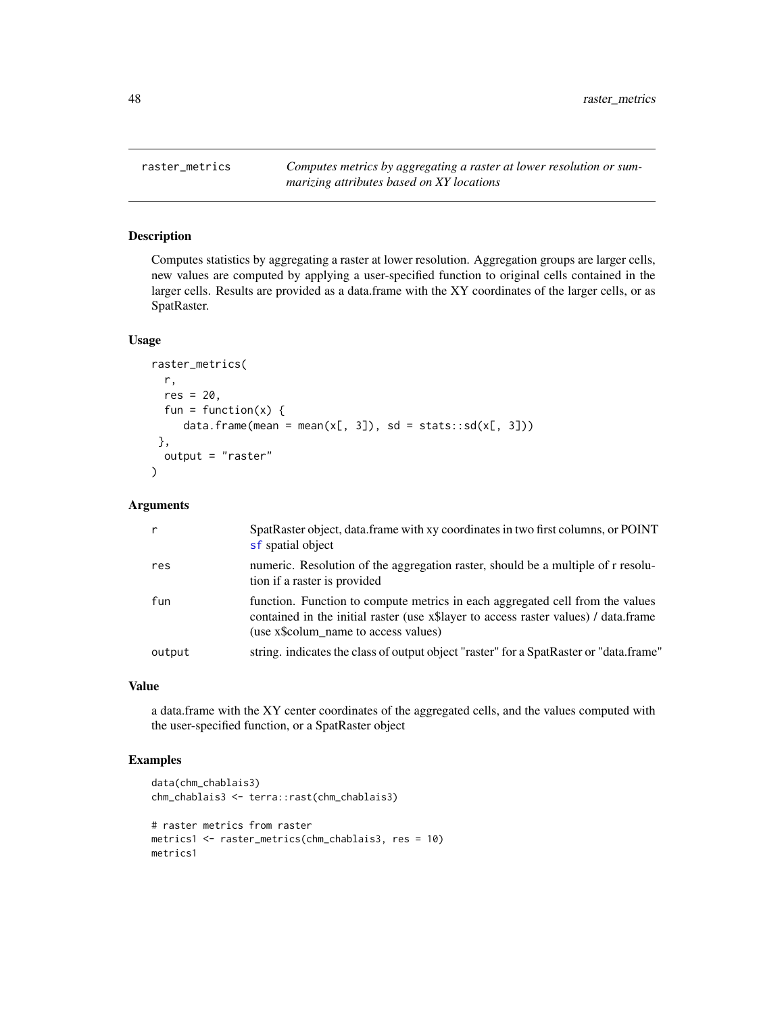<span id="page-47-1"></span><span id="page-47-0"></span>raster\_metrics *Computes metrics by aggregating a raster at lower resolution or summarizing attributes based on XY locations*

### Description

Computes statistics by aggregating a raster at lower resolution. Aggregation groups are larger cells, new values are computed by applying a user-specified function to original cells contained in the larger cells. Results are provided as a data.frame with the XY coordinates of the larger cells, or as SpatRaster.

### Usage

```
raster_metrics(
 r,
 res = 20,
 fun = function(x) {
     data.frame(mean = mean(x[, 3]), sd = stats::sd(x[, 3]))
},
 output = "raster"
)
```
# Arguments

|        | SpatRaster object, data.frame with xy coordinates in two first columns, or POINT<br>sf spatial object                                                                                                            |
|--------|------------------------------------------------------------------------------------------------------------------------------------------------------------------------------------------------------------------|
| res    | numeric. Resolution of the aggregation raster, should be a multiple of r resolu-<br>tion if a raster is provided                                                                                                 |
| fun    | function. Function to compute metrics in each aggregated cell from the values<br>contained in the initial raster (use x\\$) layer to access raster values) / data.frame<br>(use x\\$colum name to access values) |
| output | string. indicates the class of output object "raster" for a SpatRaster or "data.frame"                                                                                                                           |

# Value

a data.frame with the XY center coordinates of the aggregated cells, and the values computed with the user-specified function, or a SpatRaster object

```
data(chm_chablais3)
chm_chablais3 <- terra::rast(chm_chablais3)
# raster metrics from raster
metrics1 <- raster_metrics(chm_chablais3, res = 10)
metrics1
```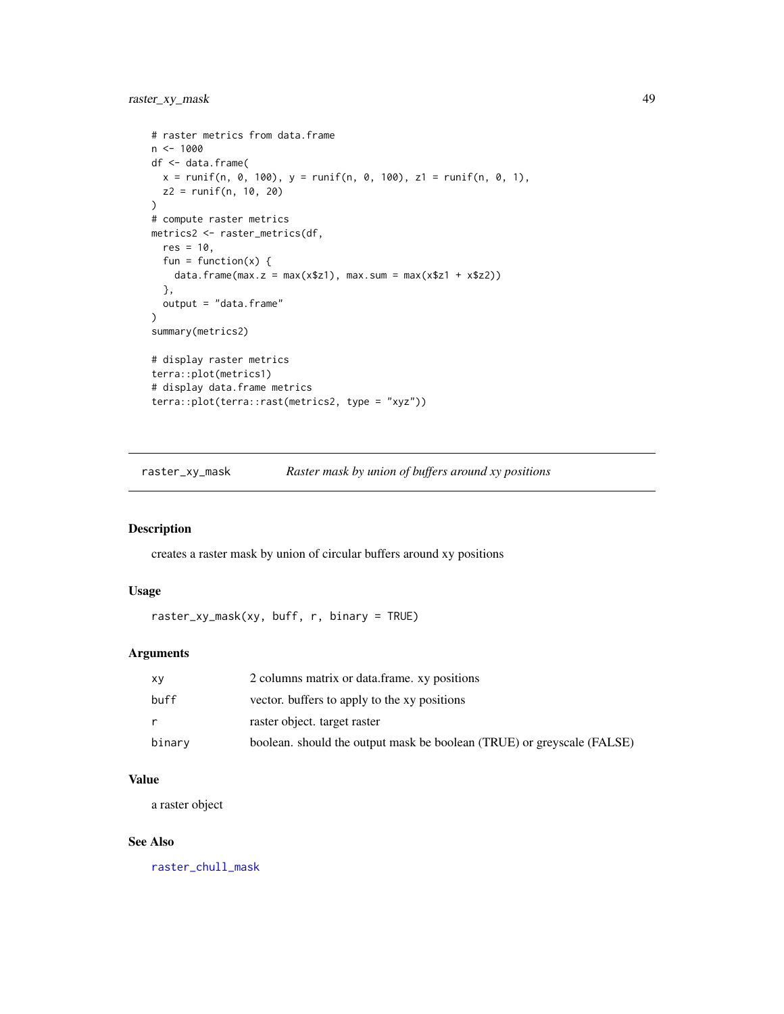```
# raster metrics from data.frame
n < -1000df <- data.frame(
 x = runif(n, 0, 100), y = runif(n, 0, 100), z1 = runif(n, 0, 1),z2 = runif(n, 10, 20)\lambda# compute raster metrics
metrics2 <- raster_metrics(df,
  res = 10,
  fun = function(x) {
    data.frame(max.z = max(x$z1), max.sum = max(x$z1 + x$z2))
  },
  output = "data.frame"
\mathcal{L}summary(metrics2)
# display raster metrics
terra::plot(metrics1)
# display data.frame metrics
terra::plot(terra::rast(metrics2, type = "xyz"))
```
<span id="page-48-1"></span>raster\_xy\_mask *Raster mask by union of buffers around xy positions*

# Description

creates a raster mask by union of circular buffers around xy positions

### Usage

```
raster_xy_mask(xy, buff, r, binary = TRUE)
```
# Arguments

| xy     | 2 columns matrix or data frame, xy positions                           |
|--------|------------------------------------------------------------------------|
| buff   | vector, buffers to apply to the xy positions                           |
| r.     | raster object, target raster                                           |
| binary | boolean. should the output mask be boolean (TRUE) or greyscale (FALSE) |

# Value

a raster object

### See Also

[raster\\_chull\\_mask](#page-44-1)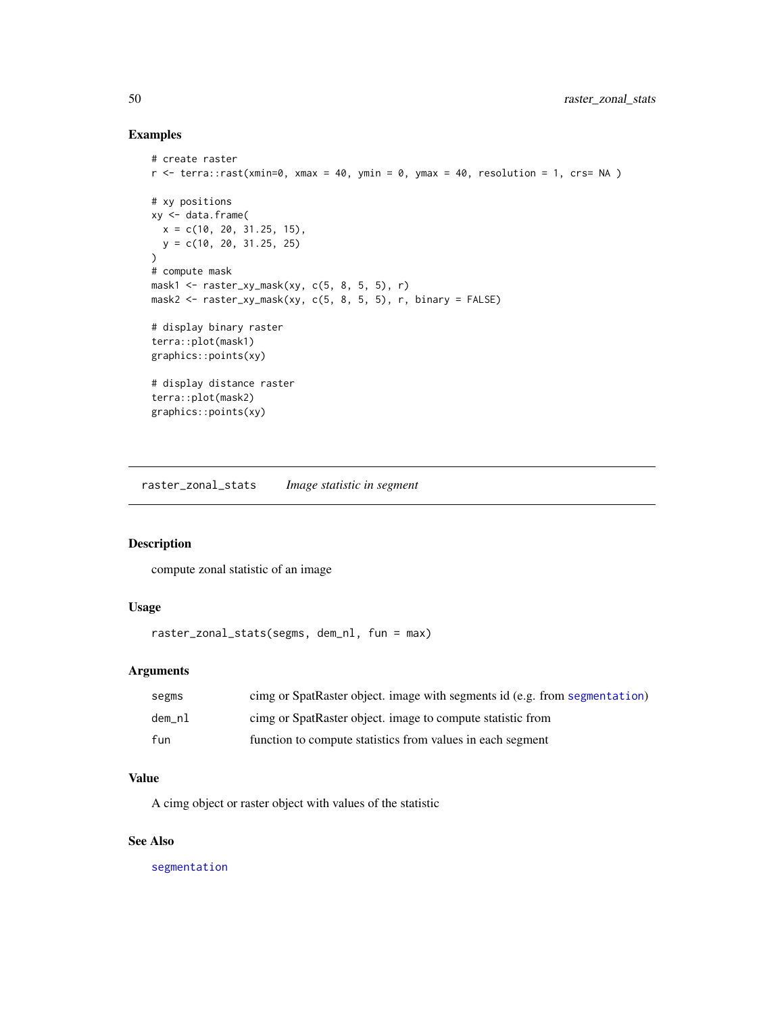# Examples

```
# create raster
r <- terra::rast(xmin=0, xmax = 40, ymin = 0, ymax = 40, resolution = 1, crs= NA )
# xy positions
xy <- data.frame(
  x = c(10, 20, 31.25, 15),
  y = c(10, 20, 31.25, 25)
)
# compute mask
mask1 <- raster_xy_mask(xy, c(5, 8, 5, 5), r)
mask2 <- raster_xy_mask(xy, c(5, 8, 5, 5), r, binary = FALSE)
# display binary raster
terra::plot(mask1)
graphics::points(xy)
# display distance raster
terra::plot(mask2)
graphics::points(xy)
```
raster\_zonal\_stats *Image statistic in segment*

# Description

compute zonal statistic of an image

# Usage

```
raster_zonal_stats(segms, dem_nl, fun = max)
```
# Arguments

| segms  | cimg or SpatRaster object. image with segments id (e.g. from segmentation) |
|--------|----------------------------------------------------------------------------|
| dem nl | cimg or SpatRaster object. image to compute statistic from                 |
| fun    | function to compute statistics from values in each segment                 |

# Value

A cimg object or raster object with values of the statistic

### See Also

[segmentation](#page-50-1)

<span id="page-49-0"></span>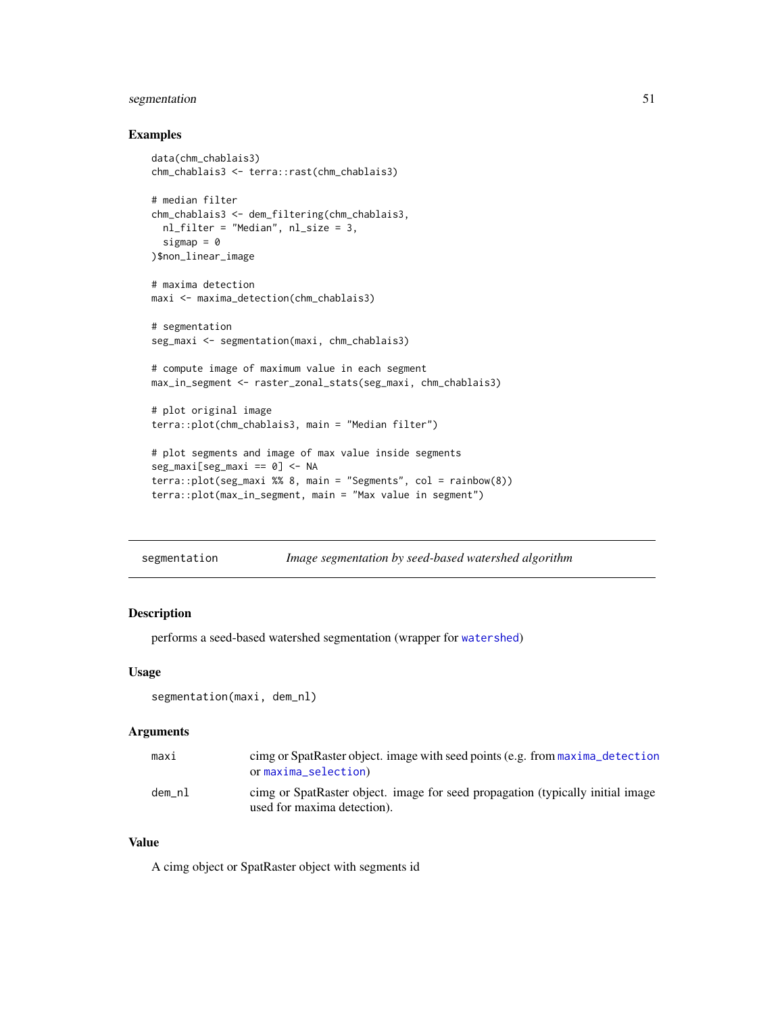# <span id="page-50-0"></span>segmentation 51

### Examples

```
data(chm_chablais3)
chm_chablais3 <- terra::rast(chm_chablais3)
# median filter
chm_chablais3 <- dem_filtering(chm_chablais3,
  nl_filter = "Median", nl_size = 3,
  sigmap = \theta)$non_linear_image
# maxima detection
maxi <- maxima_detection(chm_chablais3)
# segmentation
seg_maxi <- segmentation(maxi, chm_chablais3)
# compute image of maximum value in each segment
max_in_segment <- raster_zonal_stats(seg_maxi, chm_chablais3)
# plot original image
terra::plot(chm_chablais3, main = "Median filter")
# plot segments and image of max value inside segments
seg_maxi[seg_maxi == 0] <- NA
terra::plot(seg_maxi %% 8, main = "Segments", col = rainbow(8))
terra::plot(max_in_segment, main = "Max value in segment")
```
<span id="page-50-1"></span>

| segmentation |  | Image segmentation by seed-based watershed algorithm |
|--------------|--|------------------------------------------------------|
|              |  |                                                      |

# Description

performs a seed-based watershed segmentation (wrapper for [watershed](#page-0-0))

# Usage

```
segmentation(maxi, dem_nl)
```
# Arguments

| maxi   | cimg or SpatRaster object. image with seed points (e.g. from maxima detection<br>or maxima_selection)         |
|--------|---------------------------------------------------------------------------------------------------------------|
| dem_nl | cimg or SpatRaster object. image for seed propagation (typically initial image<br>used for maxima detection). |

# Value

A cimg object or SpatRaster object with segments id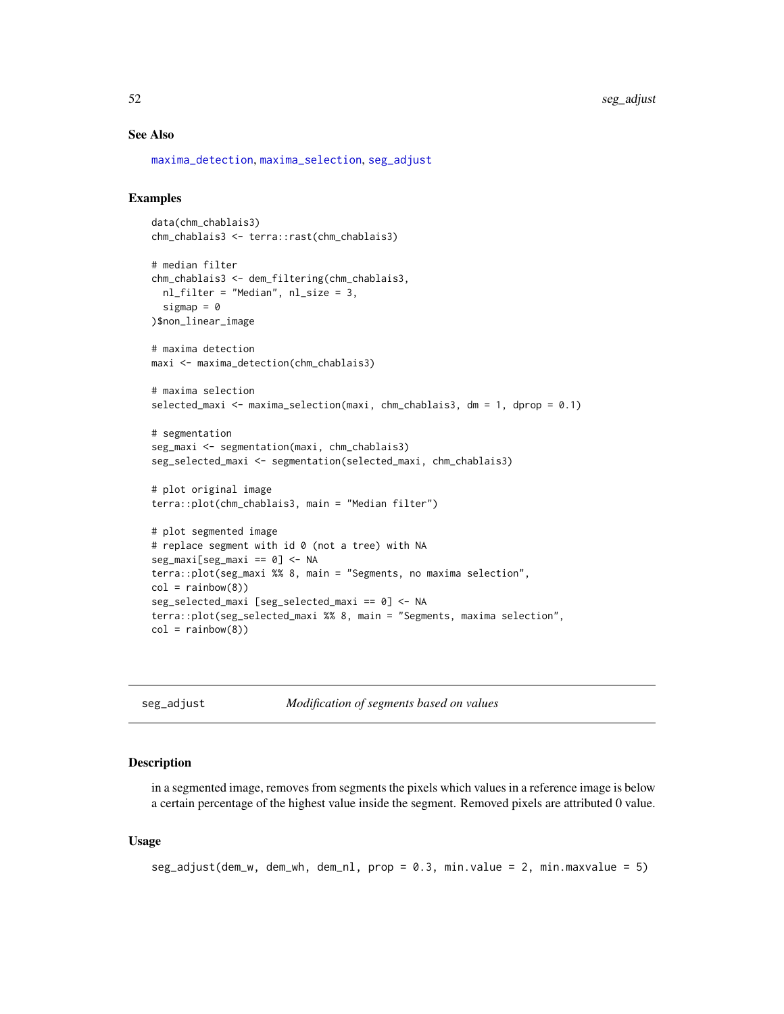<span id="page-51-0"></span>52 seg\_adjust

### See Also

[maxima\\_detection](#page-32-1), [maxima\\_selection](#page-33-1), [seg\\_adjust](#page-51-1)

# Examples

```
data(chm_chablais3)
chm_chablais3 <- terra::rast(chm_chablais3)
# median filter
chm_chablais3 <- dem_filtering(chm_chablais3,
  nl_filter = "Median", nl_size = 3,
  sigmap = \theta)$non_linear_image
# maxima detection
maxi <- maxima_detection(chm_chablais3)
# maxima selection
selected_maxi <- maxima_selection(maxi, chm_chablais3, dm = 1, dprop = 0.1)
# segmentation
seg_maxi <- segmentation(maxi, chm_chablais3)
seg_selected_maxi <- segmentation(selected_maxi, chm_chablais3)
# plot original image
terra::plot(chm_chablais3, main = "Median filter")
# plot segmented image
# replace segment with id 0 (not a tree) with NA
seg_maxi[seg_maxi == 0] <- NA
terra::plot(seg_maxi %% 8, main = "Segments, no maxima selection",
col = rainbow(8)seg_selected_maxi [seg_selected_maxi == 0] <- NA
terra::plot(seg_selected_maxi %% 8, main = "Segments, maxima selection",
col = rainbow(8)
```
<span id="page-51-1"></span>

| seg_adjust |  |  |
|------------|--|--|
|            |  |  |
|            |  |  |
|            |  |  |

seg\_adjust *Modification of segments based on values*

# Description

in a segmented image, removes from segments the pixels which values in a reference image is below a certain percentage of the highest value inside the segment. Removed pixels are attributed 0 value.

### Usage

seg\_adjust(dem\_w, dem\_wh, dem\_nl, prop = 0.3, min.value = 2, min.maxvalue = 5)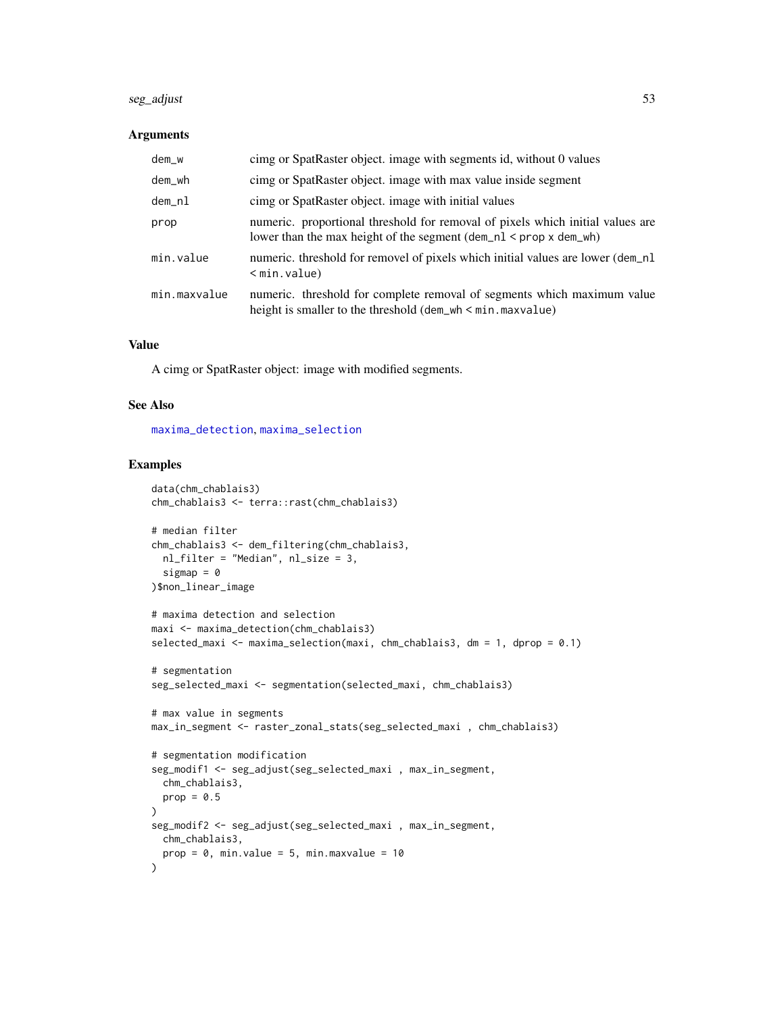# <span id="page-52-0"></span>seg\_adjust 53

### **Arguments**

| dem_w        | cimg or SpatRaster object. image with segments id, without 0 values                                                                                           |
|--------------|---------------------------------------------------------------------------------------------------------------------------------------------------------------|
| dem_wh       | cimg or SpatRaster object. image with max value inside segment                                                                                                |
| dem_nl       | cimg or SpatRaster object. image with initial values                                                                                                          |
| prop         | numeric. proportional threshold for removal of pixels which initial values are<br>lower than the max height of the segment $(dem_n1 \leq prop \times dem_wh)$ |
| min.value    | numeric. threshold for removel of pixels which initial values are lower (dem_nl<br>$<$ min. value)                                                            |
| min.maxvalue | numeric. threshold for complete removal of segments which maximum value<br>height is smaller to the threshold $(dem_wh < min.maxvalue)$                       |

# Value

A cimg or SpatRaster object: image with modified segments.

### See Also

[maxima\\_detection](#page-32-1), [maxima\\_selection](#page-33-1)

```
data(chm_chablais3)
chm_chablais3 <- terra::rast(chm_chablais3)
# median filter
chm_chablais3 <- dem_filtering(chm_chablais3,
  nl_filter = "Median", nl_size = 3,
  sigmap = \theta)$non_linear_image
# maxima detection and selection
maxi <- maxima_detection(chm_chablais3)
selected_maxi <- maxima_selection(maxi, chm_chablais3, dm = 1, dprop = 0.1)
# segmentation
seg_selected_maxi <- segmentation(selected_maxi, chm_chablais3)
# max value in segments
max_in_segment <- raster_zonal_stats(seg_selected_maxi , chm_chablais3)
# segmentation modification
seg_modif1 <- seg_adjust(seg_selected_maxi , max_in_segment,
  chm_chablais3,
 prop = 0.5\mathcal{L}seg_modif2 <- seg_adjust(seg_selected_maxi , max_in_segment,
 chm_chablais3,
  prop = 0, min.value = 5, min.maxvalue = 10
)
```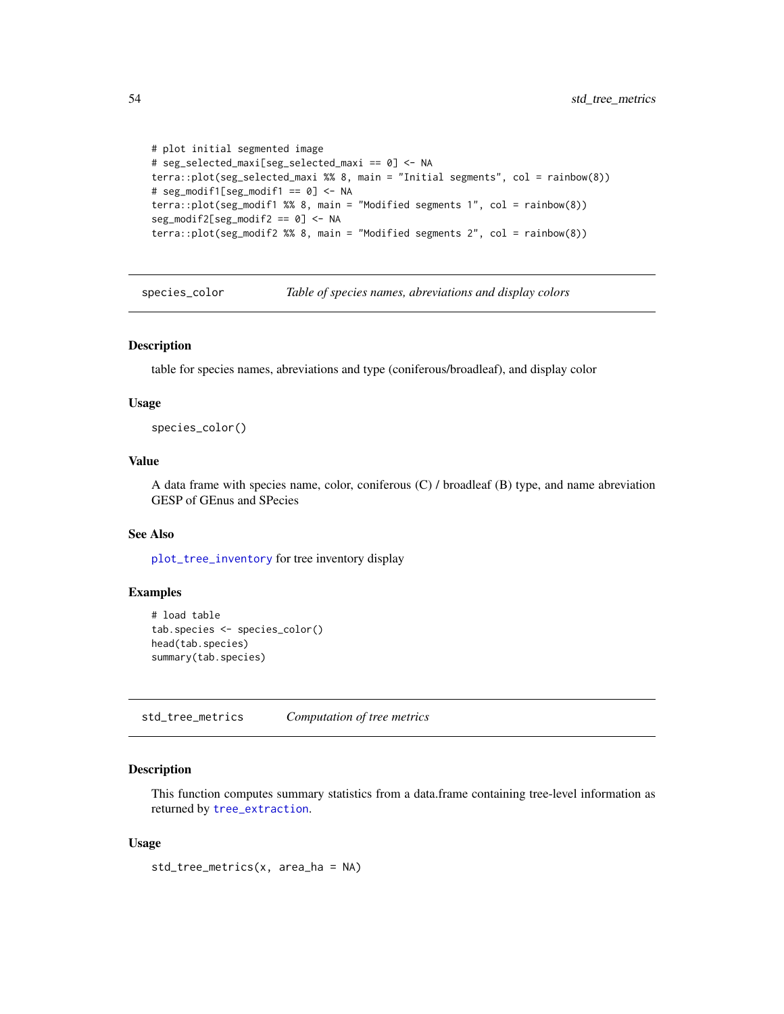```
# plot initial segmented image
# seg_selected_maxi[seg_selected_maxi == 0] <- NA
terra::plot(seg_selected_maxi %% 8, main = "Initial segments", col = rainbow(8))
# seg_modif1[seg_modif1 == 0] <- NA
terra::plot(seg_modif1 %% 8, main = "Modified segments 1", col = rainbow(8))
seg_modif2[seg_modif2 == 0] <- NA
terra::plot(seg_modif2 %% 8, main = "Modified segments 2", col = rainbow(8))
```
<span id="page-53-2"></span>species\_color *Table of species names, abreviations and display colors*

# Description

table for species names, abreviations and type (coniferous/broadleaf), and display color

### Usage

species\_color()

# Value

A data frame with species name, color, coniferous (C) / broadleaf (B) type, and name abreviation GESP of GEnus and SPecies

# See Also

[plot\\_tree\\_inventory](#page-35-1) for tree inventory display

# Examples

```
# load table
tab.species <- species_color()
head(tab.species)
summary(tab.species)
```
<span id="page-53-1"></span>std\_tree\_metrics *Computation of tree metrics*

### **Description**

This function computes summary statistics from a data.frame containing tree-level information as returned by [tree\\_extraction](#page-56-1).

### Usage

std\_tree\_metrics(x, area\_ha = NA)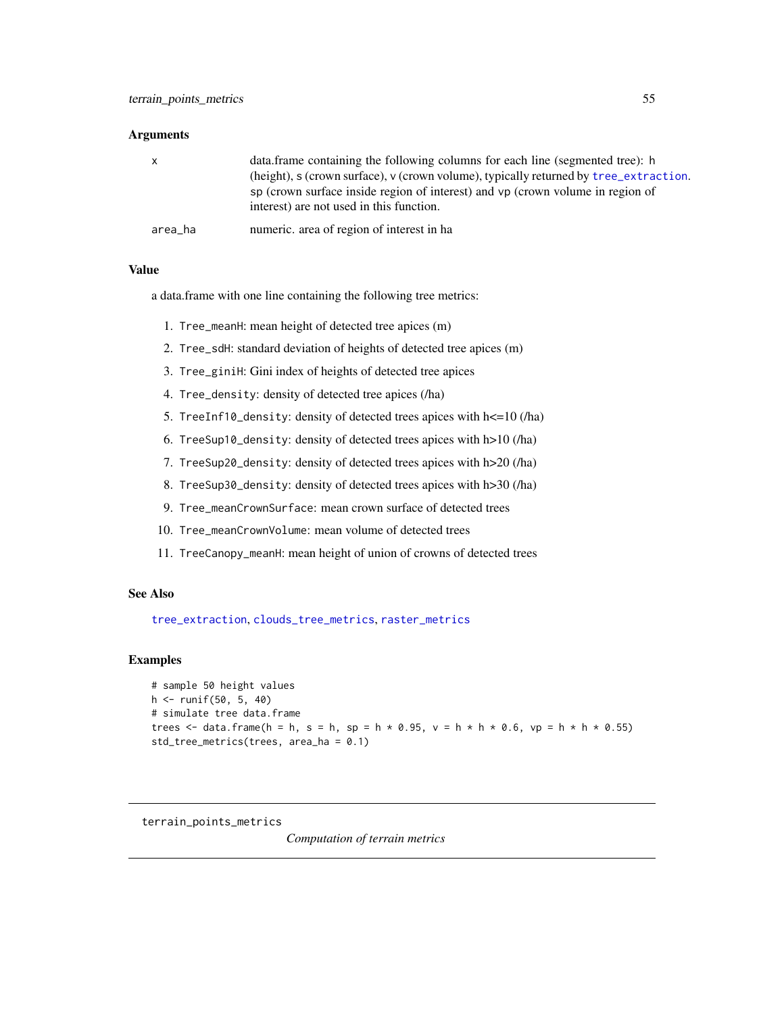### <span id="page-54-0"></span>**Arguments**

| $\mathsf{X}$ | data.frame containing the following columns for each line (segmented tree): h         |
|--------------|---------------------------------------------------------------------------------------|
|              | (height), s (crown surface), v (crown volume), typically returned by tree_extraction. |
|              | sp (crown surface inside region of interest) and vp (crown volume in region of        |
|              | interest) are not used in this function.                                              |
| area_ha      | numeric, area of region of interest in ha                                             |

# Value

a data.frame with one line containing the following tree metrics:

- 1. Tree\_meanH: mean height of detected tree apices (m)
- 2. Tree\_sdH: standard deviation of heights of detected tree apices (m)
- 3. Tree\_giniH: Gini index of heights of detected tree apices
- 4. Tree\_density: density of detected tree apices (/ha)
- 5. TreeInf10\_density: density of detected trees apices with h<=10 (/ha)
- 6. TreeSup10\_density: density of detected trees apices with h>10 (/ha)
- 7. TreeSup20\_density: density of detected trees apices with h>20 (/ha)
- 8. TreeSup30\_density: density of detected trees apices with h>30 (/ha)
- 9. Tree\_meanCrownSurface: mean crown surface of detected trees
- 10. Tree\_meanCrownVolume: mean volume of detected trees
- 11. TreeCanopy\_meanH: mean height of union of crowns of detected trees

### See Also

[tree\\_extraction](#page-56-1), [clouds\\_tree\\_metrics](#page-17-1), [raster\\_metrics](#page-47-1)

# Examples

```
# sample 50 height values
h <- runif(50, 5, 40)
# simulate tree data.frame
trees \leq data.frame(h = h, s = h, sp = h * 0.95, v = h * h * 0.6, vp = h * h * 0.55)
std_tree_metrics(trees, area_ha = 0.1)
```
<span id="page-54-1"></span>terrain\_points\_metrics

*Computation of terrain metrics*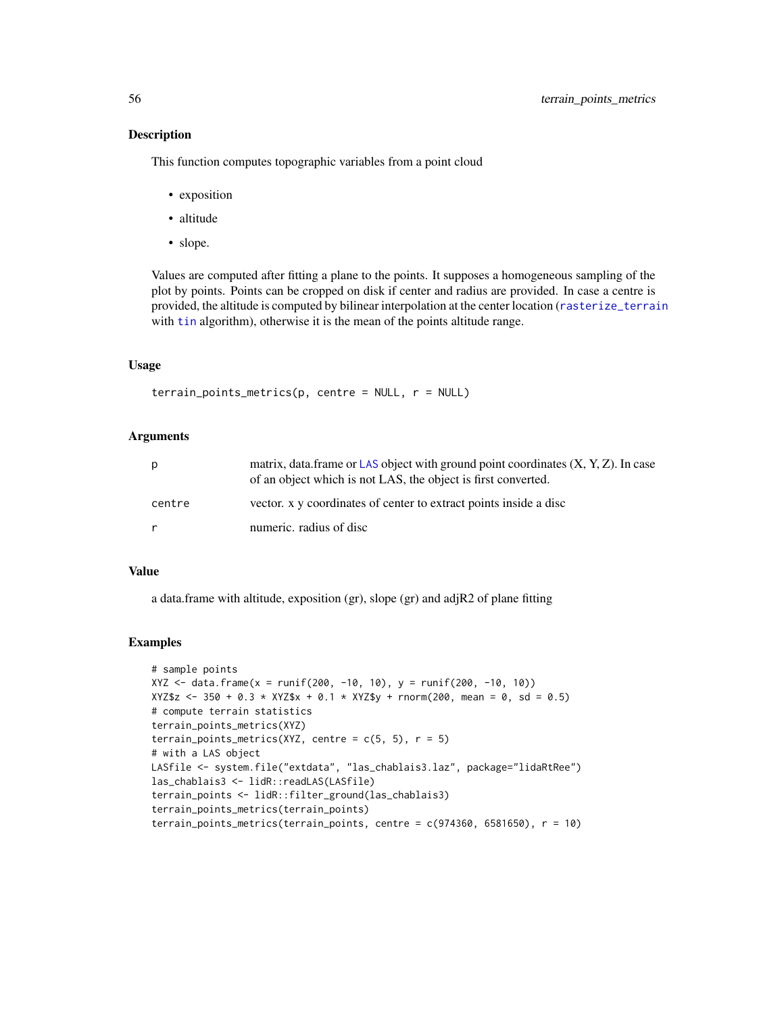# Description

This function computes topographic variables from a point cloud

- exposition
- altitude
- slope.

Values are computed after fitting a plane to the points. It supposes a homogeneous sampling of the plot by points. Points can be cropped on disk if center and radius are provided. In case a centre is provided, the altitude is computed by bilinear interpolation at the center location ([rasterize\\_terrain](#page-0-0) with [tin](#page-0-0) algorithm), otherwise it is the mean of the points altitude range.

# Usage

```
\text{terrain\_points\_metrics}(p, \text{ centre} = \text{NULL}, \text{ r} = \text{NULL})
```
# Arguments

| р      | matrix, data frame or LAS object with ground point coordinates $(X, Y, Z)$ . In case<br>of an object which is not LAS, the object is first converted. |
|--------|-------------------------------------------------------------------------------------------------------------------------------------------------------|
| centre | vector. x y coordinates of center to extract points inside a disc                                                                                     |
| r      | numeric. radius of disc                                                                                                                               |

### Value

a data.frame with altitude, exposition (gr), slope (gr) and adjR2 of plane fitting

```
# sample points
XYZ <- data.frame(x = runif(200, -10, 10), y = runif(200, -10, 10))
XYZ$z \leftarrow 350 + 0.3 \times XYZ$x + 0.1 \times XYZ$y + rnorm(200, mean = 0, sd = 0.5)# compute terrain statistics
terrain_points_metrics(XYZ)
terrain_points_metrics(XYZ, centre = c(5, 5), r = 5)
# with a LAS object
LASfile <- system.file("extdata", "las_chablais3.laz", package="lidaRtRee")
las_chablais3 <- lidR::readLAS(LASfile)
terrain_points <- lidR::filter_ground(las_chablais3)
terrain_points_metrics(terrain_points)
terrain_points_metrics(terrain_points, centre = c(974360, 6581650), r = 10)
```
<span id="page-55-0"></span>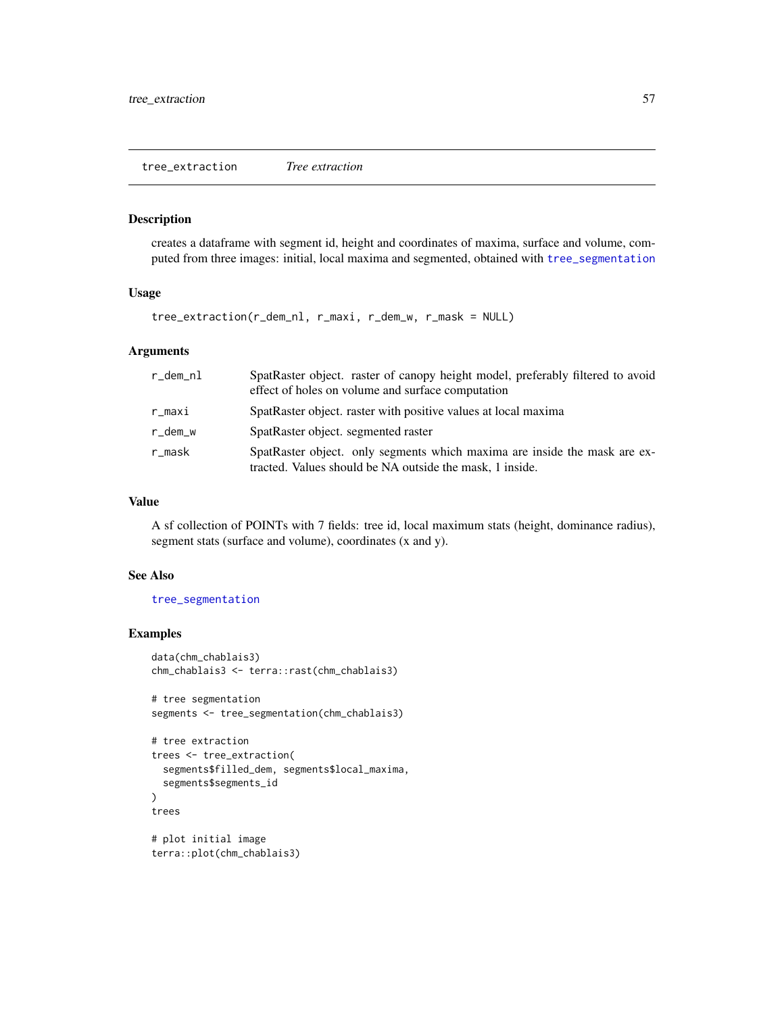<span id="page-56-1"></span><span id="page-56-0"></span>tree\_extraction *Tree extraction*

# Description

creates a dataframe with segment id, height and coordinates of maxima, surface and volume, computed from three images: initial, local maxima and segmented, obtained with [tree\\_segmentation](#page-59-1)

# Usage

tree\_extraction(r\_dem\_nl, r\_maxi, r\_dem\_w, r\_mask = NULL)

# Arguments

| r_dem_nl | SpatRaster object. raster of canopy height model, preferably filtered to avoid<br>effect of holes on volume and surface computation   |
|----------|---------------------------------------------------------------------------------------------------------------------------------------|
| r_maxi   | SpatRaster object. raster with positive values at local maxima                                                                        |
| r_dem_w  | SpatRaster object. segmented raster                                                                                                   |
| r_mask   | SpatRaster object. only segments which maxima are inside the mask are ex-<br>tracted. Values should be NA outside the mask, 1 inside. |

# Value

A sf collection of POINTs with 7 fields: tree id, local maximum stats (height, dominance radius), segment stats (surface and volume), coordinates (x and y).

### See Also

[tree\\_segmentation](#page-59-1)

```
data(chm_chablais3)
chm_chablais3 <- terra::rast(chm_chablais3)
```

```
# tree segmentation
segments <- tree_segmentation(chm_chablais3)
```

```
# tree extraction
trees <- tree_extraction(
  segments$filled_dem, segments$local_maxima,
  segments$segments_id
\mathcal{L}trees
# plot initial image
```

```
terra::plot(chm_chablais3)
```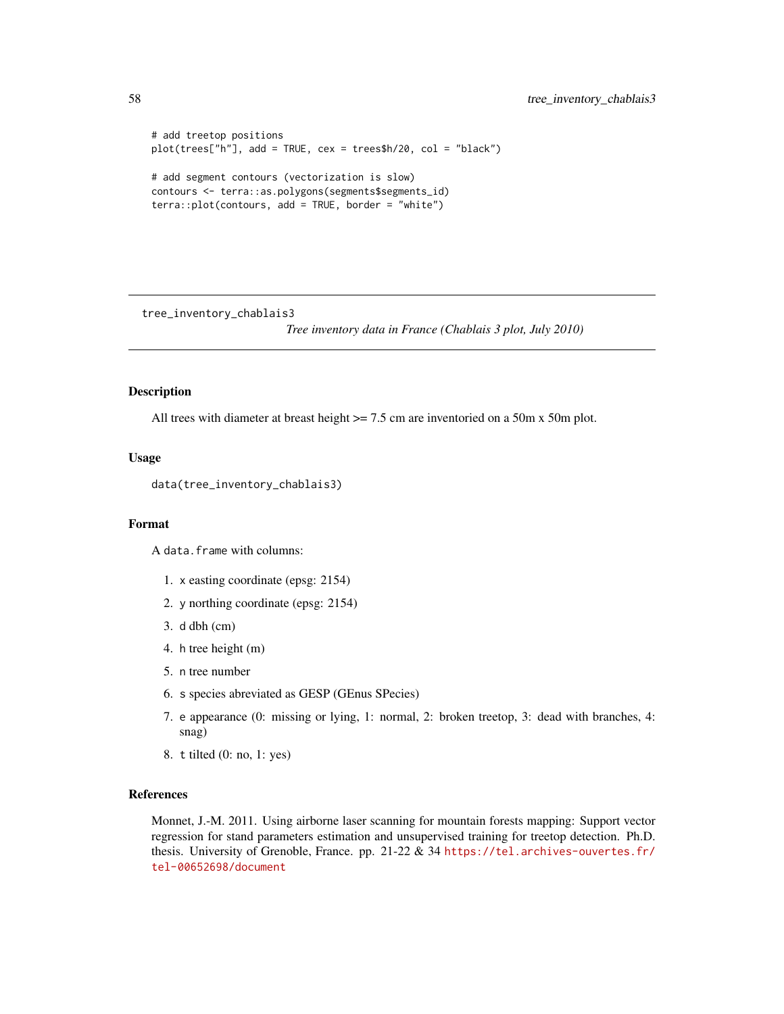```
# add treetop positions
plot(trees["h"], add = TRUE, cex = trees$h/20, col = "black")
# add segment contours (vectorization is slow)
contours <- terra::as.polygons(segments$segments_id)
terra::plot(contours, add = TRUE, border = "white")
```
<span id="page-57-1"></span>tree\_inventory\_chablais3

*Tree inventory data in France (Chablais 3 plot, July 2010)*

# Description

All trees with diameter at breast height  $\ge$  7.5 cm are inventoried on a 50m x 50m plot.

# Usage

data(tree\_inventory\_chablais3)

### Format

A data.frame with columns:

- 1. x easting coordinate (epsg: 2154)
- 2. y northing coordinate (epsg: 2154)
- 3. d dbh (cm)
- 4. h tree height (m)
- 5. n tree number
- 6. s species abreviated as GESP (GEnus SPecies)
- 7. e appearance (0: missing or lying, 1: normal, 2: broken treetop, 3: dead with branches, 4: snag)
- 8. t tilted (0: no, 1: yes)

# References

Monnet, J.-M. 2011. Using airborne laser scanning for mountain forests mapping: Support vector regression for stand parameters estimation and unsupervised training for treetop detection. Ph.D. thesis. University of Grenoble, France. pp. 21-22 & 34 [https://tel.archives-ouvertes.fr/](https://tel.archives-ouvertes.fr/tel-00652698/document) [tel-00652698/document](https://tel.archives-ouvertes.fr/tel-00652698/document)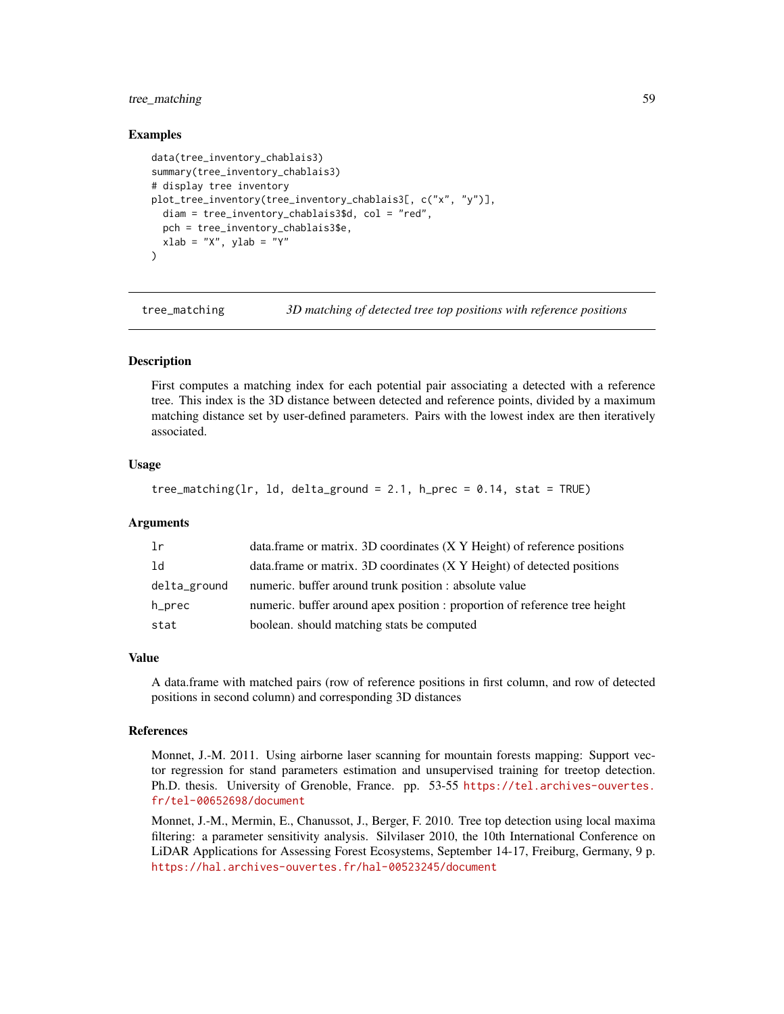# <span id="page-58-0"></span>tree\_matching 59

# Examples

```
data(tree_inventory_chablais3)
summary(tree_inventory_chablais3)
# display tree inventory
plot_tree_inventory(tree_inventory_chablais3[, c("x", "y")],
  diam = tree_inventory_chablais3$d, col = "red",
  pch = tree_inventory_chablais3$e,
  xlab = "X", ylab = "Y"
\lambda
```
<span id="page-58-1"></span>tree\_matching *3D matching of detected tree top positions with reference positions*

### **Description**

First computes a matching index for each potential pair associating a detected with a reference tree. This index is the 3D distance between detected and reference points, divided by a maximum matching distance set by user-defined parameters. Pairs with the lowest index are then iteratively associated.

# Usage

```
tree_matching(lr, ld, delta_ground = 2.1, h_prec = 0.14, stat = TRUE)
```
### Arguments

| -lr          | data.frame or matrix. 3D coordinates (X Y Height) of reference positions   |
|--------------|----------------------------------------------------------------------------|
| - 1 d        | data.frame or matrix. 3D coordinates (X Y Height) of detected positions    |
| delta_ground | numeric. buffer around trunk position : absolute value                     |
| h_prec       | numeric. buffer around apex position : proportion of reference tree height |
| stat         | boolean. should matching stats be computed                                 |

### Value

A data.frame with matched pairs (row of reference positions in first column, and row of detected positions in second column) and corresponding 3D distances

### References

Monnet, J.-M. 2011. Using airborne laser scanning for mountain forests mapping: Support vector regression for stand parameters estimation and unsupervised training for treetop detection. Ph.D. thesis. University of Grenoble, France. pp. 53-55 [https://tel.archives-ouvertes.](https://tel.archives-ouvertes.fr/tel-00652698/document) [fr/tel-00652698/document](https://tel.archives-ouvertes.fr/tel-00652698/document)

Monnet, J.-M., Mermin, E., Chanussot, J., Berger, F. 2010. Tree top detection using local maxima filtering: a parameter sensitivity analysis. Silvilaser 2010, the 10th International Conference on LiDAR Applications for Assessing Forest Ecosystems, September 14-17, Freiburg, Germany, 9 p. <https://hal.archives-ouvertes.fr/hal-00523245/document>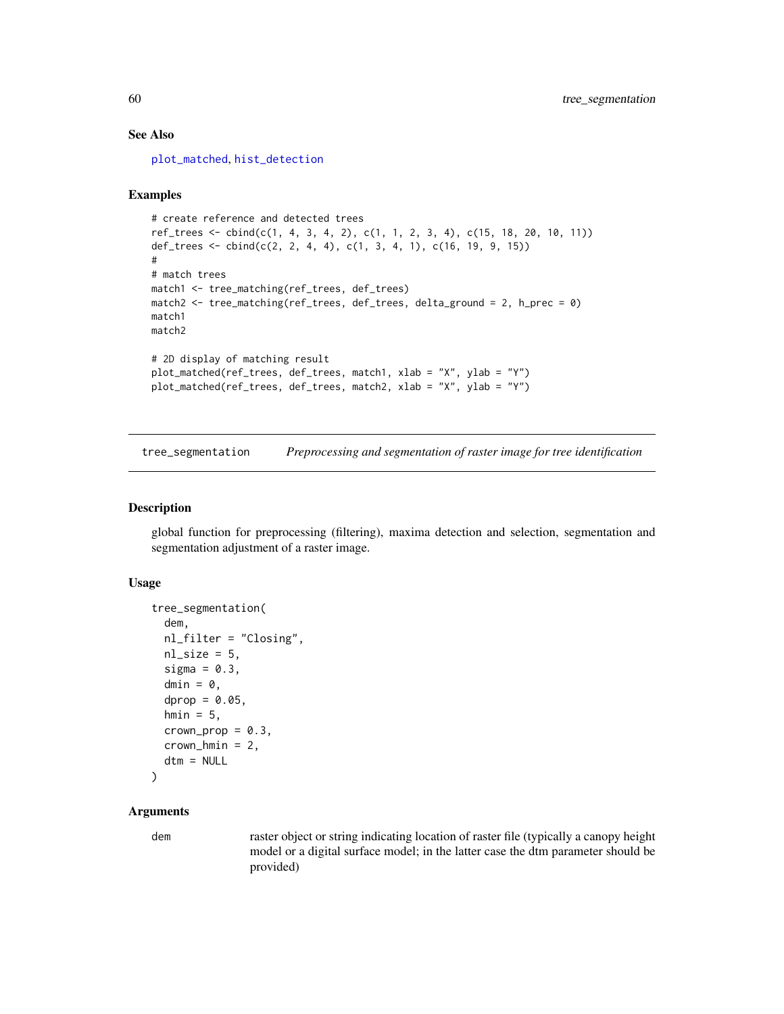# See Also

[plot\\_matched](#page-34-1), [hist\\_detection](#page-29-1)

# Examples

```
# create reference and detected trees
ref_trees <- cbind(c(1, 4, 3, 4, 2), c(1, 1, 2, 3, 4), c(15, 18, 20, 10, 11))
def_trees <- cbind(c(2, 2, 4, 4), c(1, 3, 4, 1), c(16, 19, 9, 15))
#
# match trees
match1 <- tree_matching(ref_trees, def_trees)
match2 <- tree_matching(ref_trees, def_trees, delta_ground = 2, h_prec = 0)
match1
match2
# 2D display of matching result
plot_matched(ref_trees, def_trees, match1, xlab = "X", ylab = "Y")
plot_matched(ref_trees, def_trees, match2, xlab = "X", ylab = "Y")
```
<span id="page-59-1"></span>tree\_segmentation *Preprocessing and segmentation of raster image for tree identification*

# Description

global function for preprocessing (filtering), maxima detection and selection, segmentation and segmentation adjustment of a raster image.

### Usage

```
tree_segmentation(
  dem,
  nl_filter = "Closing",
  nl\_size = 5,
  sigma = 0.3,
  dmin = \theta,
  dprop = 0.05,
  hmin = 5,
  crown\_prop = 0.3,
  crown\_hmin = 2,
  dtm = NULL
)
```
### Arguments

dem raster object or string indicating location of raster file (typically a canopy height model or a digital surface model; in the latter case the dtm parameter should be provided)

<span id="page-59-0"></span>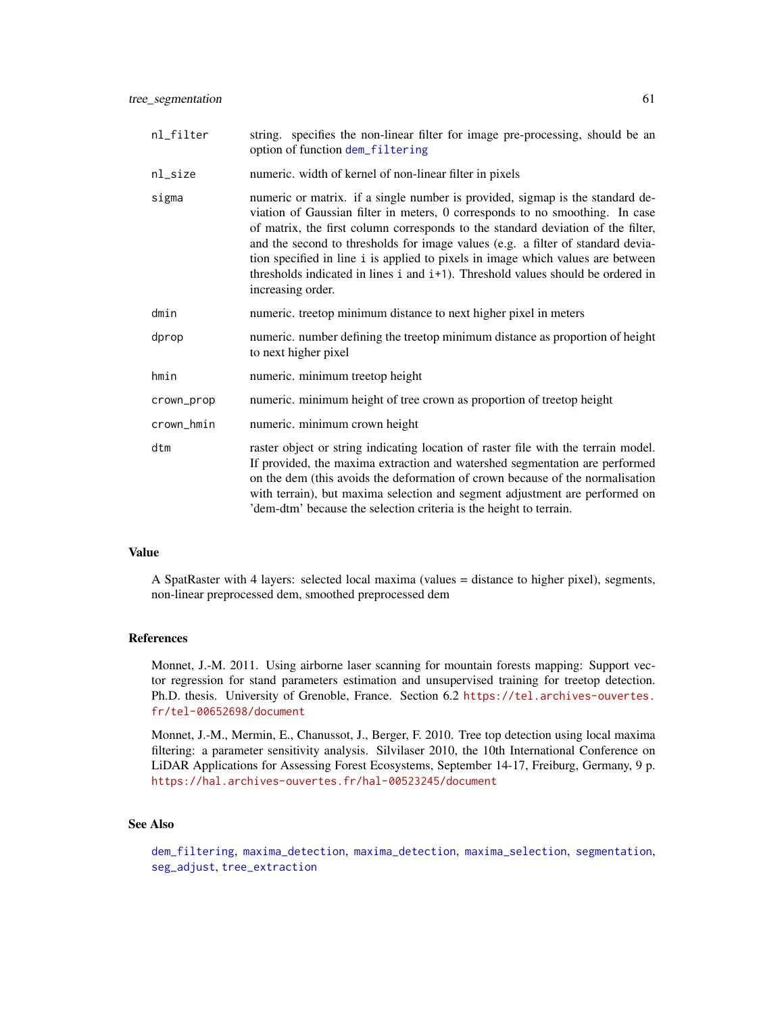<span id="page-60-0"></span>

| nl_filter  | string. specifies the non-linear filter for image pre-processing, should be an<br>option of function dem_filtering                                                                                                                                                                                                                                                                                                                                                                                                              |
|------------|---------------------------------------------------------------------------------------------------------------------------------------------------------------------------------------------------------------------------------------------------------------------------------------------------------------------------------------------------------------------------------------------------------------------------------------------------------------------------------------------------------------------------------|
| nl_size    | numeric. width of kernel of non-linear filter in pixels                                                                                                                                                                                                                                                                                                                                                                                                                                                                         |
| sigma      | numeric or matrix. if a single number is provided, sigmap is the standard de-<br>viation of Gaussian filter in meters, 0 corresponds to no smoothing. In case<br>of matrix, the first column corresponds to the standard deviation of the filter,<br>and the second to thresholds for image values (e.g. a filter of standard devia-<br>tion specified in line i is applied to pixels in image which values are between<br>thresholds indicated in lines i and i+1). Threshold values should be ordered in<br>increasing order. |
| dmin       | numeric. treetop minimum distance to next higher pixel in meters                                                                                                                                                                                                                                                                                                                                                                                                                                                                |
| dprop      | numeric. number defining the treetop minimum distance as proportion of height<br>to next higher pixel                                                                                                                                                                                                                                                                                                                                                                                                                           |
| hmin       | numeric. minimum treetop height                                                                                                                                                                                                                                                                                                                                                                                                                                                                                                 |
| crown_prop | numeric. minimum height of tree crown as proportion of treetop height                                                                                                                                                                                                                                                                                                                                                                                                                                                           |
| crown_hmin | numeric. minimum crown height                                                                                                                                                                                                                                                                                                                                                                                                                                                                                                   |
| dtm        | raster object or string indicating location of raster file with the terrain model.<br>If provided, the maxima extraction and watershed segmentation are performed<br>on the dem (this avoids the deformation of crown because of the normalisation<br>with terrain), but maxima selection and segment adjustment are performed on<br>'dem-dtm' because the selection criteria is the height to terrain.                                                                                                                         |

### Value

A SpatRaster with 4 layers: selected local maxima (values = distance to higher pixel), segments, non-linear preprocessed dem, smoothed preprocessed dem

### References

Monnet, J.-M. 2011. Using airborne laser scanning for mountain forests mapping: Support vector regression for stand parameters estimation and unsupervised training for treetop detection. Ph.D. thesis. University of Grenoble, France. Section 6.2 [https://tel.archives-ouvertes.](https://tel.archives-ouvertes.fr/tel-00652698/document) [fr/tel-00652698/document](https://tel.archives-ouvertes.fr/tel-00652698/document)

Monnet, J.-M., Mermin, E., Chanussot, J., Berger, F. 2010. Tree top detection using local maxima filtering: a parameter sensitivity analysis. Silvilaser 2010, the 10th International Conference on LiDAR Applications for Assessing Forest Ecosystems, September 14-17, Freiburg, Germany, 9 p. <https://hal.archives-ouvertes.fr/hal-00523245/document>

# See Also

[dem\\_filtering](#page-22-1), [maxima\\_detection](#page-32-1), maxima\_detection, [maxima\\_selection](#page-33-1), [segmentation](#page-50-1), [seg\\_adjust](#page-51-1), [tree\\_extraction](#page-56-1)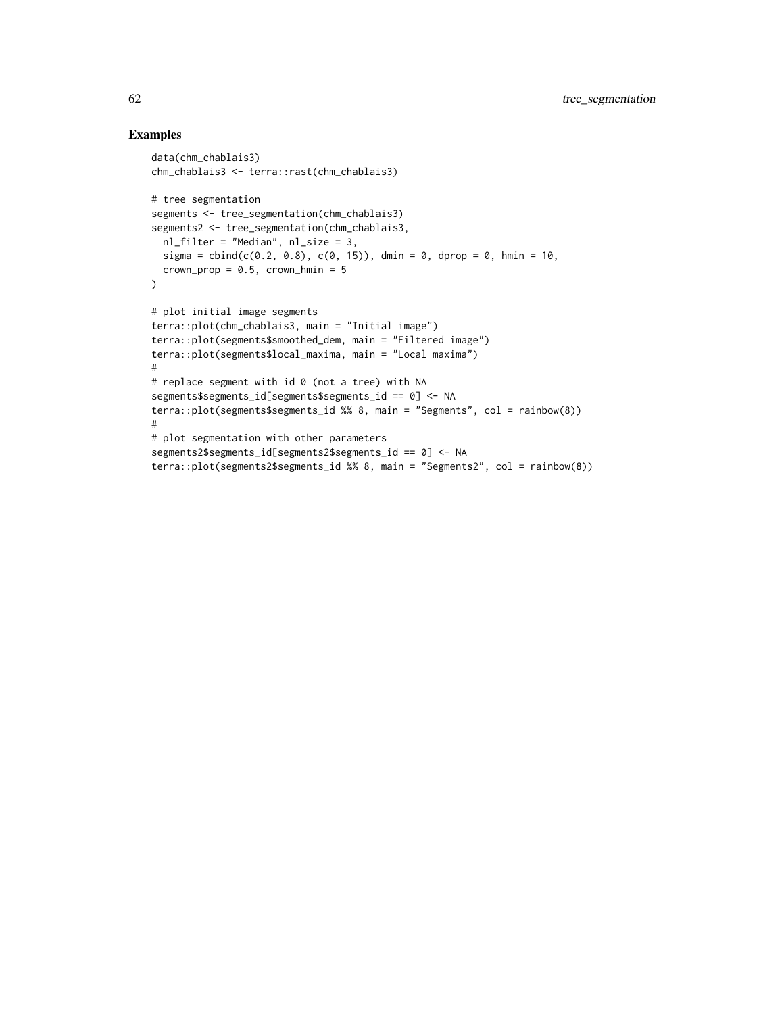```
data(chm_chablais3)
chm_chablais3 <- terra::rast(chm_chablais3)
# tree segmentation
segments <- tree_segmentation(chm_chablais3)
segments2 <- tree_segmentation(chm_chablais3,
  nl_filter = "Median", nl_size = 3,
  sigma = cbind(c(0.2, 0.8), c(0, 15)), dmin = 0, dprop = 0, hmin = 10,
  crown\_prop = 0.5, crown\_hmin = 5\mathcal{L}# plot initial image segments
terra::plot(chm_chablais3, main = "Initial image")
terra::plot(segments$smoothed_dem, main = "Filtered image")
terra::plot(segments$local_maxima, main = "Local maxima")
#
# replace segment with id 0 (not a tree) with NA
segments$segments_id[segments$segments_id == 0] <- NA
terra::plot(segments$segments_id %% 8, main = "Segments", col = rainbow(8))
#
# plot segmentation with other parameters
segments2$segments_id[segments2$segments_id == 0] <- NA
terra::plot(segments2$segments_id %% 8, main = "Segments2", col = rainbow(8))
```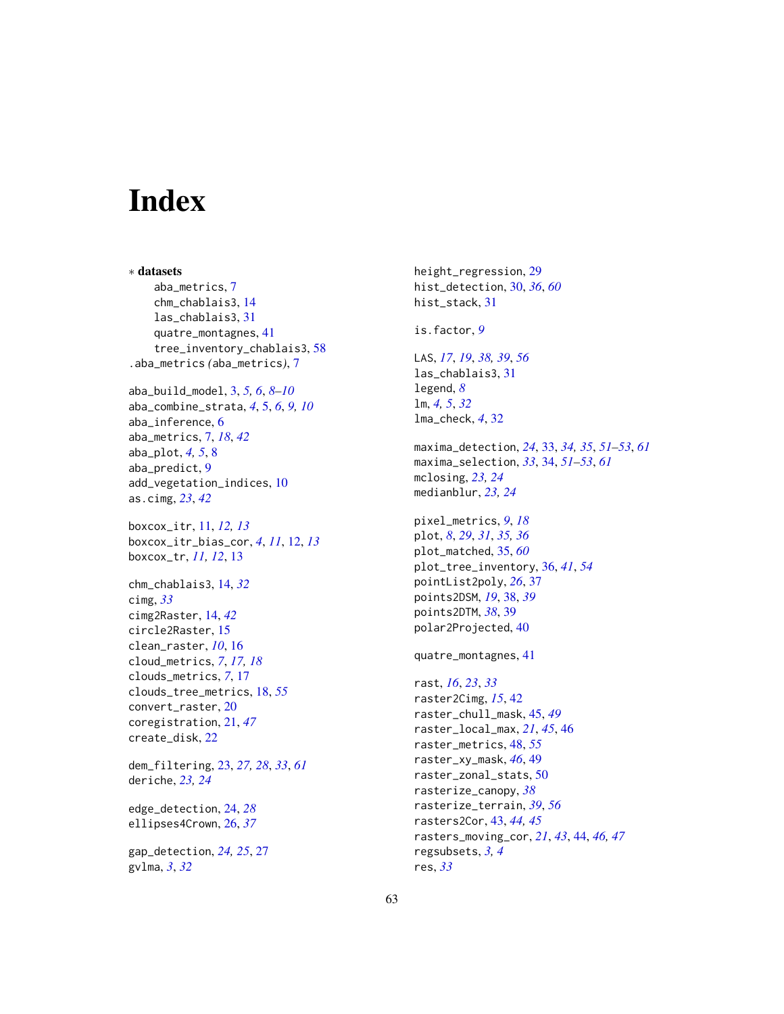# <span id="page-62-0"></span>**Index**

∗ datasets aba\_metrics, [7](#page-6-0) chm\_chablais3, [14](#page-13-0) las\_chablais3, [31](#page-30-0) quatre\_montagnes, [41](#page-40-0) tree\_inventory\_chablais3, [58](#page-57-0) .aba\_metrics *(*aba\_metrics*)*, [7](#page-6-0)

aba\_build\_model, [3,](#page-2-0) *[5,](#page-4-0) [6](#page-5-0)*, *[8–](#page-7-0)[10](#page-9-0)* aba\_combine\_strata, *[4](#page-3-0)*, [5,](#page-4-0) *[6](#page-5-0)*, *[9,](#page-8-0) [10](#page-9-0)* aba\_inference, [6](#page-5-0) aba\_metrics, [7,](#page-6-0) *[18](#page-17-0)*, *[42](#page-41-0)* aba\_plot, *[4,](#page-3-0) [5](#page-4-0)*, [8](#page-7-0) aba\_predict, [9](#page-8-0) add\_vegetation\_indices, [10](#page-9-0) as.cimg, *[23](#page-22-0)*, *[42](#page-41-0)*

boxcox\_itr, [11,](#page-10-0) *[12,](#page-11-0) [13](#page-12-0)* boxcox\_itr\_bias\_cor, *[4](#page-3-0)*, *[11](#page-10-0)*, [12,](#page-11-0) *[13](#page-12-0)* boxcox\_tr, *[11,](#page-10-0) [12](#page-11-0)*, [13](#page-12-0)

chm\_chablais3, [14,](#page-13-0) *[32](#page-31-0)* cimg, *[33](#page-32-0)* cimg2Raster, [14,](#page-13-0) *[42](#page-41-0)* circle2Raster, [15](#page-14-0) clean\_raster, *[10](#page-9-0)*, [16](#page-15-0) cloud\_metrics, *[7](#page-6-0)*, *[17,](#page-16-0) [18](#page-17-0)* clouds\_metrics, *[7](#page-6-0)*, [17](#page-16-0) clouds\_tree\_metrics, [18,](#page-17-0) *[55](#page-54-0)* convert\_raster, [20](#page-19-0) coregistration, [21,](#page-20-0) *[47](#page-46-0)* create\_disk, [22](#page-21-0)

dem\_filtering, [23,](#page-22-0) *[27,](#page-26-0) [28](#page-27-0)*, *[33](#page-32-0)*, *[61](#page-60-0)* deriche, *[23,](#page-22-0) [24](#page-23-0)*

edge\_detection, [24,](#page-23-0) *[28](#page-27-0)* ellipses4Crown, [26,](#page-25-0) *[37](#page-36-0)*

gap\_detection, *[24,](#page-23-0) [25](#page-24-0)*, [27](#page-26-0) gvlma, *[3](#page-2-0)*, *[32](#page-31-0)*

height\_regression, [29](#page-28-0) hist\_detection, [30,](#page-29-0) *[36](#page-35-0)*, *[60](#page-59-0)* hist\_stack, [31](#page-30-0) is.factor, *[9](#page-8-0)* LAS, *[17](#page-16-0)*, *[19](#page-18-0)*, *[38,](#page-37-0) [39](#page-38-0)*, *[56](#page-55-0)* las\_chablais3, [31](#page-30-0) legend, *[8](#page-7-0)* lm, *[4,](#page-3-0) [5](#page-4-0)*, *[32](#page-31-0)* lma\_check, *[4](#page-3-0)*, [32](#page-31-0) maxima\_detection, *[24](#page-23-0)*, [33,](#page-32-0) *[34,](#page-33-0) [35](#page-34-0)*, *[51](#page-50-0)[–53](#page-52-0)*, *[61](#page-60-0)* maxima\_selection, *[33](#page-32-0)*, [34,](#page-33-0) *[51](#page-50-0)[–53](#page-52-0)*, *[61](#page-60-0)* mclosing, *[23,](#page-22-0) [24](#page-23-0)* medianblur, *[23,](#page-22-0) [24](#page-23-0)* pixel\_metrics, *[9](#page-8-0)*, *[18](#page-17-0)* plot, *[8](#page-7-0)*, *[29](#page-28-0)*, *[31](#page-30-0)*, *[35,](#page-34-0) [36](#page-35-0)* plot\_matched, [35,](#page-34-0) *[60](#page-59-0)* plot\_tree\_inventory, [36,](#page-35-0) *[41](#page-40-0)*, *[54](#page-53-0)* pointList2poly, *[26](#page-25-0)*, [37](#page-36-0) points2DSM, *[19](#page-18-0)*, [38,](#page-37-0) *[39](#page-38-0)* points2DTM, *[38](#page-37-0)*, [39](#page-38-0) polar2Projected, [40](#page-39-0) quatre\_montagnes, [41](#page-40-0) rast, *[16](#page-15-0)*, *[23](#page-22-0)*, *[33](#page-32-0)* raster2Cimg, *[15](#page-14-0)*, [42](#page-41-0) raster\_chull\_mask, [45,](#page-44-0) *[49](#page-48-0)* raster\_local\_max, *[21](#page-20-0)*, *[45](#page-44-0)*, [46](#page-45-0) raster\_metrics, [48,](#page-47-0) *[55](#page-54-0)* raster\_xy\_mask, *[46](#page-45-0)*, [49](#page-48-0) raster\_zonal\_stats, [50](#page-49-0) rasterize\_canopy, *[38](#page-37-0)* rasterize\_terrain, *[39](#page-38-0)*, *[56](#page-55-0)* rasters2Cor, [43,](#page-42-0) *[44,](#page-43-0) [45](#page-44-0)*

rasters\_moving\_cor, *[21](#page-20-0)*, *[43](#page-42-0)*, [44,](#page-43-0) *[46,](#page-45-0) [47](#page-46-0)*

regsubsets, *[3,](#page-2-0) [4](#page-3-0)*

res, *[33](#page-32-0)*